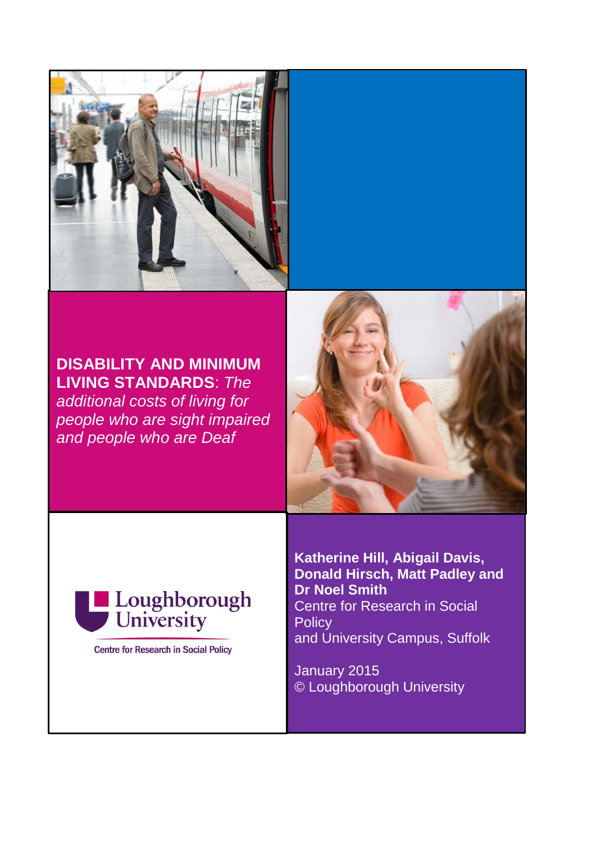

**DISABILITY AND MINIMUM LIVING STANDARDS**: *The additional costs of living for people who are sight impaired and people who are Deaf*





**Centre for Research in Social Policy** 

**Katherine Hill, Abigail Davis, Donald Hirsch, Matt Padley and Dr Noel Smith** Centre for Research in Social **Policy** and University Campus, Suffolk

January 2015 © Loughborough University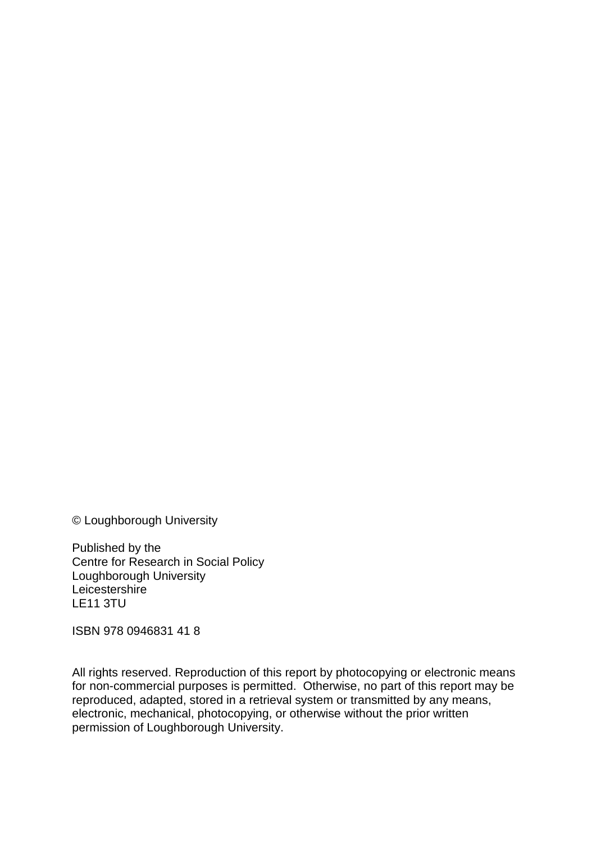© Loughborough University

Published by the Centre for Research in Social Policy Loughborough University **Leicestershire** LE11 3TU

ISBN 978 0946831 41 8

All rights reserved. Reproduction of this report by photocopying or electronic means for non-commercial purposes is permitted. Otherwise, no part of this report may be reproduced, adapted, stored in a retrieval system or transmitted by any means, electronic, mechanical, photocopying, or otherwise without the prior written permission of Loughborough University.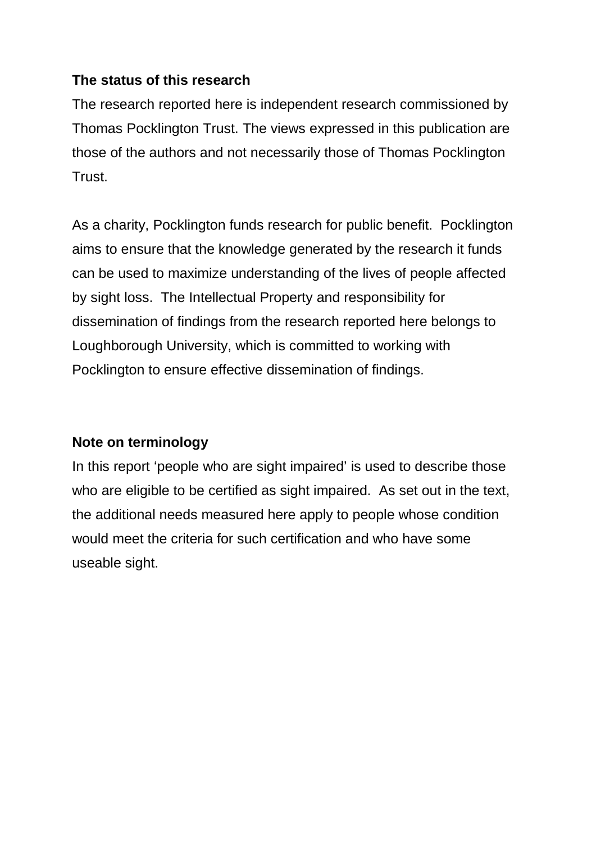#### **The status of this research**

The research reported here is independent research commissioned by Thomas Pocklington Trust. The views expressed in this publication are those of the authors and not necessarily those of Thomas Pocklington Trust.

As a charity, Pocklington funds research for public benefit. Pocklington aims to ensure that the knowledge generated by the research it funds can be used to maximize understanding of the lives of people affected by sight loss. The Intellectual Property and responsibility for dissemination of findings from the research reported here belongs to Loughborough University, which is committed to working with Pocklington to ensure effective dissemination of findings.

### **Note on terminology**

In this report 'people who are sight impaired' is used to describe those who are eligible to be certified as sight impaired. As set out in the text, the additional needs measured here apply to people whose condition would meet the criteria for such certification and who have some useable sight.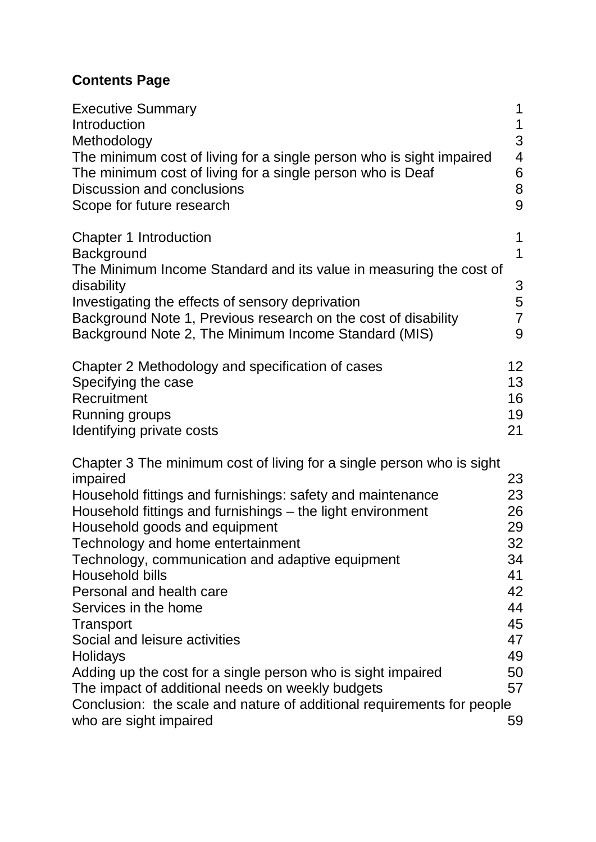# **Contents Page**

| <b>Executive Summary</b><br>Introduction<br>Methodology<br>The minimum cost of living for a single person who is sight impaired<br>The minimum cost of living for a single person who is Deaf<br>Discussion and conclusions<br>Scope for future research | 1<br>1<br>3<br>$\overline{4}$<br>6<br>8<br>9 |
|----------------------------------------------------------------------------------------------------------------------------------------------------------------------------------------------------------------------------------------------------------|----------------------------------------------|
| <b>Chapter 1 Introduction</b><br>Background                                                                                                                                                                                                              | 1<br>$\mathbf 1$                             |
| The Minimum Income Standard and its value in measuring the cost of<br>disability                                                                                                                                                                         | 3                                            |
| Investigating the effects of sensory deprivation                                                                                                                                                                                                         | 5                                            |
| Background Note 1, Previous research on the cost of disability<br>Background Note 2, The Minimum Income Standard (MIS)                                                                                                                                   | $\overline{7}$<br>9                          |
| Chapter 2 Methodology and specification of cases                                                                                                                                                                                                         | 12 <sub>2</sub>                              |
| Specifying the case                                                                                                                                                                                                                                      | 13                                           |
| Recruitment                                                                                                                                                                                                                                              | 16                                           |
| Running groups                                                                                                                                                                                                                                           | 19                                           |
| Identifying private costs                                                                                                                                                                                                                                | 21                                           |
| Chapter 3 The minimum cost of living for a single person who is sight                                                                                                                                                                                    |                                              |
| impaired                                                                                                                                                                                                                                                 | 23                                           |
| Household fittings and furnishings: safety and maintenance                                                                                                                                                                                               | 23                                           |
| Household fittings and furnishings – the light environment                                                                                                                                                                                               | 26                                           |
| Household goods and equipment                                                                                                                                                                                                                            | 29                                           |
| Technology and home entertainment                                                                                                                                                                                                                        | 32                                           |
| Technology, communication and adaptive equipment                                                                                                                                                                                                         | 34                                           |
| Household bills                                                                                                                                                                                                                                          | 41                                           |
| Personal and health care                                                                                                                                                                                                                                 | 42                                           |
| Services in the home                                                                                                                                                                                                                                     | 44                                           |
| Transport<br>Social and leisure activities                                                                                                                                                                                                               | 45<br>47                                     |
| <b>Holidays</b>                                                                                                                                                                                                                                          | 49                                           |
| Adding up the cost for a single person who is sight impaired                                                                                                                                                                                             | 50                                           |
| The impact of additional needs on weekly budgets                                                                                                                                                                                                         | 57                                           |
| Conclusion: the scale and nature of additional requirements for people                                                                                                                                                                                   |                                              |
| who are sight impaired                                                                                                                                                                                                                                   | 59                                           |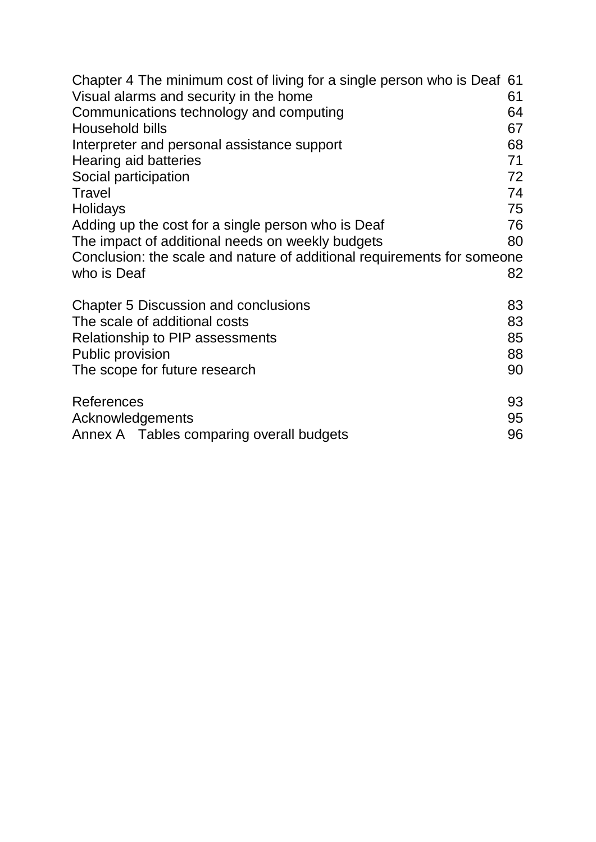| Chapter 4 The minimum cost of living for a single person who is Deaf 61 |    |  |
|-------------------------------------------------------------------------|----|--|
| Visual alarms and security in the home<br>61                            |    |  |
| Communications technology and computing<br>64                           |    |  |
| Household bills                                                         |    |  |
| Interpreter and personal assistance support                             | 68 |  |
| Hearing aid batteries                                                   |    |  |
| Social participation<br>72                                              |    |  |
| <b>Travel</b>                                                           | 74 |  |
| Holidays                                                                | 75 |  |
| Adding up the cost for a single person who is Deaf                      | 76 |  |
| The impact of additional needs on weekly budgets                        | 80 |  |
| Conclusion: the scale and nature of additional requirements for someone |    |  |
| who is Deaf                                                             | 82 |  |
|                                                                         |    |  |
| <b>Chapter 5 Discussion and conclusions</b>                             | 83 |  |
| The scale of additional costs<br>83                                     |    |  |
| <b>Relationship to PIP assessments</b>                                  | 85 |  |
| <b>Public provision</b>                                                 | 88 |  |
| The scope for future research                                           | 90 |  |
|                                                                         |    |  |
| References                                                              | 93 |  |
| Acknowledgements                                                        | 95 |  |
| Annex A Tables comparing overall budgets                                | 96 |  |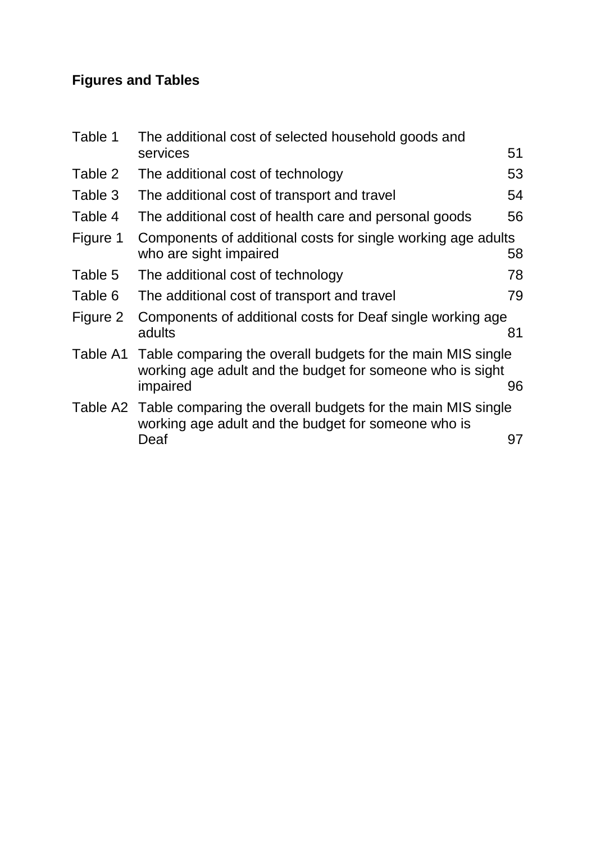# **Figures and Tables**

| Table 1  | The additional cost of selected household goods and                                                                                           |    |
|----------|-----------------------------------------------------------------------------------------------------------------------------------------------|----|
|          | services                                                                                                                                      | 51 |
| Table 2  | The additional cost of technology                                                                                                             | 53 |
| Table 3  | The additional cost of transport and travel                                                                                                   | 54 |
| Table 4  | The additional cost of health care and personal goods                                                                                         | 56 |
| Figure 1 | Components of additional costs for single working age adults<br>who are sight impaired                                                        | 58 |
| Table 5  | The additional cost of technology                                                                                                             | 78 |
| Table 6  | The additional cost of transport and travel                                                                                                   | 79 |
| Figure 2 | Components of additional costs for Deaf single working age<br>adults                                                                          | 81 |
|          | Table A1 Table comparing the overall budgets for the main MIS single<br>working age adult and the budget for someone who is sight<br>impaired | 96 |
|          | Table A2 Table comparing the overall budgets for the main MIS single<br>working age adult and the budget for someone who is<br>Deaf           | 97 |
|          |                                                                                                                                               |    |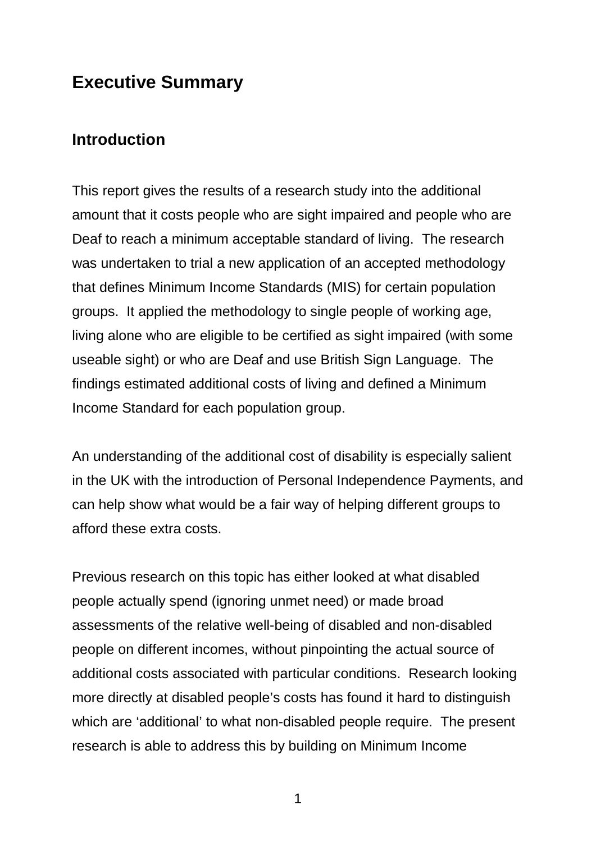# <span id="page-7-0"></span>**Executive Summary**

## <span id="page-7-1"></span>**Introduction**

This report gives the results of a research study into the additional amount that it costs people who are sight impaired and people who are Deaf to reach a minimum acceptable standard of living. The research was undertaken to trial a new application of an accepted methodology that defines Minimum Income Standards (MIS) for certain population groups. It applied the methodology to single people of working age, living alone who are eligible to be certified as sight impaired (with some useable sight) or who are Deaf and use British Sign Language. The findings estimated additional costs of living and defined a Minimum Income Standard for each population group.

An understanding of the additional cost of disability is especially salient in the UK with the introduction of Personal Independence Payments, and can help show what would be a fair way of helping different groups to afford these extra costs.

Previous research on this topic has either looked at what disabled people actually spend (ignoring unmet need) or made broad assessments of the relative well-being of disabled and non-disabled people on different incomes, without pinpointing the actual source of additional costs associated with particular conditions. Research looking more directly at disabled people's costs has found it hard to distinguish which are 'additional' to what non-disabled people require. The present research is able to address this by building on Minimum Income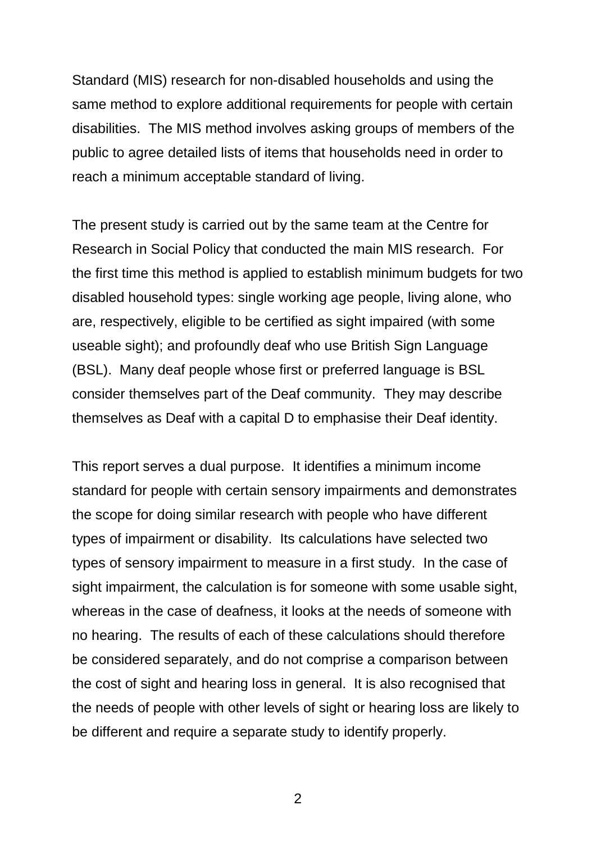Standard (MIS) research for non-disabled households and using the same method to explore additional requirements for people with certain disabilities. The MIS method involves asking groups of members of the public to agree detailed lists of items that households need in order to reach a minimum acceptable standard of living.

The present study is carried out by the same team at the Centre for Research in Social Policy that conducted the main MIS research. For the first time this method is applied to establish minimum budgets for two disabled household types: single working age people, living alone, who are, respectively, eligible to be certified as sight impaired (with some useable sight); and profoundly deaf who use British Sign Language (BSL). Many deaf people whose first or preferred language is BSL consider themselves part of the Deaf community. They may describe themselves as Deaf with a capital D to emphasise their Deaf identity.

This report serves a dual purpose. It identifies a minimum income standard for people with certain sensory impairments and demonstrates the scope for doing similar research with people who have different types of impairment or disability. Its calculations have selected two types of sensory impairment to measure in a first study. In the case of sight impairment, the calculation is for someone with some usable sight, whereas in the case of deafness, it looks at the needs of someone with no hearing. The results of each of these calculations should therefore be considered separately, and do not comprise a comparison between the cost of sight and hearing loss in general. It is also recognised that the needs of people with other levels of sight or hearing loss are likely to be different and require a separate study to identify properly.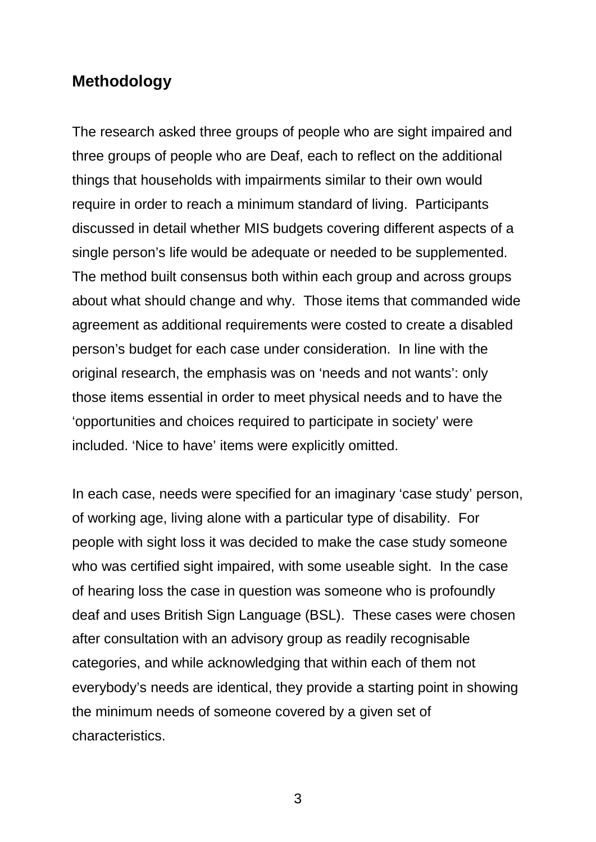# <span id="page-9-0"></span>**Methodology**

The research asked three groups of people who are sight impaired and three groups of people who are Deaf, each to reflect on the additional things that households with impairments similar to their own would require in order to reach a minimum standard of living. Participants discussed in detail whether MIS budgets covering different aspects of a single person's life would be adequate or needed to be supplemented. The method built consensus both within each group and across groups about what should change and why. Those items that commanded wide agreement as additional requirements were costed to create a disabled person's budget for each case under consideration. In line with the original research, the emphasis was on 'needs and not wants': only those items essential in order to meet physical needs and to have the 'opportunities and choices required to participate in society' were included. 'Nice to have' items were explicitly omitted.

In each case, needs were specified for an imaginary 'case study' person, of working age, living alone with a particular type of disability. For people with sight loss it was decided to make the case study someone who was certified sight impaired, with some useable sight. In the case of hearing loss the case in question was someone who is profoundly deaf and uses British Sign Language (BSL). These cases were chosen after consultation with an advisory group as readily recognisable categories, and while acknowledging that within each of them not everybody's needs are identical, they provide a starting point in showing the minimum needs of someone covered by a given set of characteristics.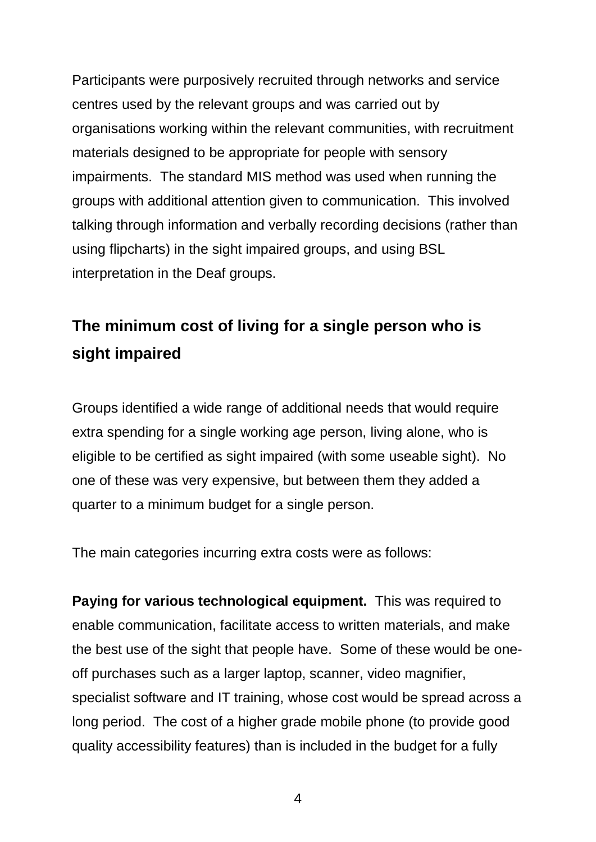Participants were purposively recruited through networks and service centres used by the relevant groups and was carried out by organisations working within the relevant communities, with recruitment materials designed to be appropriate for people with sensory impairments. The standard MIS method was used when running the groups with additional attention given to communication. This involved talking through information and verbally recording decisions (rather than using flipcharts) in the sight impaired groups, and using BSL interpretation in the Deaf groups.

# <span id="page-10-0"></span>**The minimum cost of living for a single person who is sight impaired**

Groups identified a wide range of additional needs that would require extra spending for a single working age person, living alone, who is eligible to be certified as sight impaired (with some useable sight). No one of these was very expensive, but between them they added a quarter to a minimum budget for a single person.

The main categories incurring extra costs were as follows:

**Paying for various technological equipment.** This was required to enable communication, facilitate access to written materials, and make the best use of the sight that people have. Some of these would be oneoff purchases such as a larger laptop, scanner, video magnifier, specialist software and IT training, whose cost would be spread across a long period. The cost of a higher grade mobile phone (to provide good quality accessibility features) than is included in the budget for a fully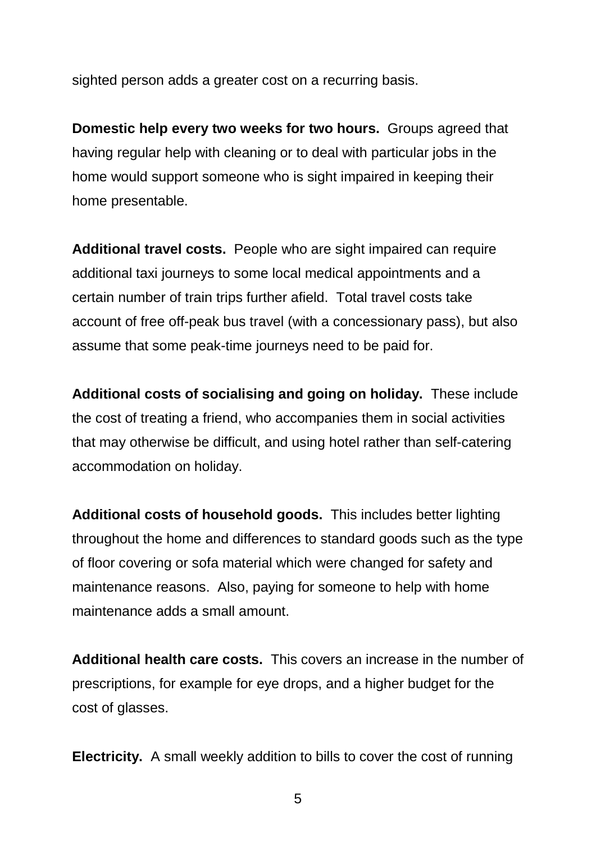sighted person adds a greater cost on a recurring basis.

**Domestic help every two weeks for two hours.** Groups agreed that having regular help with cleaning or to deal with particular jobs in the home would support someone who is sight impaired in keeping their home presentable.

**Additional travel costs.** People who are sight impaired can require additional taxi journeys to some local medical appointments and a certain number of train trips further afield. Total travel costs take account of free off-peak bus travel (with a concessionary pass), but also assume that some peak-time journeys need to be paid for.

**Additional costs of socialising and going on holiday.** These include the cost of treating a friend, who accompanies them in social activities that may otherwise be difficult, and using hotel rather than self-catering accommodation on holiday.

**Additional costs of household goods.** This includes better lighting throughout the home and differences to standard goods such as the type of floor covering or sofa material which were changed for safety and maintenance reasons. Also, paying for someone to help with home maintenance adds a small amount.

**Additional health care costs.** This covers an increase in the number of prescriptions, for example for eye drops, and a higher budget for the cost of glasses.

**Electricity.** A small weekly addition to bills to cover the cost of running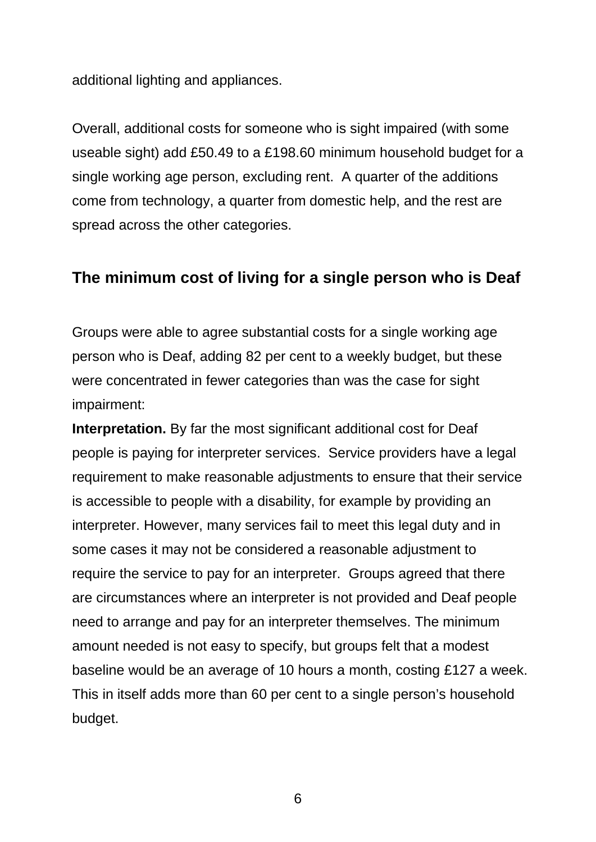additional lighting and appliances.

Overall, additional costs for someone who is sight impaired (with some useable sight) add £50.49 to a £198.60 minimum household budget for a single working age person, excluding rent. A quarter of the additions come from technology, a quarter from domestic help, and the rest are spread across the other categories.

#### <span id="page-12-0"></span>**The minimum cost of living for a single person who is Deaf**

Groups were able to agree substantial costs for a single working age person who is Deaf, adding 82 per cent to a weekly budget, but these were concentrated in fewer categories than was the case for sight impairment:

**Interpretation.** By far the most significant additional cost for Deaf people is paying for interpreter services. Service providers have a legal requirement to make reasonable adjustments to ensure that their service is accessible to people with a disability, for example by providing an interpreter. However, many services fail to meet this legal duty and in some cases it may not be considered a reasonable adjustment to require the service to pay for an interpreter. Groups agreed that there are circumstances where an interpreter is not provided and Deaf people need to arrange and pay for an interpreter themselves. The minimum amount needed is not easy to specify, but groups felt that a modest baseline would be an average of 10 hours a month, costing £127 a week. This in itself adds more than 60 per cent to a single person's household budget.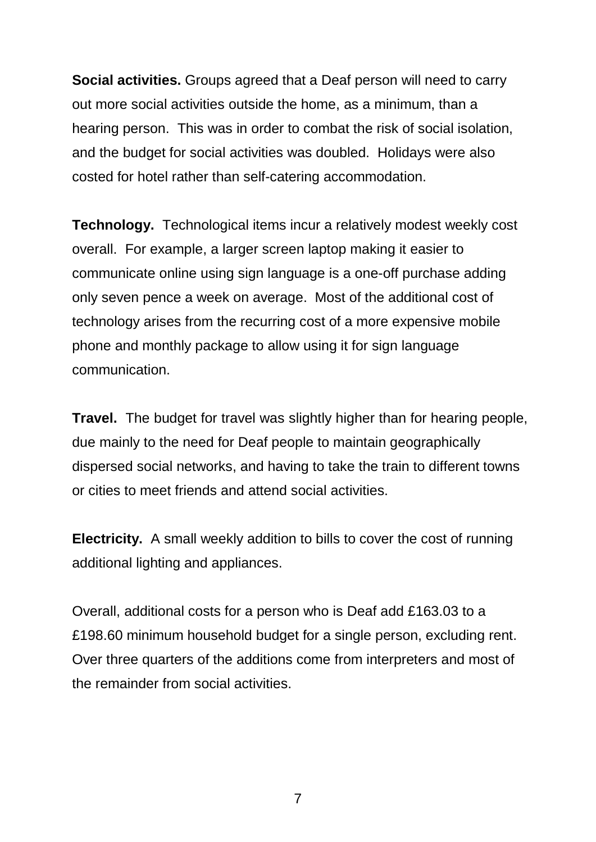**Social activities.** Groups agreed that a Deaf person will need to carry out more social activities outside the home, as a minimum, than a hearing person. This was in order to combat the risk of social isolation, and the budget for social activities was doubled. Holidays were also costed for hotel rather than self-catering accommodation.

**Technology.** Technological items incur a relatively modest weekly cost overall. For example, a larger screen laptop making it easier to communicate online using sign language is a one-off purchase adding only seven pence a week on average. Most of the additional cost of technology arises from the recurring cost of a more expensive mobile phone and monthly package to allow using it for sign language communication.

**Travel.** The budget for travel was slightly higher than for hearing people, due mainly to the need for Deaf people to maintain geographically dispersed social networks, and having to take the train to different towns or cities to meet friends and attend social activities.

**Electricity.** A small weekly addition to bills to cover the cost of running additional lighting and appliances.

Overall, additional costs for a person who is Deaf add £163.03 to a £198.60 minimum household budget for a single person, excluding rent. Over three quarters of the additions come from interpreters and most of the remainder from social activities.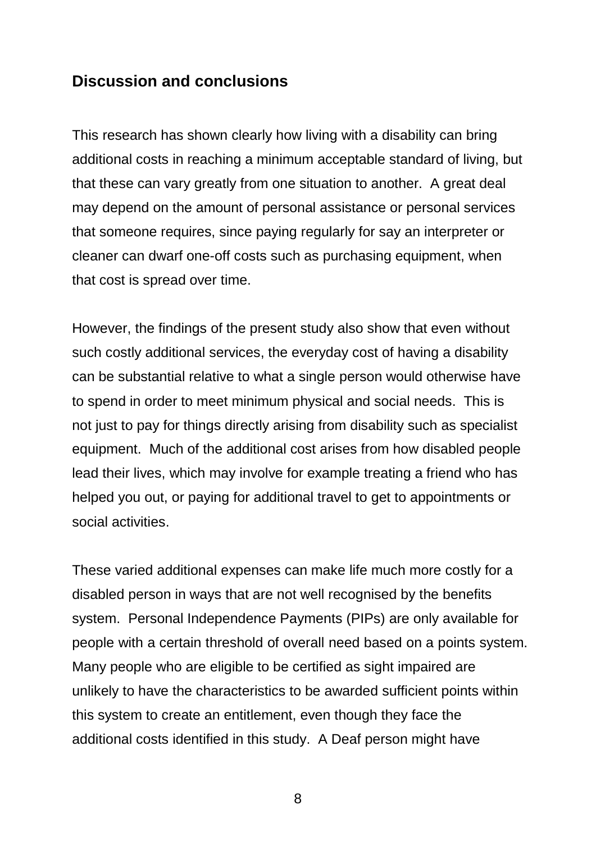### <span id="page-14-0"></span>**Discussion and conclusions**

This research has shown clearly how living with a disability can bring additional costs in reaching a minimum acceptable standard of living, but that these can vary greatly from one situation to another. A great deal may depend on the amount of personal assistance or personal services that someone requires, since paying regularly for say an interpreter or cleaner can dwarf one-off costs such as purchasing equipment, when that cost is spread over time.

However, the findings of the present study also show that even without such costly additional services, the everyday cost of having a disability can be substantial relative to what a single person would otherwise have to spend in order to meet minimum physical and social needs. This is not just to pay for things directly arising from disability such as specialist equipment. Much of the additional cost arises from how disabled people lead their lives, which may involve for example treating a friend who has helped you out, or paying for additional travel to get to appointments or social activities.

These varied additional expenses can make life much more costly for a disabled person in ways that are not well recognised by the benefits system. Personal Independence Payments (PIPs) are only available for people with a certain threshold of overall need based on a points system. Many people who are eligible to be certified as sight impaired are unlikely to have the characteristics to be awarded sufficient points within this system to create an entitlement, even though they face the additional costs identified in this study. A Deaf person might have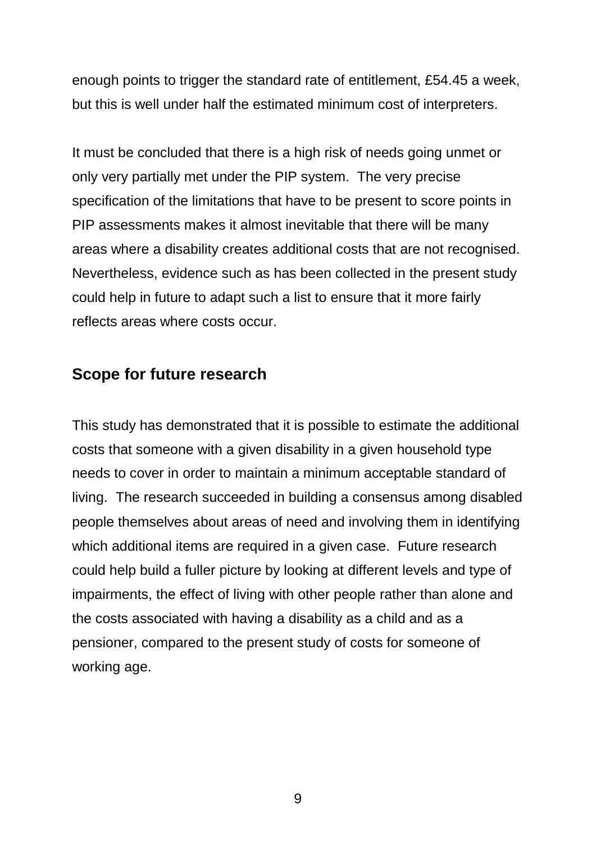enough points to trigger the standard rate of entitlement, £54.45 a week, but this is well under half the estimated minimum cost of interpreters.

It must be concluded that there is a high risk of needs going unmet or only very partially met under the PIP system. The very precise specification of the limitations that have to be present to score points in PIP assessments makes it almost inevitable that there will be many areas where a disability creates additional costs that are not recognised. Nevertheless, evidence such as has been collected in the present study could help in future to adapt such a list to ensure that it more fairly reflects areas where costs occur.

### <span id="page-15-0"></span>**Scope for future research**

This study has demonstrated that it is possible to estimate the additional costs that someone with a given disability in a given household type needs to cover in order to maintain a minimum acceptable standard of living. The research succeeded in building a consensus among disabled people themselves about areas of need and involving them in identifying which additional items are required in a given case. Future research could help build a fuller picture by looking at different levels and type of impairments, the effect of living with other people rather than alone and the costs associated with having a disability as a child and as a pensioner, compared to the present study of costs for someone of working age.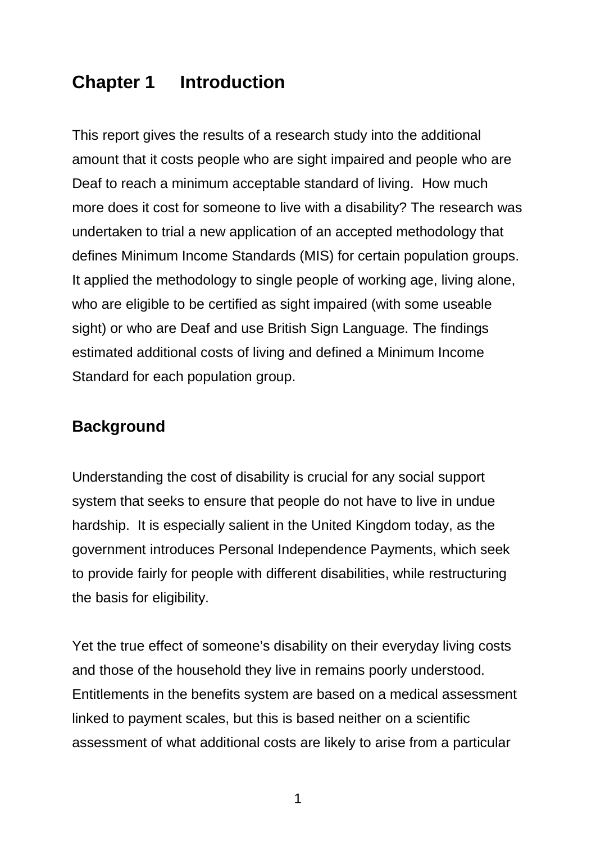# <span id="page-16-0"></span>**Chapter 1 Introduction**

This report gives the results of a research study into the additional amount that it costs people who are sight impaired and people who are Deaf to reach a minimum acceptable standard of living. How much more does it cost for someone to live with a disability? The research was undertaken to trial a new application of an accepted methodology that defines Minimum Income Standards (MIS) for certain population groups. It applied the methodology to single people of working age, living alone, who are eligible to be certified as sight impaired (with some useable sight) or who are Deaf and use British Sign Language. The findings estimated additional costs of living and defined a Minimum Income Standard for each population group.

# <span id="page-16-1"></span>**Background**

Understanding the cost of disability is crucial for any social support system that seeks to ensure that people do not have to live in undue hardship. It is especially salient in the United Kingdom today, as the government introduces Personal Independence Payments, which seek to provide fairly for people with different disabilities, while restructuring the basis for eligibility.

Yet the true effect of someone's disability on their everyday living costs and those of the household they live in remains poorly understood. Entitlements in the benefits system are based on a medical assessment linked to payment scales, but this is based neither on a scientific assessment of what additional costs are likely to arise from a particular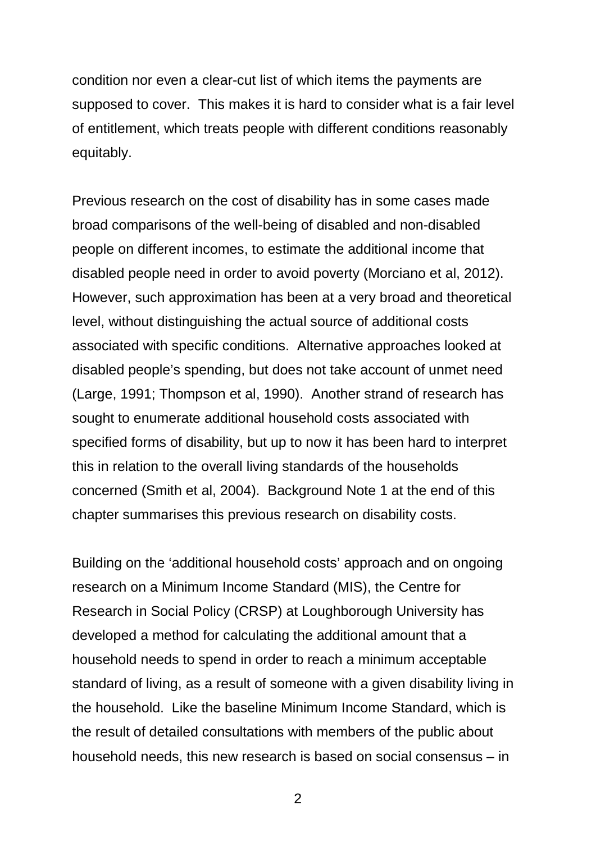condition nor even a clear-cut list of which items the payments are supposed to cover. This makes it is hard to consider what is a fair level of entitlement, which treats people with different conditions reasonably equitably.

Previous research on the cost of disability has in some cases made broad comparisons of the well-being of disabled and non-disabled people on different incomes, to estimate the additional income that disabled people need in order to avoid poverty (Morciano et al, 2012). However, such approximation has been at a very broad and theoretical level, without distinguishing the actual source of additional costs associated with specific conditions. Alternative approaches looked at disabled people's spending, but does not take account of unmet need (Large, 1991; Thompson et al, 1990). Another strand of research has sought to enumerate additional household costs associated with specified forms of disability, but up to now it has been hard to interpret this in relation to the overall living standards of the households concerned (Smith et al, 2004). Background Note 1 at the end of this chapter summarises this previous research on disability costs.

Building on the 'additional household costs' approach and on ongoing research on a Minimum Income Standard (MIS), the Centre for Research in Social Policy (CRSP) at Loughborough University has developed a method for calculating the additional amount that a household needs to spend in order to reach a minimum acceptable standard of living, as a result of someone with a given disability living in the household. Like the baseline Minimum Income Standard, which is the result of detailed consultations with members of the public about household needs, this new research is based on social consensus – in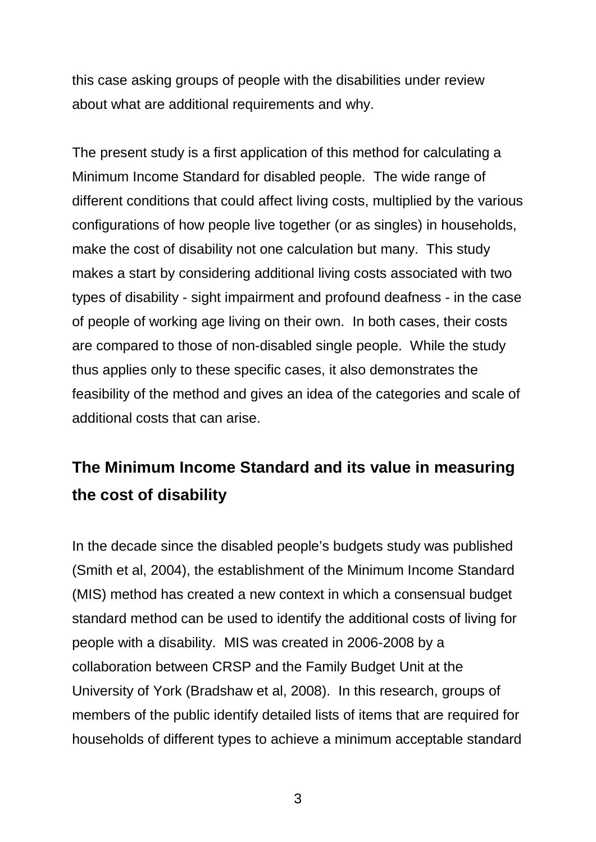this case asking groups of people with the disabilities under review about what are additional requirements and why.

The present study is a first application of this method for calculating a Minimum Income Standard for disabled people. The wide range of different conditions that could affect living costs, multiplied by the various configurations of how people live together (or as singles) in households, make the cost of disability not one calculation but many. This study makes a start by considering additional living costs associated with two types of disability - sight impairment and profound deafness - in the case of people of working age living on their own. In both cases, their costs are compared to those of non-disabled single people. While the study thus applies only to these specific cases, it also demonstrates the feasibility of the method and gives an idea of the categories and scale of additional costs that can arise.

# <span id="page-18-0"></span>**The Minimum Income Standard and its value in measuring the cost of disability**

In the decade since the disabled people's budgets study was published (Smith et al, 2004), the establishment of the Minimum Income Standard (MIS) method has created a new context in which a consensual budget standard method can be used to identify the additional costs of living for people with a disability. MIS was created in 2006-2008 by a collaboration between CRSP and the Family Budget Unit at the University of York (Bradshaw et al, 2008). In this research, groups of members of the public identify detailed lists of items that are required for households of different types to achieve a minimum acceptable standard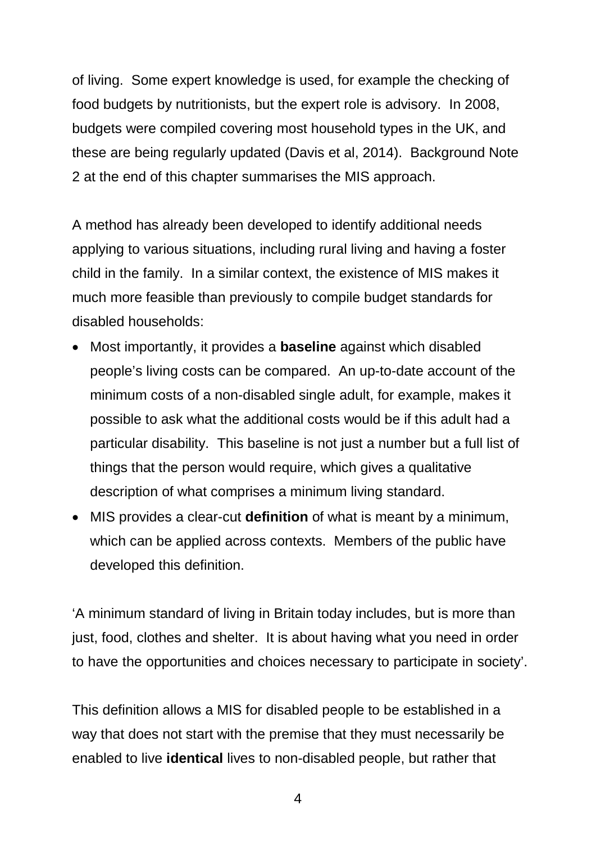of living. Some expert knowledge is used, for example the checking of food budgets by nutritionists, but the expert role is advisory. In 2008, budgets were compiled covering most household types in the UK, and these are being regularly updated (Davis et al, 2014). Background Note 2 at the end of this chapter summarises the MIS approach.

A method has already been developed to identify additional needs applying to various situations, including rural living and having a foster child in the family. In a similar context, the existence of MIS makes it much more feasible than previously to compile budget standards for disabled households:

- Most importantly, it provides a **baseline** against which disabled people's living costs can be compared. An up-to-date account of the minimum costs of a non-disabled single adult, for example, makes it possible to ask what the additional costs would be if this adult had a particular disability. This baseline is not just a number but a full list of things that the person would require, which gives a qualitative description of what comprises a minimum living standard.
- MIS provides a clear-cut **definition** of what is meant by a minimum, which can be applied across contexts. Members of the public have developed this definition.

'A minimum standard of living in Britain today includes, but is more than just, food, clothes and shelter. It is about having what you need in order to have the opportunities and choices necessary to participate in society'.

This definition allows a MIS for disabled people to be established in a way that does not start with the premise that they must necessarily be enabled to live **identical** lives to non-disabled people, but rather that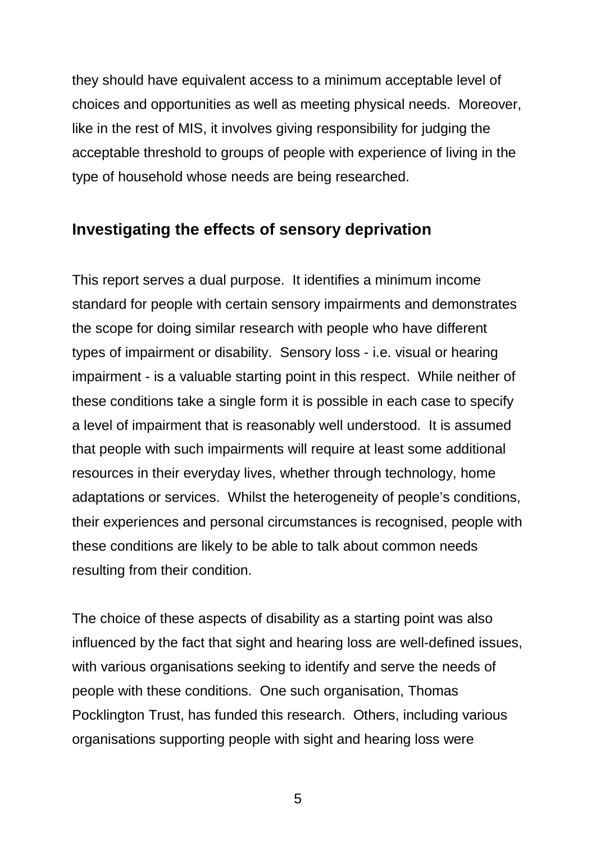they should have equivalent access to a minimum acceptable level of choices and opportunities as well as meeting physical needs. Moreover, like in the rest of MIS, it involves giving responsibility for judging the acceptable threshold to groups of people with experience of living in the type of household whose needs are being researched.

#### <span id="page-20-0"></span>**Investigating the effects of sensory deprivation**

This report serves a dual purpose. It identifies a minimum income standard for people with certain sensory impairments and demonstrates the scope for doing similar research with people who have different types of impairment or disability. Sensory loss - i.e. visual or hearing impairment - is a valuable starting point in this respect. While neither of these conditions take a single form it is possible in each case to specify a level of impairment that is reasonably well understood. It is assumed that people with such impairments will require at least some additional resources in their everyday lives, whether through technology, home adaptations or services. Whilst the heterogeneity of people's conditions, their experiences and personal circumstances is recognised, people with these conditions are likely to be able to talk about common needs resulting from their condition.

The choice of these aspects of disability as a starting point was also influenced by the fact that sight and hearing loss are well-defined issues, with various organisations seeking to identify and serve the needs of people with these conditions. One such organisation, Thomas Pocklington Trust, has funded this research. Others, including various organisations supporting people with sight and hearing loss were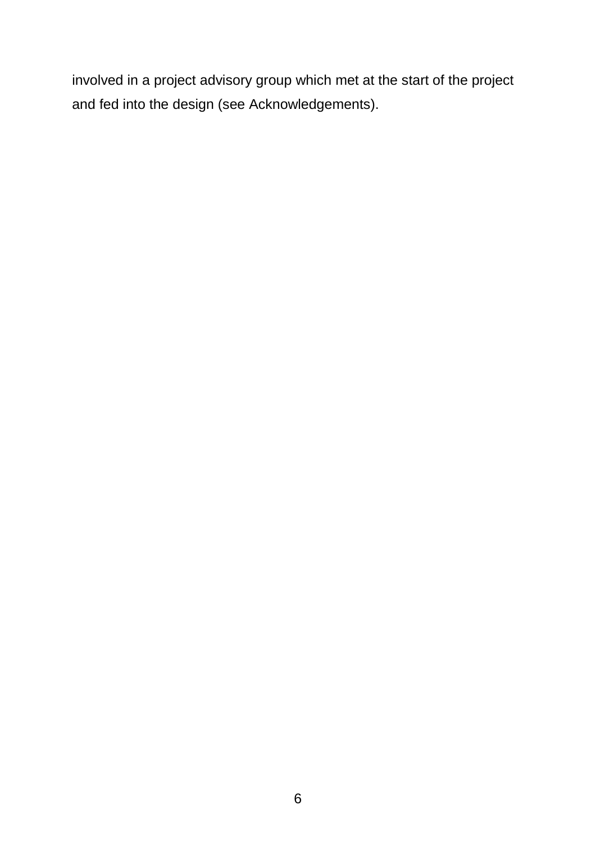involved in a project advisory group which met at the start of the project and fed into the design (see Acknowledgements).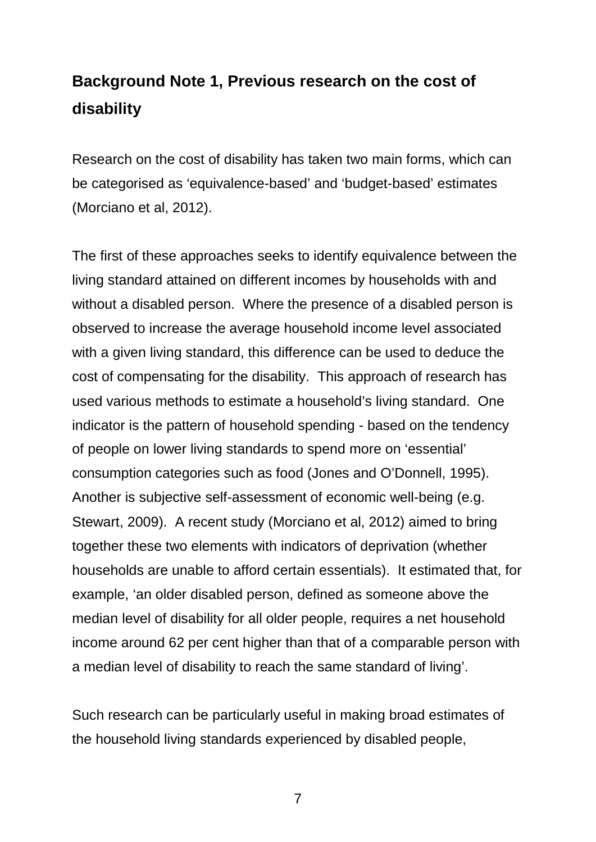# <span id="page-22-0"></span>**Background Note 1, Previous research on the cost of disability**

Research on the cost of disability has taken two main forms, which can be categorised as 'equivalence-based' and 'budget-based' estimates (Morciano et al, 2012).

The first of these approaches seeks to identify equivalence between the living standard attained on different incomes by households with and without a disabled person. Where the presence of a disabled person is observed to increase the average household income level associated with a given living standard, this difference can be used to deduce the cost of compensating for the disability. This approach of research has used various methods to estimate a household's living standard. One indicator is the pattern of household spending - based on the tendency of people on lower living standards to spend more on 'essential' consumption categories such as food (Jones and O'Donnell, 1995). Another is subjective self-assessment of economic well-being (e.g. Stewart, 2009). A recent study (Morciano et al, 2012) aimed to bring together these two elements with indicators of deprivation (whether households are unable to afford certain essentials). It estimated that, for example, 'an older disabled person, defined as someone above the median level of disability for all older people, requires a net household income around 62 per cent higher than that of a comparable person with a median level of disability to reach the same standard of living'.

Such research can be particularly useful in making broad estimates of the household living standards experienced by disabled people,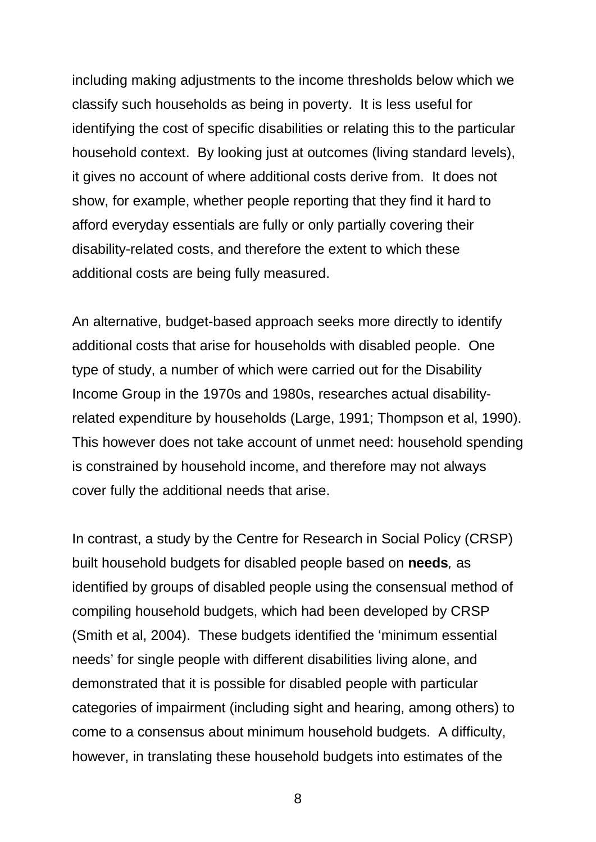including making adjustments to the income thresholds below which we classify such households as being in poverty. It is less useful for identifying the cost of specific disabilities or relating this to the particular household context. By looking just at outcomes (living standard levels), it gives no account of where additional costs derive from. It does not show, for example, whether people reporting that they find it hard to afford everyday essentials are fully or only partially covering their disability-related costs, and therefore the extent to which these additional costs are being fully measured.

An alternative, budget-based approach seeks more directly to identify additional costs that arise for households with disabled people. One type of study, a number of which were carried out for the Disability Income Group in the 1970s and 1980s, researches actual disabilityrelated expenditure by households (Large, 1991; Thompson et al, 1990). This however does not take account of unmet need: household spending is constrained by household income, and therefore may not always cover fully the additional needs that arise.

In contrast, a study by the Centre for Research in Social Policy (CRSP) built household budgets for disabled people based on **needs***,* as identified by groups of disabled people using the consensual method of compiling household budgets, which had been developed by CRSP (Smith et al, 2004). These budgets identified the 'minimum essential needs' for single people with different disabilities living alone, and demonstrated that it is possible for disabled people with particular categories of impairment (including sight and hearing, among others) to come to a consensus about minimum household budgets. A difficulty, however, in translating these household budgets into estimates of the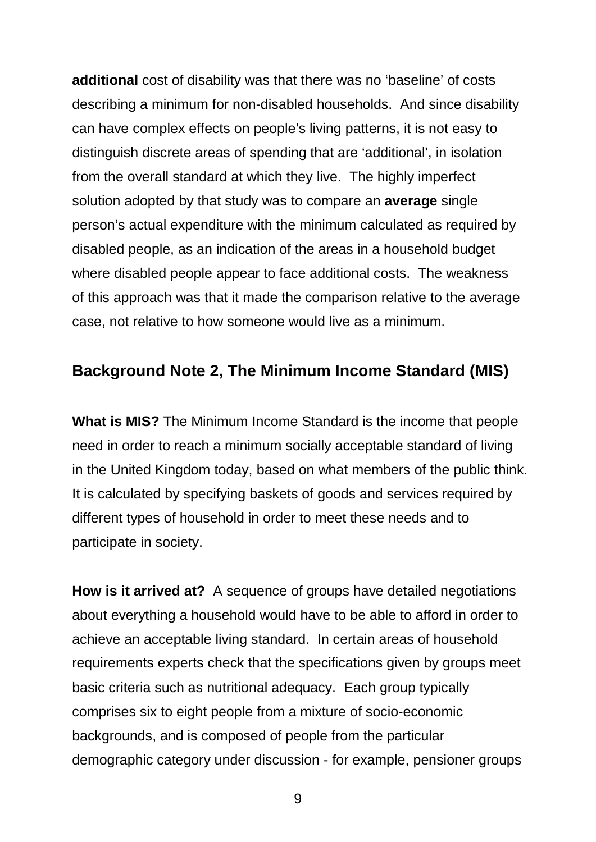**additional** cost of disability was that there was no 'baseline' of costs describing a minimum for non-disabled households. And since disability can have complex effects on people's living patterns, it is not easy to distinguish discrete areas of spending that are 'additional', in isolation from the overall standard at which they live. The highly imperfect solution adopted by that study was to compare an **average** single person's actual expenditure with the minimum calculated as required by disabled people, as an indication of the areas in a household budget where disabled people appear to face additional costs. The weakness of this approach was that it made the comparison relative to the average case, not relative to how someone would live as a minimum.

### <span id="page-24-0"></span>**Background Note 2, The Minimum Income Standard (MIS)**

**What is MIS?** The Minimum Income Standard is the income that people need in order to reach a minimum socially acceptable standard of living in the United Kingdom today, based on what members of the public think. It is calculated by specifying baskets of goods and services required by different types of household in order to meet these needs and to participate in society.

**How is it arrived at?** A sequence of groups have detailed negotiations about everything a household would have to be able to afford in order to achieve an acceptable living standard. In certain areas of household requirements experts check that the specifications given by groups meet basic criteria such as nutritional adequacy. Each group typically comprises six to eight people from a mixture of socio-economic backgrounds, and is composed of people from the particular demographic category under discussion - for example, pensioner groups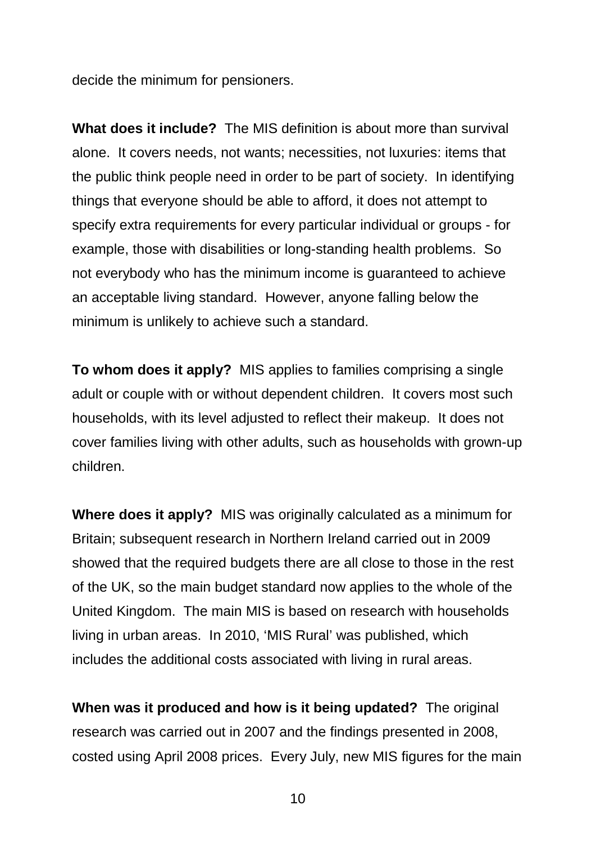decide the minimum for pensioners.

**What does it include?** The MIS definition is about more than survival alone. It covers needs, not wants; necessities, not luxuries: items that the public think people need in order to be part of society. In identifying things that everyone should be able to afford, it does not attempt to specify extra requirements for every particular individual or groups - for example, those with disabilities or long-standing health problems. So not everybody who has the minimum income is guaranteed to achieve an acceptable living standard. However, anyone falling below the minimum is unlikely to achieve such a standard.

**To whom does it apply?** MIS applies to families comprising a single adult or couple with or without dependent children. It covers most such households, with its level adjusted to reflect their makeup. It does not cover families living with other adults, such as households with grown-up children.

**Where does it apply?** MIS was originally calculated as a minimum for Britain; subsequent research in Northern Ireland carried out in 2009 showed that the required budgets there are all close to those in the rest of the UK, so the main budget standard now applies to the whole of the United Kingdom. The main MIS is based on research with households living in urban areas. In 2010, 'MIS Rural' was published, which includes the additional costs associated with living in rural areas.

**When was it produced and how is it being updated?** The original research was carried out in 2007 and the findings presented in 2008, costed using April 2008 prices. Every July, new MIS figures for the main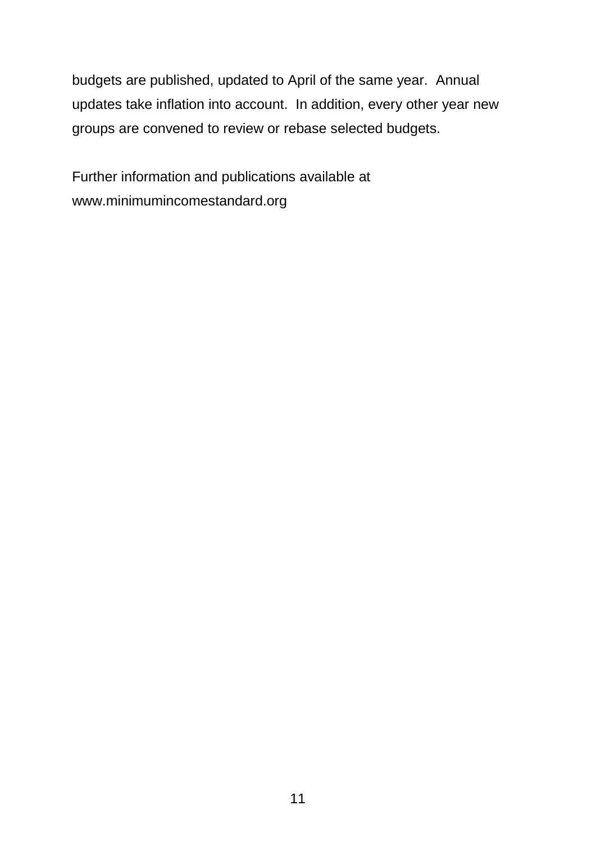budgets are published, updated to April of the same year. Annual updates take inflation into account. In addition, every other year new groups are convened to review or rebase selected budgets.

Further information and publications available at www.minimumincomestandard.org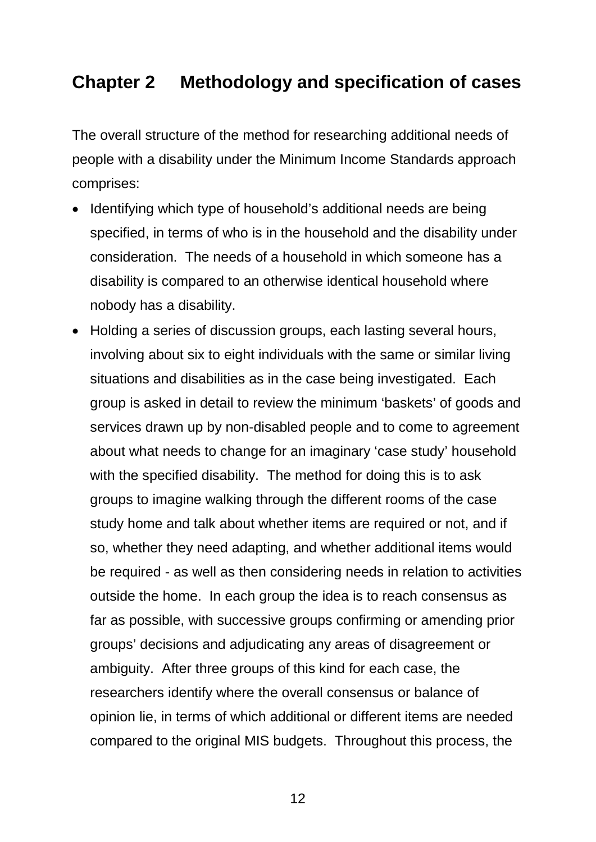# <span id="page-27-0"></span>**Chapter 2 Methodology and specification of cases**

The overall structure of the method for researching additional needs of people with a disability under the Minimum Income Standards approach comprises:

- Identifying which type of household's additional needs are being specified, in terms of who is in the household and the disability under consideration. The needs of a household in which someone has a disability is compared to an otherwise identical household where nobody has a disability.
- Holding a series of discussion groups, each lasting several hours, involving about six to eight individuals with the same or similar living situations and disabilities as in the case being investigated. Each group is asked in detail to review the minimum 'baskets' of goods and services drawn up by non-disabled people and to come to agreement about what needs to change for an imaginary 'case study' household with the specified disability. The method for doing this is to ask groups to imagine walking through the different rooms of the case study home and talk about whether items are required or not, and if so, whether they need adapting, and whether additional items would be required - as well as then considering needs in relation to activities outside the home. In each group the idea is to reach consensus as far as possible, with successive groups confirming or amending prior groups' decisions and adjudicating any areas of disagreement or ambiguity. After three groups of this kind for each case, the researchers identify where the overall consensus or balance of opinion lie, in terms of which additional or different items are needed compared to the original MIS budgets. Throughout this process, the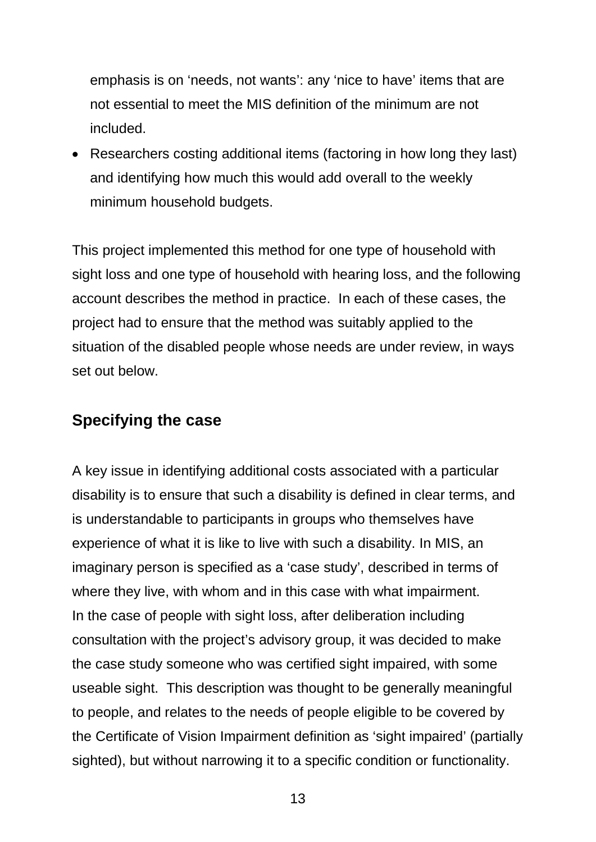emphasis is on 'needs, not wants': any 'nice to have' items that are not essential to meet the MIS definition of the minimum are not included.

• Researchers costing additional items (factoring in how long they last) and identifying how much this would add overall to the weekly minimum household budgets.

This project implemented this method for one type of household with sight loss and one type of household with hearing loss, and the following account describes the method in practice. In each of these cases, the project had to ensure that the method was suitably applied to the situation of the disabled people whose needs are under review, in ways set out below.

### <span id="page-28-0"></span>**Specifying the case**

A key issue in identifying additional costs associated with a particular disability is to ensure that such a disability is defined in clear terms, and is understandable to participants in groups who themselves have experience of what it is like to live with such a disability. In MIS, an imaginary person is specified as a 'case study', described in terms of where they live, with whom and in this case with what impairment. In the case of people with sight loss, after deliberation including consultation with the project's advisory group, it was decided to make the case study someone who was certified sight impaired, with some useable sight. This description was thought to be generally meaningful to people, and relates to the needs of people eligible to be covered by the Certificate of Vision Impairment definition as 'sight impaired' (partially sighted), but without narrowing it to a specific condition or functionality.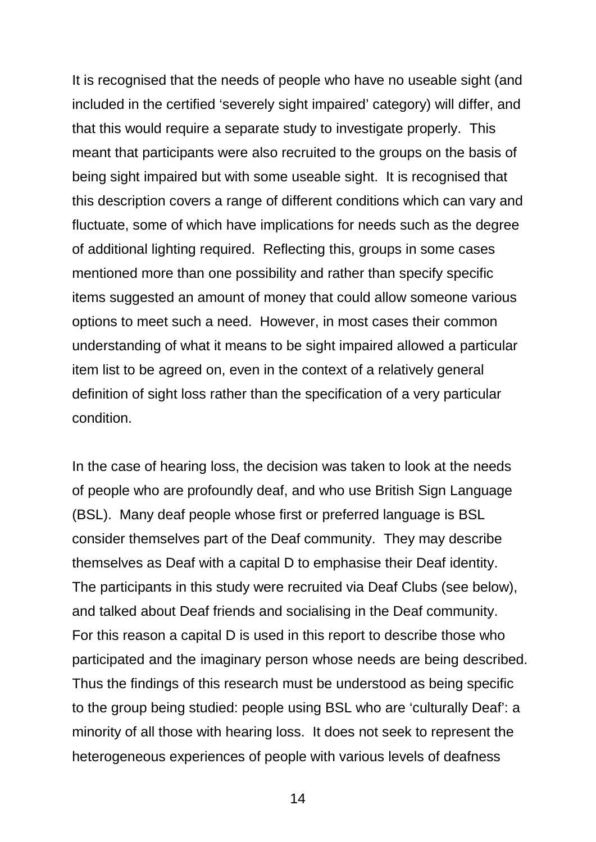It is recognised that the needs of people who have no useable sight (and included in the certified 'severely sight impaired' category) will differ, and that this would require a separate study to investigate properly. This meant that participants were also recruited to the groups on the basis of being sight impaired but with some useable sight. It is recognised that this description covers a range of different conditions which can vary and fluctuate, some of which have implications for needs such as the degree of additional lighting required. Reflecting this, groups in some cases mentioned more than one possibility and rather than specify specific items suggested an amount of money that could allow someone various options to meet such a need. However, in most cases their common understanding of what it means to be sight impaired allowed a particular item list to be agreed on, even in the context of a relatively general definition of sight loss rather than the specification of a very particular condition.

In the case of hearing loss, the decision was taken to look at the needs of people who are profoundly deaf, and who use British Sign Language (BSL). Many deaf people whose first or preferred language is BSL consider themselves part of the Deaf community. They may describe themselves as Deaf with a capital D to emphasise their Deaf identity. The participants in this study were recruited via Deaf Clubs (see below), and talked about Deaf friends and socialising in the Deaf community. For this reason a capital D is used in this report to describe those who participated and the imaginary person whose needs are being described. Thus the findings of this research must be understood as being specific to the group being studied: people using BSL who are 'culturally Deaf': a minority of all those with hearing loss. It does not seek to represent the heterogeneous experiences of people with various levels of deafness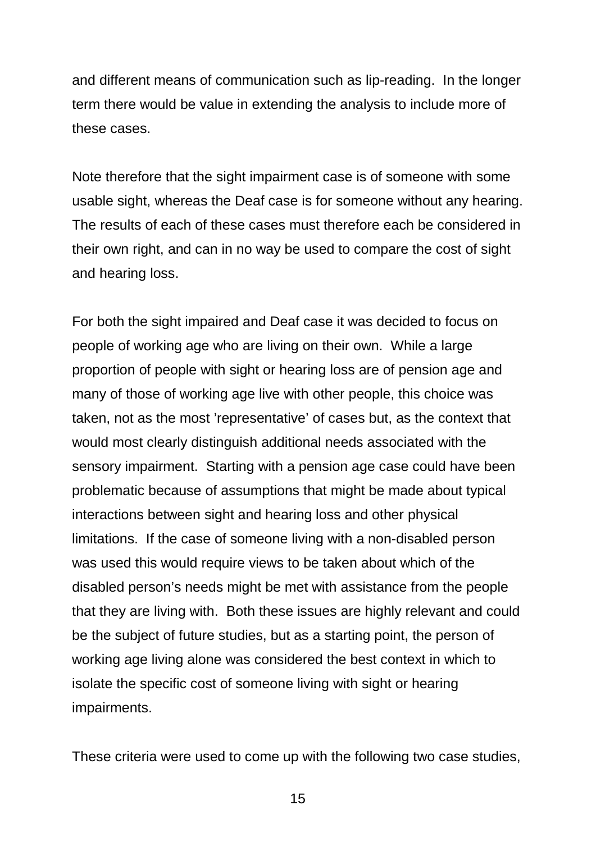and different means of communication such as lip-reading. In the longer term there would be value in extending the analysis to include more of these cases.

Note therefore that the sight impairment case is of someone with some usable sight, whereas the Deaf case is for someone without any hearing. The results of each of these cases must therefore each be considered in their own right, and can in no way be used to compare the cost of sight and hearing loss.

For both the sight impaired and Deaf case it was decided to focus on people of working age who are living on their own. While a large proportion of people with sight or hearing loss are of pension age and many of those of working age live with other people, this choice was taken, not as the most 'representative' of cases but, as the context that would most clearly distinguish additional needs associated with the sensory impairment. Starting with a pension age case could have been problematic because of assumptions that might be made about typical interactions between sight and hearing loss and other physical limitations. If the case of someone living with a non-disabled person was used this would require views to be taken about which of the disabled person's needs might be met with assistance from the people that they are living with. Both these issues are highly relevant and could be the subject of future studies, but as a starting point, the person of working age living alone was considered the best context in which to isolate the specific cost of someone living with sight or hearing impairments.

These criteria were used to come up with the following two case studies,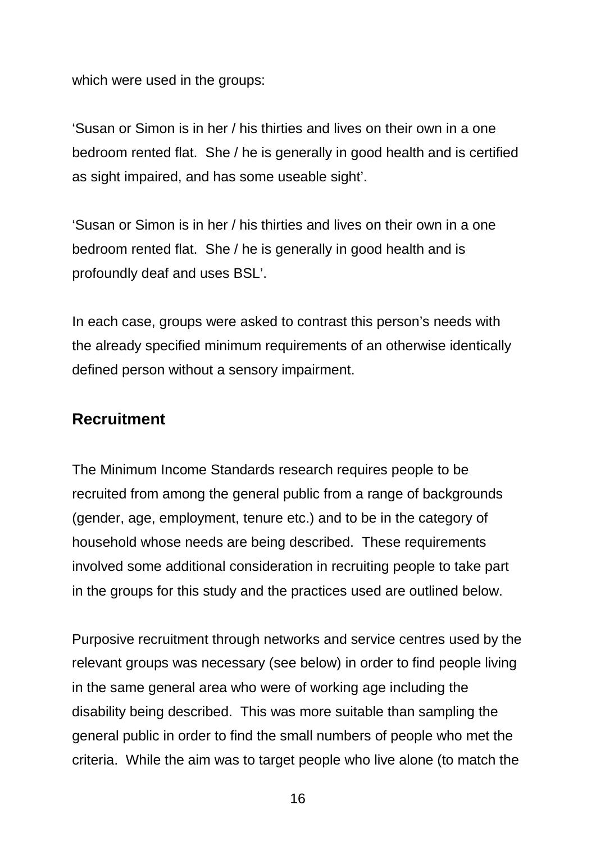which were used in the groups:

'Susan or Simon is in her / his thirties and lives on their own in a one bedroom rented flat. She / he is generally in good health and is certified as sight impaired, and has some useable sight'.

'Susan or Simon is in her / his thirties and lives on their own in a one bedroom rented flat. She / he is generally in good health and is profoundly deaf and uses BSL'.

In each case, groups were asked to contrast this person's needs with the already specified minimum requirements of an otherwise identically defined person without a sensory impairment.

### <span id="page-31-0"></span>**Recruitment**

The Minimum Income Standards research requires people to be recruited from among the general public from a range of backgrounds (gender, age, employment, tenure etc.) and to be in the category of household whose needs are being described. These requirements involved some additional consideration in recruiting people to take part in the groups for this study and the practices used are outlined below.

Purposive recruitment through networks and service centres used by the relevant groups was necessary (see below) in order to find people living in the same general area who were of working age including the disability being described. This was more suitable than sampling the general public in order to find the small numbers of people who met the criteria. While the aim was to target people who live alone (to match the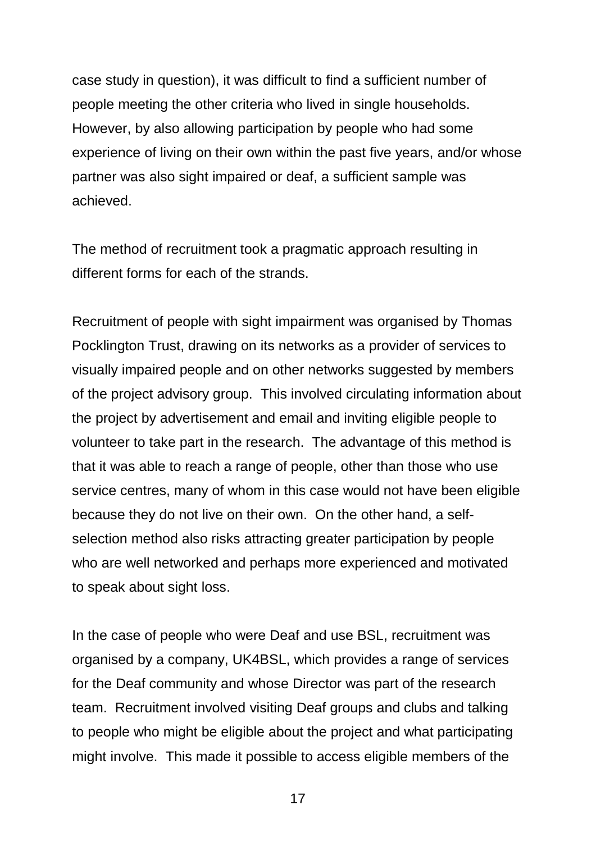case study in question), it was difficult to find a sufficient number of people meeting the other criteria who lived in single households. However, by also allowing participation by people who had some experience of living on their own within the past five years, and/or whose partner was also sight impaired or deaf, a sufficient sample was achieved.

The method of recruitment took a pragmatic approach resulting in different forms for each of the strands.

Recruitment of people with sight impairment was organised by Thomas Pocklington Trust, drawing on its networks as a provider of services to visually impaired people and on other networks suggested by members of the project advisory group. This involved circulating information about the project by advertisement and email and inviting eligible people to volunteer to take part in the research. The advantage of this method is that it was able to reach a range of people, other than those who use service centres, many of whom in this case would not have been eligible because they do not live on their own. On the other hand, a selfselection method also risks attracting greater participation by people who are well networked and perhaps more experienced and motivated to speak about sight loss.

In the case of people who were Deaf and use BSL, recruitment was organised by a company, UK4BSL, which provides a range of services for the Deaf community and whose Director was part of the research team. Recruitment involved visiting Deaf groups and clubs and talking to people who might be eligible about the project and what participating might involve. This made it possible to access eligible members of the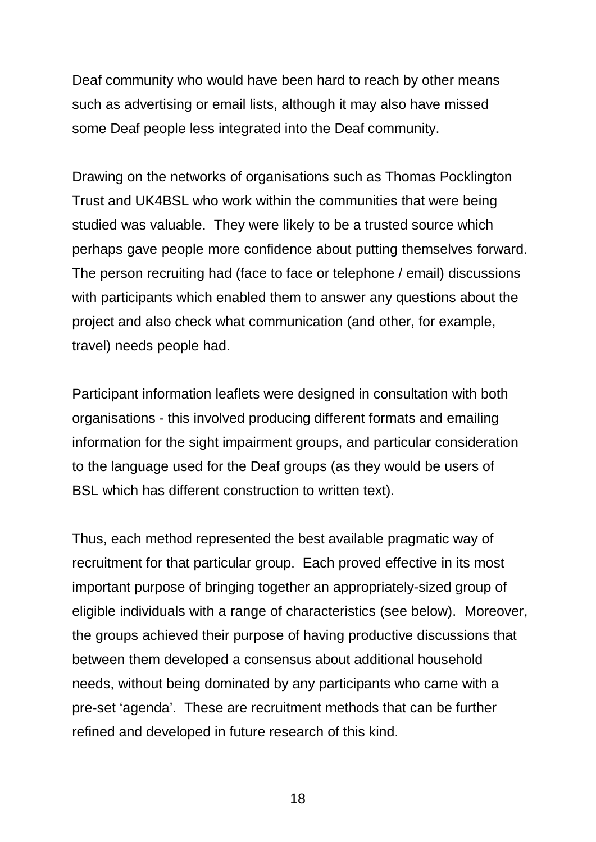Deaf community who would have been hard to reach by other means such as advertising or email lists, although it may also have missed some Deaf people less integrated into the Deaf community.

Drawing on the networks of organisations such as Thomas Pocklington Trust and UK4BSL who work within the communities that were being studied was valuable. They were likely to be a trusted source which perhaps gave people more confidence about putting themselves forward. The person recruiting had (face to face or telephone / email) discussions with participants which enabled them to answer any questions about the project and also check what communication (and other, for example, travel) needs people had.

Participant information leaflets were designed in consultation with both organisations - this involved producing different formats and emailing information for the sight impairment groups, and particular consideration to the language used for the Deaf groups (as they would be users of BSL which has different construction to written text).

Thus, each method represented the best available pragmatic way of recruitment for that particular group. Each proved effective in its most important purpose of bringing together an appropriately-sized group of eligible individuals with a range of characteristics (see below). Moreover, the groups achieved their purpose of having productive discussions that between them developed a consensus about additional household needs, without being dominated by any participants who came with a pre-set 'agenda'. These are recruitment methods that can be further refined and developed in future research of this kind.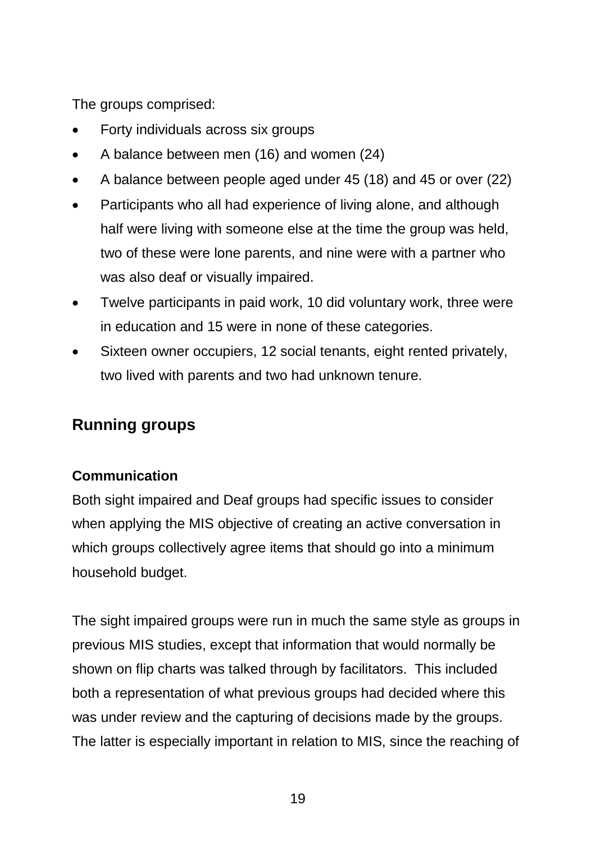The groups comprised:

- Forty individuals across six groups
- A balance between men (16) and women (24)
- A balance between people aged under 45 (18) and 45 or over (22)
- Participants who all had experience of living alone, and although half were living with someone else at the time the group was held, two of these were lone parents, and nine were with a partner who was also deaf or visually impaired.
- Twelve participants in paid work, 10 did voluntary work, three were in education and 15 were in none of these categories.
- Sixteen owner occupiers, 12 social tenants, eight rented privately, two lived with parents and two had unknown tenure.

# <span id="page-34-0"></span>**Running groups**

#### **Communication**

Both sight impaired and Deaf groups had specific issues to consider when applying the MIS objective of creating an active conversation in which groups collectively agree items that should go into a minimum household budget.

The sight impaired groups were run in much the same style as groups in previous MIS studies, except that information that would normally be shown on flip charts was talked through by facilitators. This included both a representation of what previous groups had decided where this was under review and the capturing of decisions made by the groups. The latter is especially important in relation to MIS, since the reaching of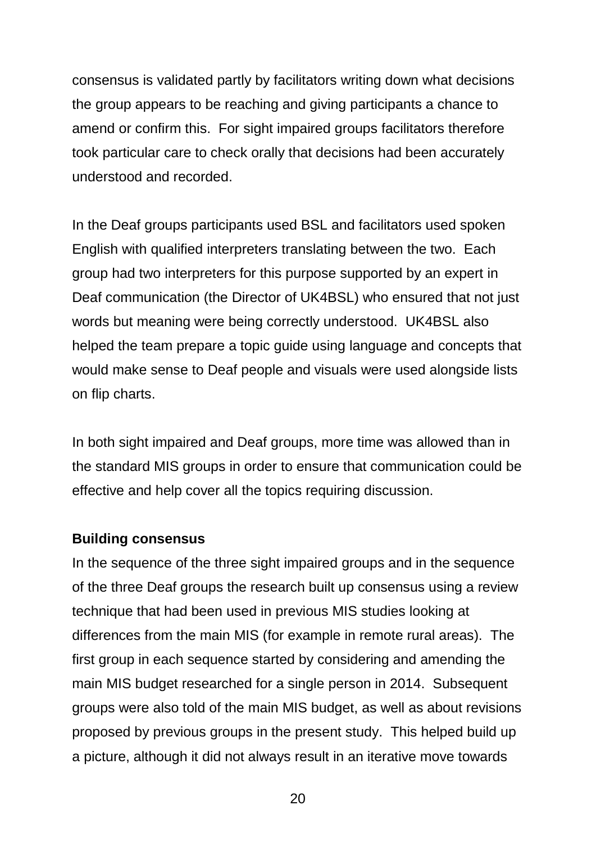consensus is validated partly by facilitators writing down what decisions the group appears to be reaching and giving participants a chance to amend or confirm this. For sight impaired groups facilitators therefore took particular care to check orally that decisions had been accurately understood and recorded.

In the Deaf groups participants used BSL and facilitators used spoken English with qualified interpreters translating between the two. Each group had two interpreters for this purpose supported by an expert in Deaf communication (the Director of UK4BSL) who ensured that not just words but meaning were being correctly understood. UK4BSL also helped the team prepare a topic guide using language and concepts that would make sense to Deaf people and visuals were used alongside lists on flip charts.

In both sight impaired and Deaf groups, more time was allowed than in the standard MIS groups in order to ensure that communication could be effective and help cover all the topics requiring discussion.

#### **Building consensus**

In the sequence of the three sight impaired groups and in the sequence of the three Deaf groups the research built up consensus using a review technique that had been used in previous MIS studies looking at differences from the main MIS (for example in remote rural areas). The first group in each sequence started by considering and amending the main MIS budget researched for a single person in 2014. Subsequent groups were also told of the main MIS budget, as well as about revisions proposed by previous groups in the present study. This helped build up a picture, although it did not always result in an iterative move towards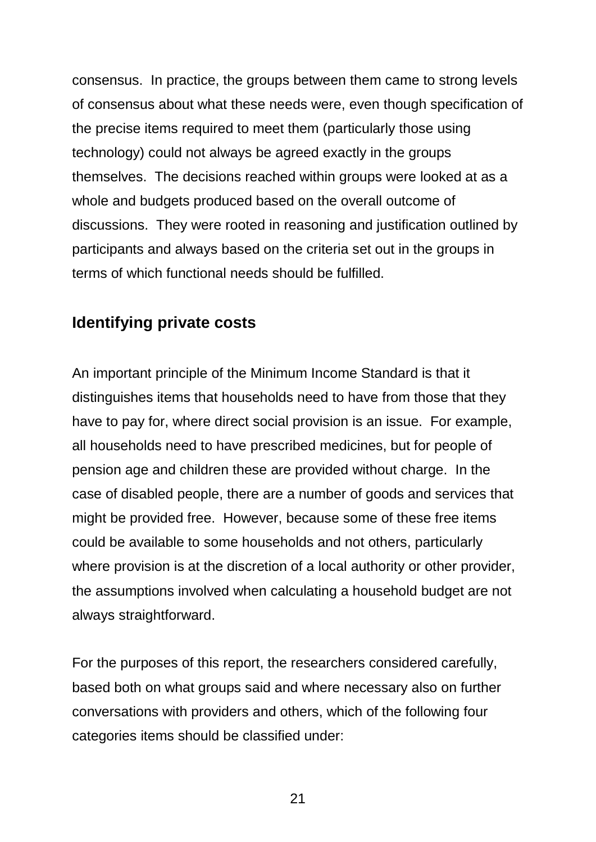consensus. In practice, the groups between them came to strong levels of consensus about what these needs were, even though specification of the precise items required to meet them (particularly those using technology) could not always be agreed exactly in the groups themselves. The decisions reached within groups were looked at as a whole and budgets produced based on the overall outcome of discussions. They were rooted in reasoning and justification outlined by participants and always based on the criteria set out in the groups in terms of which functional needs should be fulfilled.

### **Identifying private costs**

An important principle of the Minimum Income Standard is that it distinguishes items that households need to have from those that they have to pay for, where direct social provision is an issue. For example, all households need to have prescribed medicines, but for people of pension age and children these are provided without charge. In the case of disabled people, there are a number of goods and services that might be provided free. However, because some of these free items could be available to some households and not others, particularly where provision is at the discretion of a local authority or other provider, the assumptions involved when calculating a household budget are not always straightforward.

For the purposes of this report, the researchers considered carefully, based both on what groups said and where necessary also on further conversations with providers and others, which of the following four categories items should be classified under: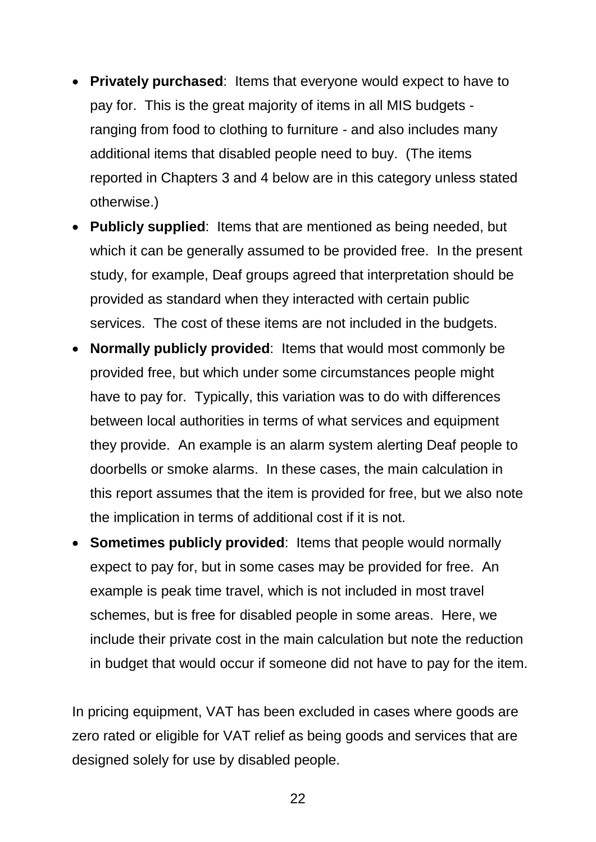- **Privately purchased**: Items that everyone would expect to have to pay for. This is the great majority of items in all MIS budgets ranging from food to clothing to furniture - and also includes many additional items that disabled people need to buy. (The items reported in Chapters 3 and 4 below are in this category unless stated otherwise.)
- **Publicly supplied**: Items that are mentioned as being needed, but which it can be generally assumed to be provided free. In the present study, for example, Deaf groups agreed that interpretation should be provided as standard when they interacted with certain public services. The cost of these items are not included in the budgets.
- **Normally publicly provided**: Items that would most commonly be provided free, but which under some circumstances people might have to pay for. Typically, this variation was to do with differences between local authorities in terms of what services and equipment they provide. An example is an alarm system alerting Deaf people to doorbells or smoke alarms. In these cases, the main calculation in this report assumes that the item is provided for free, but we also note the implication in terms of additional cost if it is not.
- **Sometimes publicly provided**: Items that people would normally expect to pay for, but in some cases may be provided for free. An example is peak time travel, which is not included in most travel schemes, but is free for disabled people in some areas. Here, we include their private cost in the main calculation but note the reduction in budget that would occur if someone did not have to pay for the item.

In pricing equipment, VAT has been excluded in cases where goods are zero rated or eligible for VAT relief as being goods and services that are designed solely for use by disabled people.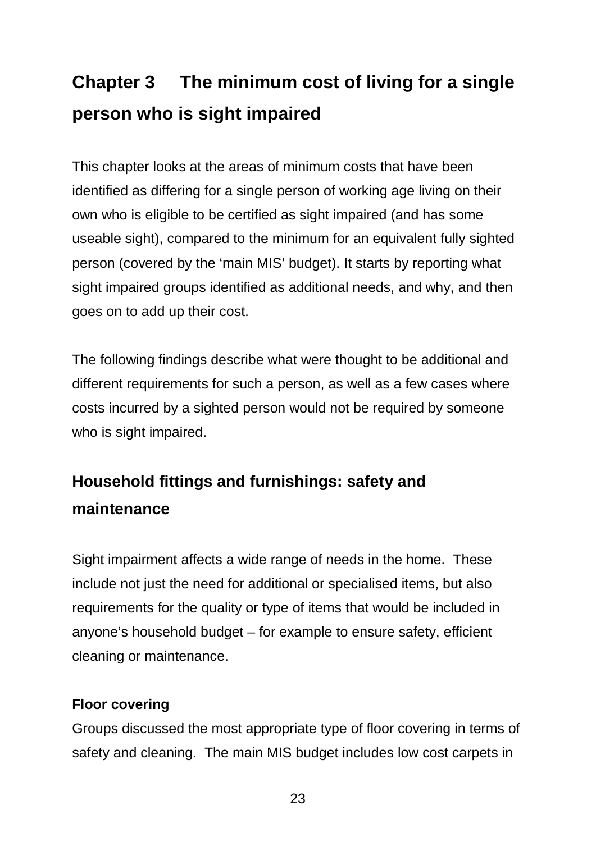# **Chapter 3 The minimum cost of living for a single person who is sight impaired**

This chapter looks at the areas of minimum costs that have been identified as differing for a single person of working age living on their own who is eligible to be certified as sight impaired (and has some useable sight), compared to the minimum for an equivalent fully sighted person (covered by the 'main MIS' budget). It starts by reporting what sight impaired groups identified as additional needs, and why, and then goes on to add up their cost.

The following findings describe what were thought to be additional and different requirements for such a person, as well as a few cases where costs incurred by a sighted person would not be required by someone who is sight impaired.

# **Household fittings and furnishings: safety and maintenance**

Sight impairment affects a wide range of needs in the home. These include not just the need for additional or specialised items, but also requirements for the quality or type of items that would be included in anyone's household budget – for example to ensure safety, efficient cleaning or maintenance.

### **Floor covering**

Groups discussed the most appropriate type of floor covering in terms of safety and cleaning. The main MIS budget includes low cost carpets in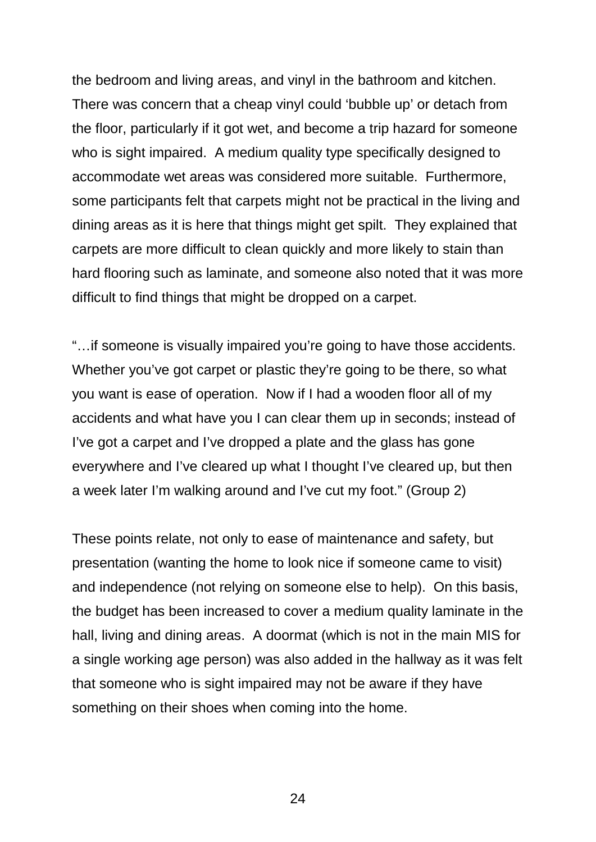the bedroom and living areas, and vinyl in the bathroom and kitchen. There was concern that a cheap vinyl could 'bubble up' or detach from the floor, particularly if it got wet, and become a trip hazard for someone who is sight impaired. A medium quality type specifically designed to accommodate wet areas was considered more suitable. Furthermore, some participants felt that carpets might not be practical in the living and dining areas as it is here that things might get spilt. They explained that carpets are more difficult to clean quickly and more likely to stain than hard flooring such as laminate, and someone also noted that it was more difficult to find things that might be dropped on a carpet.

"…if someone is visually impaired you're going to have those accidents. Whether you've got carpet or plastic they're going to be there, so what you want is ease of operation. Now if I had a wooden floor all of my accidents and what have you I can clear them up in seconds; instead of I've got a carpet and I've dropped a plate and the glass has gone everywhere and I've cleared up what I thought I've cleared up, but then a week later I'm walking around and I've cut my foot." (Group 2)

These points relate, not only to ease of maintenance and safety, but presentation (wanting the home to look nice if someone came to visit) and independence (not relying on someone else to help). On this basis, the budget has been increased to cover a medium quality laminate in the hall, living and dining areas. A doormat (which is not in the main MIS for a single working age person) was also added in the hallway as it was felt that someone who is sight impaired may not be aware if they have something on their shoes when coming into the home.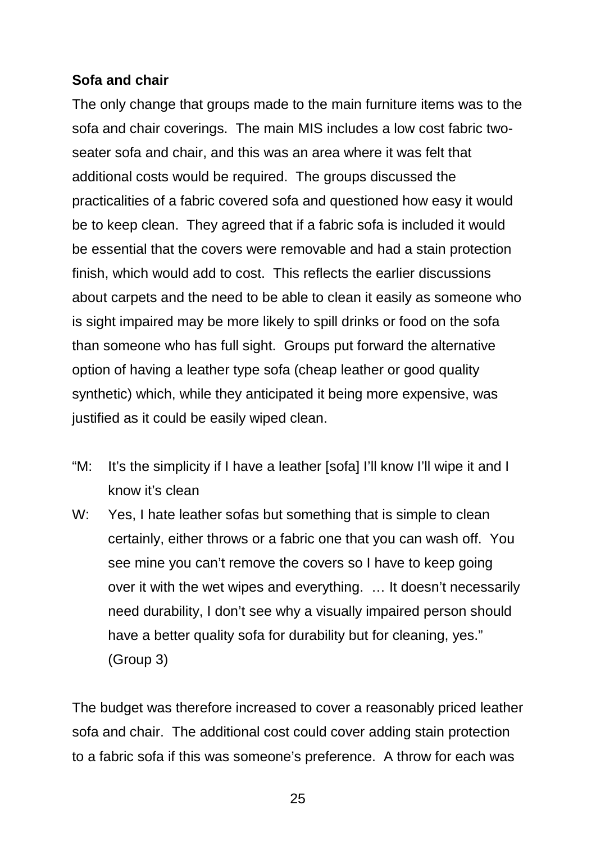### **Sofa and chair**

The only change that groups made to the main furniture items was to the sofa and chair coverings. The main MIS includes a low cost fabric twoseater sofa and chair, and this was an area where it was felt that additional costs would be required. The groups discussed the practicalities of a fabric covered sofa and questioned how easy it would be to keep clean. They agreed that if a fabric sofa is included it would be essential that the covers were removable and had a stain protection finish, which would add to cost. This reflects the earlier discussions about carpets and the need to be able to clean it easily as someone who is sight impaired may be more likely to spill drinks or food on the sofa than someone who has full sight. Groups put forward the alternative option of having a leather type sofa (cheap leather or good quality synthetic) which, while they anticipated it being more expensive, was justified as it could be easily wiped clean.

- "M: It's the simplicity if I have a leather [sofa] I'll know I'll wipe it and I know it's clean
- W: Yes, I hate leather sofas but something that is simple to clean certainly, either throws or a fabric one that you can wash off. You see mine you can't remove the covers so I have to keep going over it with the wet wipes and everything. … It doesn't necessarily need durability, I don't see why a visually impaired person should have a better quality sofa for durability but for cleaning, yes." (Group 3)

The budget was therefore increased to cover a reasonably priced leather sofa and chair. The additional cost could cover adding stain protection to a fabric sofa if this was someone's preference. A throw for each was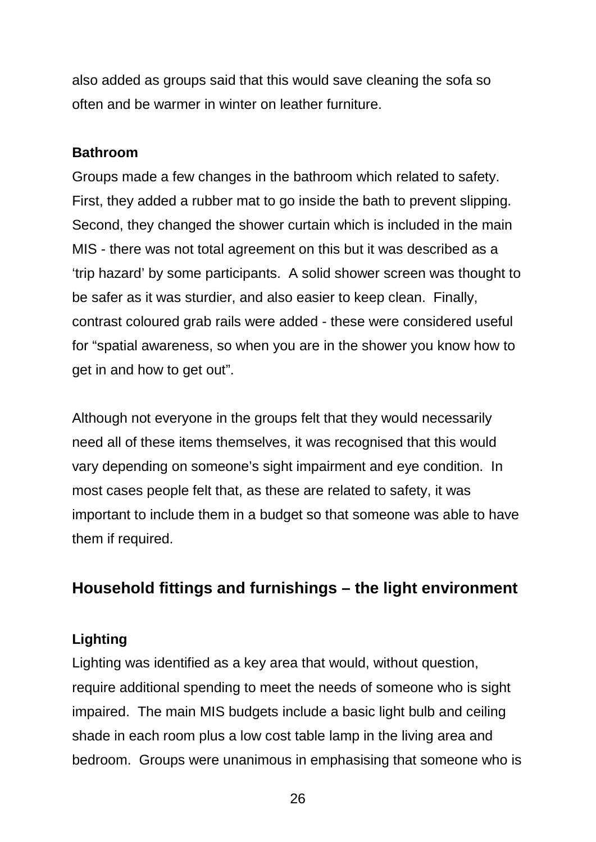also added as groups said that this would save cleaning the sofa so often and be warmer in winter on leather furniture.

#### **Bathroom**

Groups made a few changes in the bathroom which related to safety. First, they added a rubber mat to go inside the bath to prevent slipping. Second, they changed the shower curtain which is included in the main MIS - there was not total agreement on this but it was described as a 'trip hazard' by some participants. A solid shower screen was thought to be safer as it was sturdier, and also easier to keep clean. Finally, contrast coloured grab rails were added - these were considered useful for "spatial awareness, so when you are in the shower you know how to get in and how to get out".

Although not everyone in the groups felt that they would necessarily need all of these items themselves, it was recognised that this would vary depending on someone's sight impairment and eye condition. In most cases people felt that, as these are related to safety, it was important to include them in a budget so that someone was able to have them if required.

### **Household fittings and furnishings – the light environment**

### **Lighting**

Lighting was identified as a key area that would, without question, require additional spending to meet the needs of someone who is sight impaired. The main MIS budgets include a basic light bulb and ceiling shade in each room plus a low cost table lamp in the living area and bedroom. Groups were unanimous in emphasising that someone who is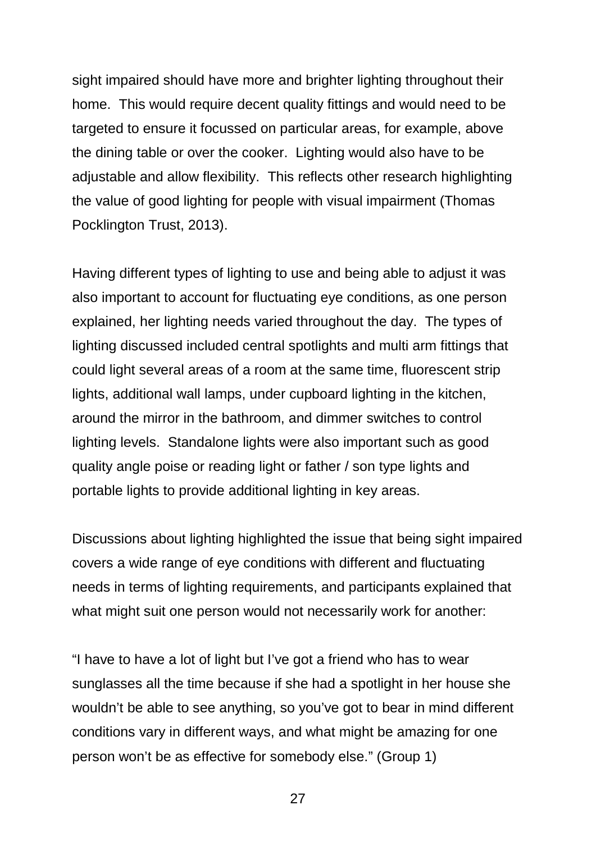sight impaired should have more and brighter lighting throughout their home. This would require decent quality fittings and would need to be targeted to ensure it focussed on particular areas, for example, above the dining table or over the cooker. Lighting would also have to be adjustable and allow flexibility. This reflects other research highlighting the value of good lighting for people with visual impairment (Thomas Pocklington Trust, 2013).

Having different types of lighting to use and being able to adjust it was also important to account for fluctuating eye conditions, as one person explained, her lighting needs varied throughout the day. The types of lighting discussed included central spotlights and multi arm fittings that could light several areas of a room at the same time, fluorescent strip lights, additional wall lamps, under cupboard lighting in the kitchen, around the mirror in the bathroom, and dimmer switches to control lighting levels. Standalone lights were also important such as good quality angle poise or reading light or father / son type lights and portable lights to provide additional lighting in key areas.

Discussions about lighting highlighted the issue that being sight impaired covers a wide range of eye conditions with different and fluctuating needs in terms of lighting requirements, and participants explained that what might suit one person would not necessarily work for another:

"I have to have a lot of light but I've got a friend who has to wear sunglasses all the time because if she had a spotlight in her house she wouldn't be able to see anything, so you've got to bear in mind different conditions vary in different ways, and what might be amazing for one person won't be as effective for somebody else." (Group 1)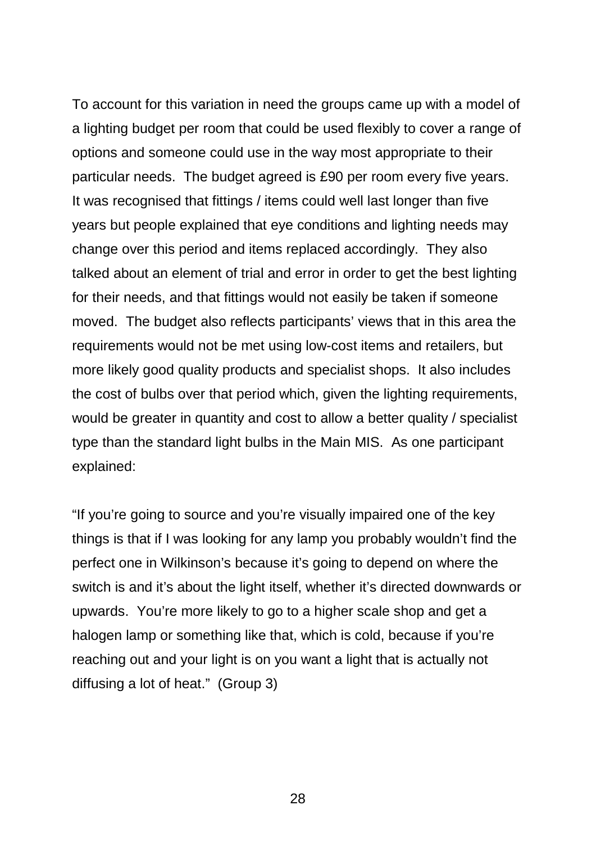To account for this variation in need the groups came up with a model of a lighting budget per room that could be used flexibly to cover a range of options and someone could use in the way most appropriate to their particular needs. The budget agreed is £90 per room every five years. It was recognised that fittings / items could well last longer than five years but people explained that eye conditions and lighting needs may change over this period and items replaced accordingly. They also talked about an element of trial and error in order to get the best lighting for their needs, and that fittings would not easily be taken if someone moved. The budget also reflects participants' views that in this area the requirements would not be met using low-cost items and retailers, but more likely good quality products and specialist shops. It also includes the cost of bulbs over that period which, given the lighting requirements, would be greater in quantity and cost to allow a better quality / specialist type than the standard light bulbs in the Main MIS. As one participant explained:

"If you're going to source and you're visually impaired one of the key things is that if I was looking for any lamp you probably wouldn't find the perfect one in Wilkinson's because it's going to depend on where the switch is and it's about the light itself, whether it's directed downwards or upwards. You're more likely to go to a higher scale shop and get a halogen lamp or something like that, which is cold, because if you're reaching out and your light is on you want a light that is actually not diffusing a lot of heat." (Group 3)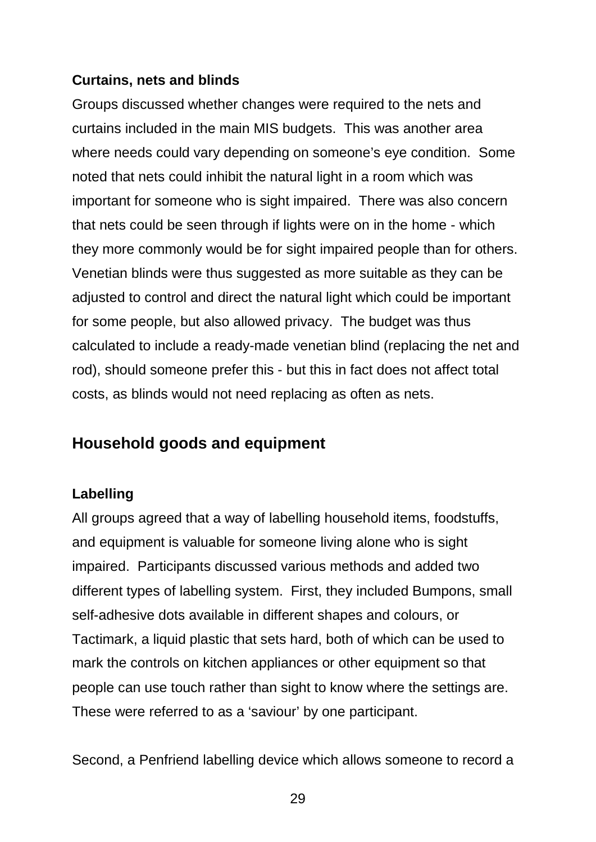### **Curtains, nets and blinds**

Groups discussed whether changes were required to the nets and curtains included in the main MIS budgets. This was another area where needs could vary depending on someone's eye condition. Some noted that nets could inhibit the natural light in a room which was important for someone who is sight impaired. There was also concern that nets could be seen through if lights were on in the home - which they more commonly would be for sight impaired people than for others. Venetian blinds were thus suggested as more suitable as they can be adjusted to control and direct the natural light which could be important for some people, but also allowed privacy. The budget was thus calculated to include a ready-made venetian blind (replacing the net and rod), should someone prefer this - but this in fact does not affect total costs, as blinds would not need replacing as often as nets.

### **Household goods and equipment**

### **Labelling**

All groups agreed that a way of labelling household items, foodstuffs, and equipment is valuable for someone living alone who is sight impaired. Participants discussed various methods and added two different types of labelling system. First, they included Bumpons, small self-adhesive dots available in different shapes and colours, or Tactimark, a liquid plastic that sets hard, both of which can be used to mark the controls on kitchen appliances or other equipment so that people can use touch rather than sight to know where the settings are. These were referred to as a 'saviour' by one participant.

Second, a Penfriend labelling device which allows someone to record a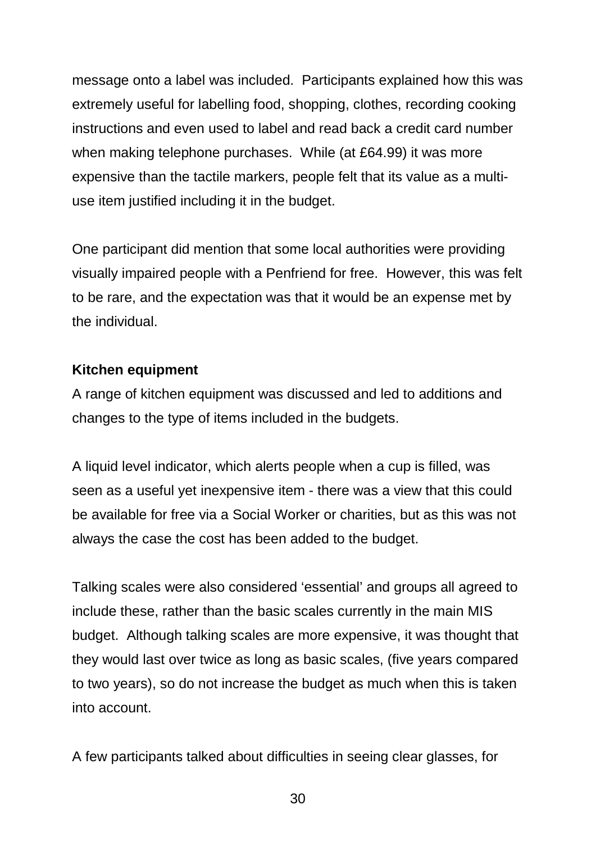message onto a label was included. Participants explained how this was extremely useful for labelling food, shopping, clothes, recording cooking instructions and even used to label and read back a credit card number when making telephone purchases. While (at £64.99) it was more expensive than the tactile markers, people felt that its value as a multiuse item justified including it in the budget.

One participant did mention that some local authorities were providing visually impaired people with a Penfriend for free. However, this was felt to be rare, and the expectation was that it would be an expense met by the individual.

### **Kitchen equipment**

A range of kitchen equipment was discussed and led to additions and changes to the type of items included in the budgets.

A liquid level indicator, which alerts people when a cup is filled, was seen as a useful yet inexpensive item - there was a view that this could be available for free via a Social Worker or charities, but as this was not always the case the cost has been added to the budget.

Talking scales were also considered 'essential' and groups all agreed to include these, rather than the basic scales currently in the main MIS budget. Although talking scales are more expensive, it was thought that they would last over twice as long as basic scales, (five years compared to two years), so do not increase the budget as much when this is taken into account.

A few participants talked about difficulties in seeing clear glasses, for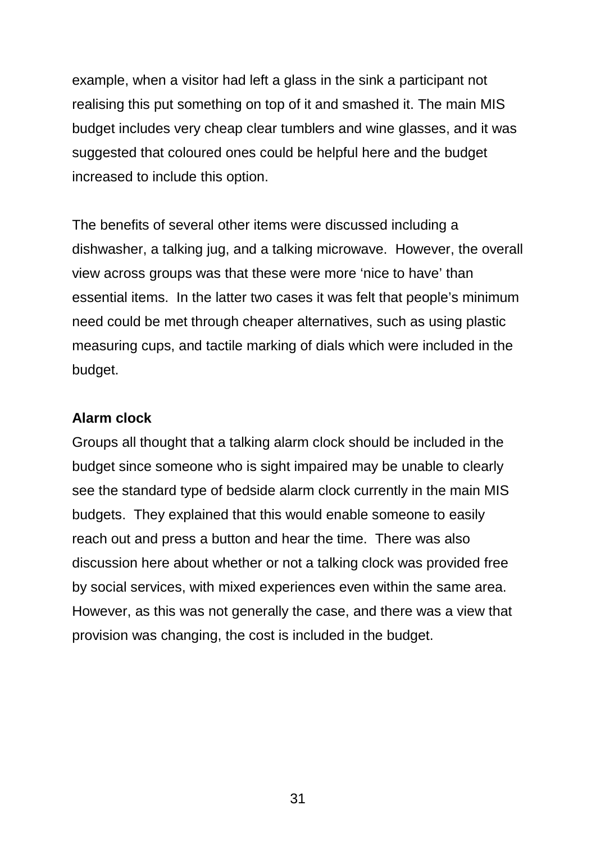example, when a visitor had left a glass in the sink a participant not realising this put something on top of it and smashed it. The main MIS budget includes very cheap clear tumblers and wine glasses, and it was suggested that coloured ones could be helpful here and the budget increased to include this option.

The benefits of several other items were discussed including a dishwasher, a talking jug, and a talking microwave. However, the overall view across groups was that these were more 'nice to have' than essential items. In the latter two cases it was felt that people's minimum need could be met through cheaper alternatives, such as using plastic measuring cups, and tactile marking of dials which were included in the budget.

#### **Alarm clock**

Groups all thought that a talking alarm clock should be included in the budget since someone who is sight impaired may be unable to clearly see the standard type of bedside alarm clock currently in the main MIS budgets. They explained that this would enable someone to easily reach out and press a button and hear the time. There was also discussion here about whether or not a talking clock was provided free by social services, with mixed experiences even within the same area. However, as this was not generally the case, and there was a view that provision was changing, the cost is included in the budget.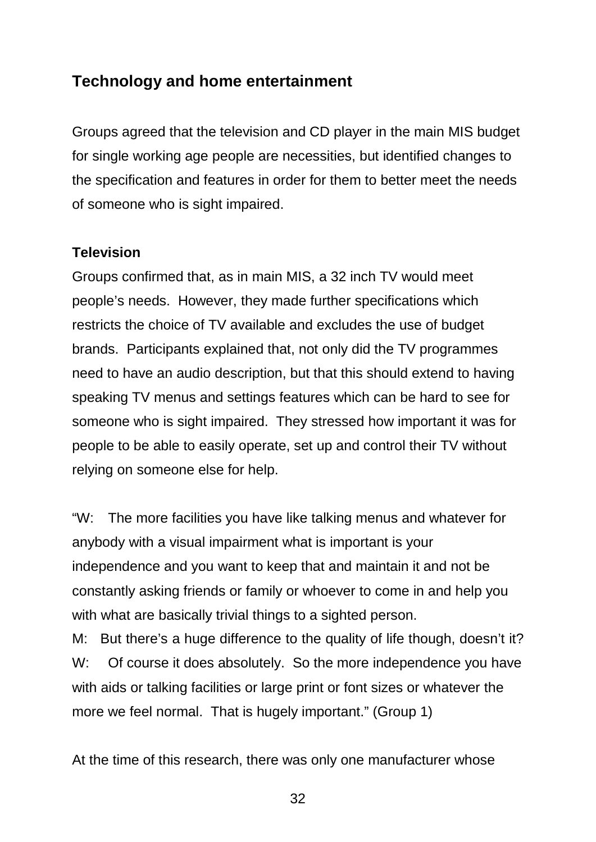### **Technology and home entertainment**

Groups agreed that the television and CD player in the main MIS budget for single working age people are necessities, but identified changes to the specification and features in order for them to better meet the needs of someone who is sight impaired.

#### **Television**

Groups confirmed that, as in main MIS, a 32 inch TV would meet people's needs. However, they made further specifications which restricts the choice of TV available and excludes the use of budget brands. Participants explained that, not only did the TV programmes need to have an audio description, but that this should extend to having speaking TV menus and settings features which can be hard to see for someone who is sight impaired. They stressed how important it was for people to be able to easily operate, set up and control their TV without relying on someone else for help.

"W: The more facilities you have like talking menus and whatever for anybody with a visual impairment what is important is your independence and you want to keep that and maintain it and not be constantly asking friends or family or whoever to come in and help you with what are basically trivial things to a sighted person.

M: But there's a huge difference to the quality of life though, doesn't it? W: Of course it does absolutely. So the more independence you have with aids or talking facilities or large print or font sizes or whatever the more we feel normal. That is hugely important." (Group 1)

At the time of this research, there was only one manufacturer whose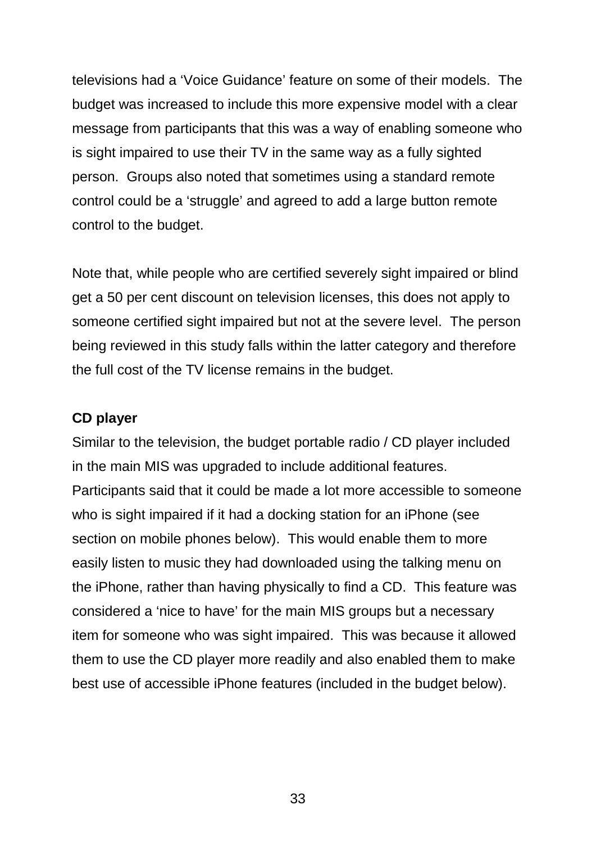televisions had a 'Voice Guidance' feature on some of their models. The budget was increased to include this more expensive model with a clear message from participants that this was a way of enabling someone who is sight impaired to use their TV in the same way as a fully sighted person. Groups also noted that sometimes using a standard remote control could be a 'struggle' and agreed to add a large button remote control to the budget.

Note that, while people who are certified severely sight impaired or blind get a 50 per cent discount on television licenses, this does not apply to someone certified sight impaired but not at the severe level. The person being reviewed in this study falls within the latter category and therefore the full cost of the TV license remains in the budget.

#### **CD player**

Similar to the television, the budget portable radio / CD player included in the main MIS was upgraded to include additional features. Participants said that it could be made a lot more accessible to someone who is sight impaired if it had a docking station for an iPhone (see section on mobile phones below). This would enable them to more easily listen to music they had downloaded using the talking menu on the iPhone, rather than having physically to find a CD. This feature was considered a 'nice to have' for the main MIS groups but a necessary item for someone who was sight impaired. This was because it allowed them to use the CD player more readily and also enabled them to make best use of accessible iPhone features (included in the budget below).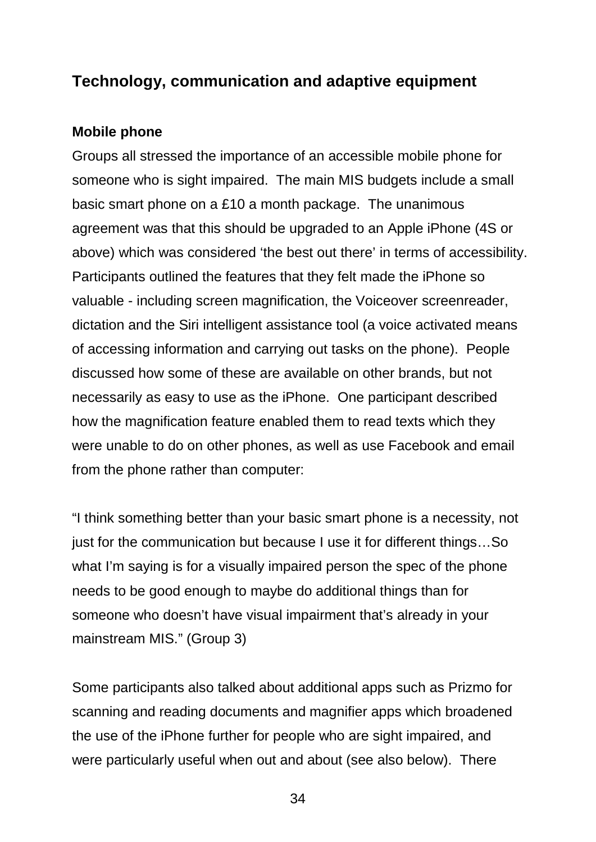### **Technology, communication and adaptive equipment**

#### **Mobile phone**

Groups all stressed the importance of an accessible mobile phone for someone who is sight impaired. The main MIS budgets include a small basic smart phone on a £10 a month package. The unanimous agreement was that this should be upgraded to an Apple iPhone (4S or above) which was considered 'the best out there' in terms of accessibility. Participants outlined the features that they felt made the iPhone so valuable - including screen magnification, the Voiceover screenreader, dictation and the Siri intelligent assistance tool (a voice activated means of accessing information and carrying out tasks on the phone). People discussed how some of these are available on other brands, but not necessarily as easy to use as the iPhone. One participant described how the magnification feature enabled them to read texts which they were unable to do on other phones, as well as use Facebook and email from the phone rather than computer:

"I think something better than your basic smart phone is a necessity, not just for the communication but because I use it for different things…So what I'm saying is for a visually impaired person the spec of the phone needs to be good enough to maybe do additional things than for someone who doesn't have visual impairment that's already in your mainstream MIS." (Group 3)

Some participants also talked about additional apps such as Prizmo for scanning and reading documents and magnifier apps which broadened the use of the iPhone further for people who are sight impaired, and were particularly useful when out and about (see also below). There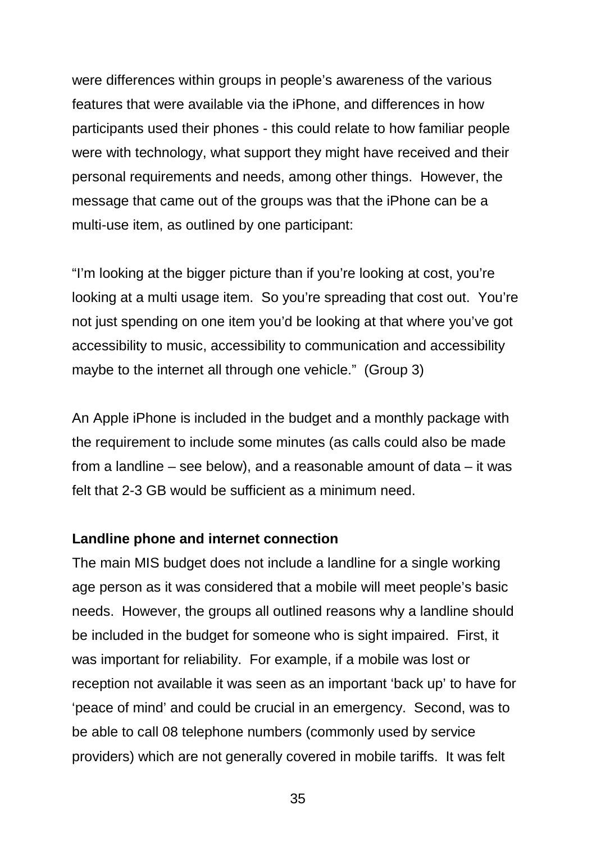were differences within groups in people's awareness of the various features that were available via the iPhone, and differences in how participants used their phones - this could relate to how familiar people were with technology, what support they might have received and their personal requirements and needs, among other things. However, the message that came out of the groups was that the iPhone can be a multi-use item, as outlined by one participant:

"I'm looking at the bigger picture than if you're looking at cost, you're looking at a multi usage item. So you're spreading that cost out. You're not just spending on one item you'd be looking at that where you've got accessibility to music, accessibility to communication and accessibility maybe to the internet all through one vehicle." (Group 3)

An Apple iPhone is included in the budget and a monthly package with the requirement to include some minutes (as calls could also be made from a landline – see below), and a reasonable amount of data – it was felt that 2-3 GB would be sufficient as a minimum need.

#### **Landline phone and internet connection**

The main MIS budget does not include a landline for a single working age person as it was considered that a mobile will meet people's basic needs. However, the groups all outlined reasons why a landline should be included in the budget for someone who is sight impaired. First, it was important for reliability. For example, if a mobile was lost or reception not available it was seen as an important 'back up' to have for 'peace of mind' and could be crucial in an emergency. Second, was to be able to call 08 telephone numbers (commonly used by service providers) which are not generally covered in mobile tariffs. It was felt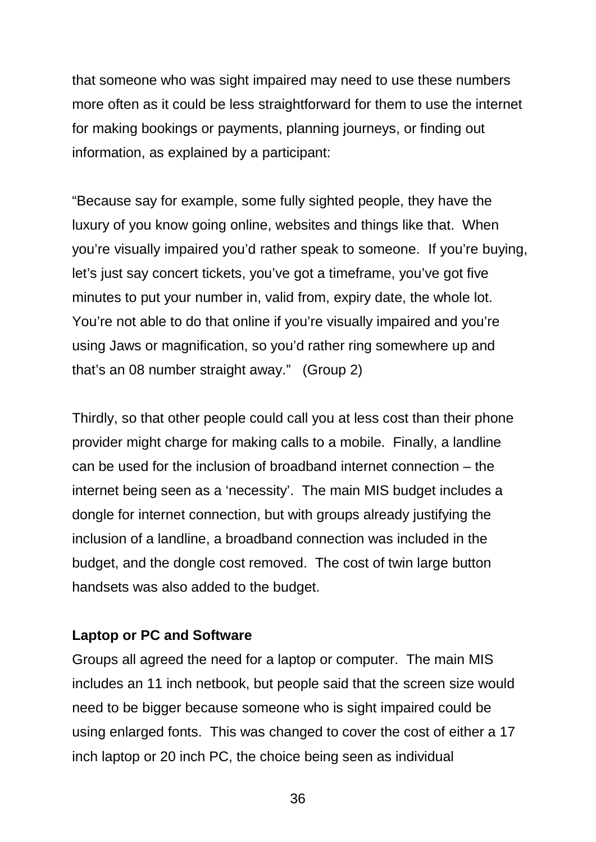that someone who was sight impaired may need to use these numbers more often as it could be less straightforward for them to use the internet for making bookings or payments, planning journeys, or finding out information, as explained by a participant:

"Because say for example, some fully sighted people, they have the luxury of you know going online, websites and things like that. When you're visually impaired you'd rather speak to someone. If you're buying, let's just say concert tickets, you've got a timeframe, you've got five minutes to put your number in, valid from, expiry date, the whole lot. You're not able to do that online if you're visually impaired and you're using Jaws or magnification, so you'd rather ring somewhere up and that's an 08 number straight away." (Group 2)

Thirdly, so that other people could call you at less cost than their phone provider might charge for making calls to a mobile. Finally, a landline can be used for the inclusion of broadband internet connection – the internet being seen as a 'necessity'. The main MIS budget includes a dongle for internet connection, but with groups already justifying the inclusion of a landline, a broadband connection was included in the budget, and the dongle cost removed. The cost of twin large button handsets was also added to the budget.

#### **Laptop or PC and Software**

Groups all agreed the need for a laptop or computer. The main MIS includes an 11 inch netbook, but people said that the screen size would need to be bigger because someone who is sight impaired could be using enlarged fonts. This was changed to cover the cost of either a 17 inch laptop or 20 inch PC, the choice being seen as individual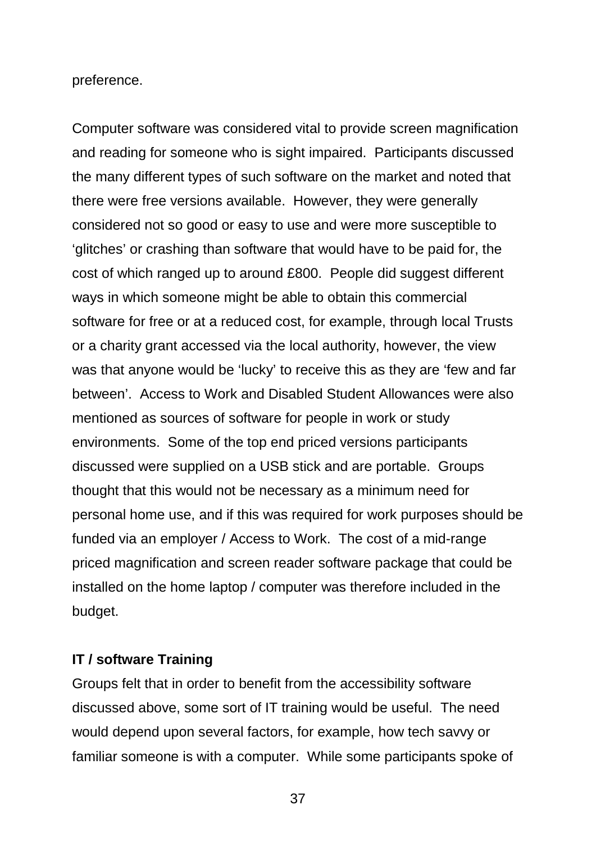preference.

Computer software was considered vital to provide screen magnification and reading for someone who is sight impaired. Participants discussed the many different types of such software on the market and noted that there were free versions available. However, they were generally considered not so good or easy to use and were more susceptible to 'glitches' or crashing than software that would have to be paid for, the cost of which ranged up to around £800. People did suggest different ways in which someone might be able to obtain this commercial software for free or at a reduced cost, for example, through local Trusts or a charity grant accessed via the local authority, however, the view was that anyone would be 'lucky' to receive this as they are 'few and far between'. Access to Work and Disabled Student Allowances were also mentioned as sources of software for people in work or study environments. Some of the top end priced versions participants discussed were supplied on a USB stick and are portable. Groups thought that this would not be necessary as a minimum need for personal home use, and if this was required for work purposes should be funded via an employer / Access to Work. The cost of a mid-range priced magnification and screen reader software package that could be installed on the home laptop / computer was therefore included in the budget.

#### **IT / software Training**

Groups felt that in order to benefit from the accessibility software discussed above, some sort of IT training would be useful. The need would depend upon several factors, for example, how tech savvy or familiar someone is with a computer. While some participants spoke of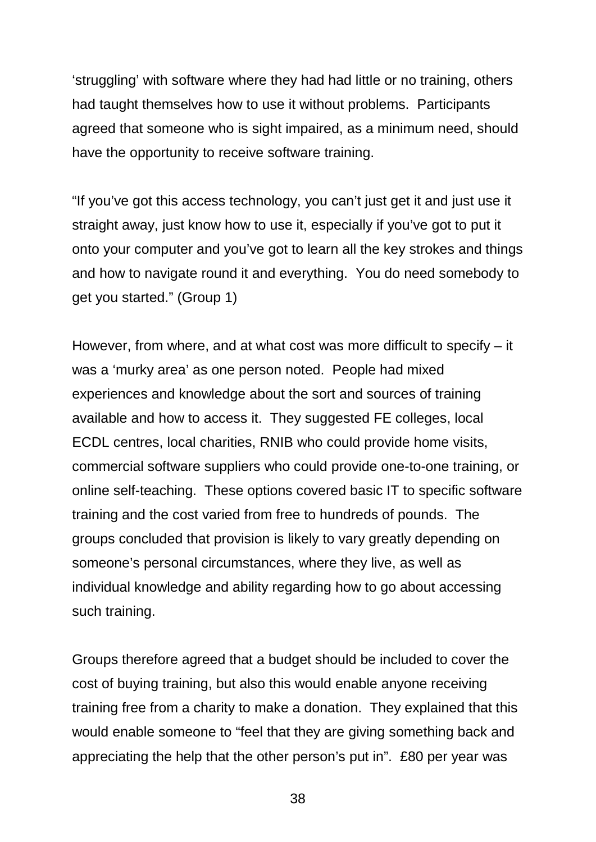'struggling' with software where they had had little or no training, others had taught themselves how to use it without problems. Participants agreed that someone who is sight impaired, as a minimum need, should have the opportunity to receive software training.

"If you've got this access technology, you can't just get it and just use it straight away, just know how to use it, especially if you've got to put it onto your computer and you've got to learn all the key strokes and things and how to navigate round it and everything. You do need somebody to get you started." (Group 1)

However, from where, and at what cost was more difficult to specify – it was a 'murky area' as one person noted. People had mixed experiences and knowledge about the sort and sources of training available and how to access it. They suggested FE colleges, local ECDL centres, local charities, RNIB who could provide home visits, commercial software suppliers who could provide one-to-one training, or online self-teaching. These options covered basic IT to specific software training and the cost varied from free to hundreds of pounds. The groups concluded that provision is likely to vary greatly depending on someone's personal circumstances, where they live, as well as individual knowledge and ability regarding how to go about accessing such training.

Groups therefore agreed that a budget should be included to cover the cost of buying training, but also this would enable anyone receiving training free from a charity to make a donation. They explained that this would enable someone to "feel that they are giving something back and appreciating the help that the other person's put in". £80 per year was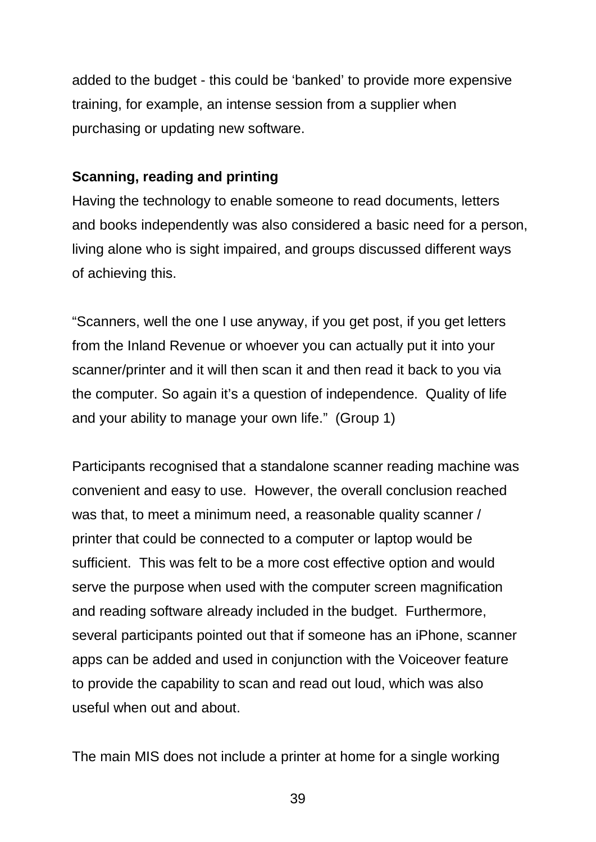added to the budget - this could be 'banked' to provide more expensive training, for example, an intense session from a supplier when purchasing or updating new software.

### **Scanning, reading and printing**

Having the technology to enable someone to read documents, letters and books independently was also considered a basic need for a person, living alone who is sight impaired, and groups discussed different ways of achieving this.

"Scanners, well the one I use anyway, if you get post, if you get letters from the Inland Revenue or whoever you can actually put it into your scanner/printer and it will then scan it and then read it back to you via the computer. So again it's a question of independence. Quality of life and your ability to manage your own life." (Group 1)

Participants recognised that a standalone scanner reading machine was convenient and easy to use. However, the overall conclusion reached was that, to meet a minimum need, a reasonable quality scanner / printer that could be connected to a computer or laptop would be sufficient. This was felt to be a more cost effective option and would serve the purpose when used with the computer screen magnification and reading software already included in the budget. Furthermore, several participants pointed out that if someone has an iPhone, scanner apps can be added and used in conjunction with the Voiceover feature to provide the capability to scan and read out loud, which was also useful when out and about.

The main MIS does not include a printer at home for a single working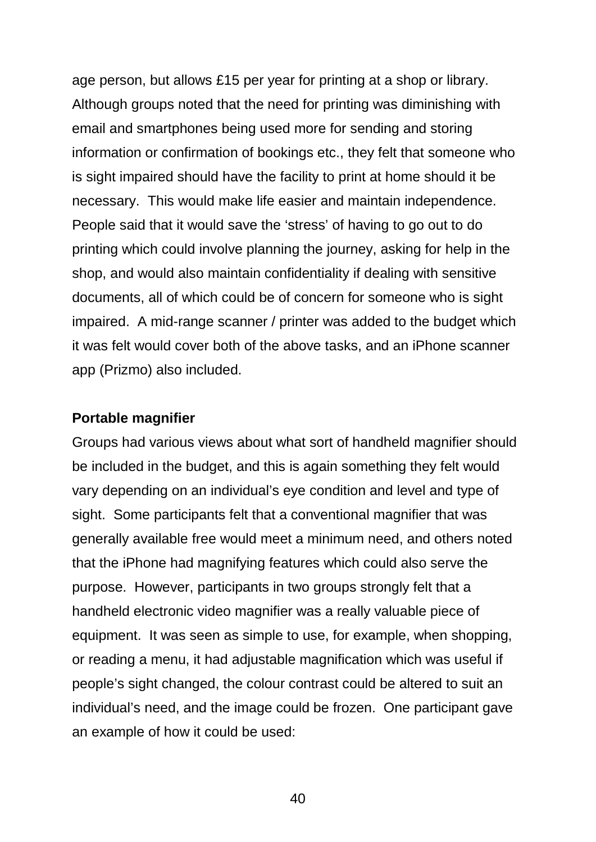age person, but allows £15 per year for printing at a shop or library. Although groups noted that the need for printing was diminishing with email and smartphones being used more for sending and storing information or confirmation of bookings etc., they felt that someone who is sight impaired should have the facility to print at home should it be necessary. This would make life easier and maintain independence. People said that it would save the 'stress' of having to go out to do printing which could involve planning the journey, asking for help in the shop, and would also maintain confidentiality if dealing with sensitive documents, all of which could be of concern for someone who is sight impaired. A mid-range scanner / printer was added to the budget which it was felt would cover both of the above tasks, and an iPhone scanner app (Prizmo) also included.

#### **Portable magnifier**

Groups had various views about what sort of handheld magnifier should be included in the budget, and this is again something they felt would vary depending on an individual's eye condition and level and type of sight. Some participants felt that a conventional magnifier that was generally available free would meet a minimum need, and others noted that the iPhone had magnifying features which could also serve the purpose. However, participants in two groups strongly felt that a handheld electronic video magnifier was a really valuable piece of equipment. It was seen as simple to use, for example, when shopping, or reading a menu, it had adjustable magnification which was useful if people's sight changed, the colour contrast could be altered to suit an individual's need, and the image could be frozen. One participant gave an example of how it could be used: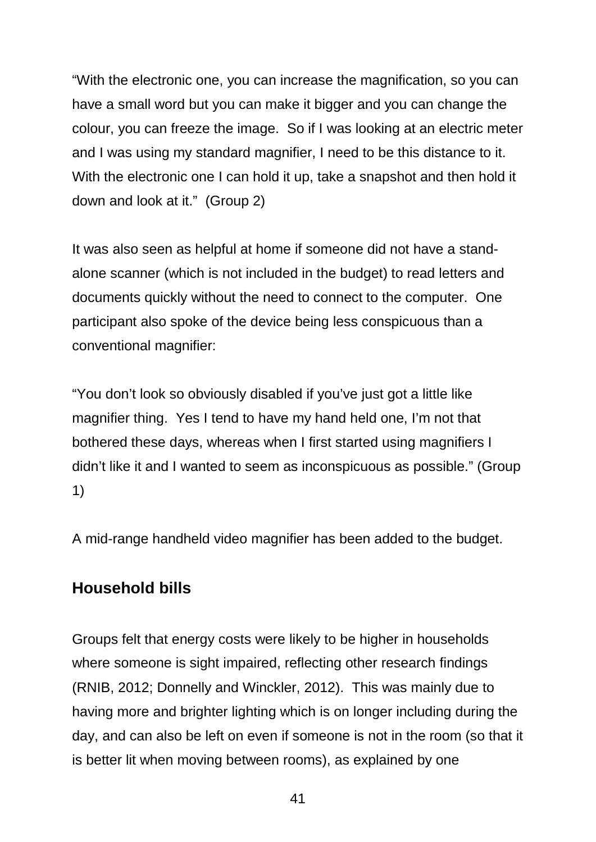"With the electronic one, you can increase the magnification, so you can have a small word but you can make it bigger and you can change the colour, you can freeze the image. So if I was looking at an electric meter and I was using my standard magnifier, I need to be this distance to it. With the electronic one I can hold it up, take a snapshot and then hold it down and look at it." (Group 2)

It was also seen as helpful at home if someone did not have a standalone scanner (which is not included in the budget) to read letters and documents quickly without the need to connect to the computer. One participant also spoke of the device being less conspicuous than a conventional magnifier:

"You don't look so obviously disabled if you've just got a little like magnifier thing. Yes I tend to have my hand held one, I'm not that bothered these days, whereas when I first started using magnifiers I didn't like it and I wanted to seem as inconspicuous as possible." (Group 1)

A mid-range handheld video magnifier has been added to the budget.

### **Household bills**

Groups felt that energy costs were likely to be higher in households where someone is sight impaired, reflecting other research findings (RNIB, 2012; Donnelly and Winckler, 2012). This was mainly due to having more and brighter lighting which is on longer including during the day, and can also be left on even if someone is not in the room (so that it is better lit when moving between rooms), as explained by one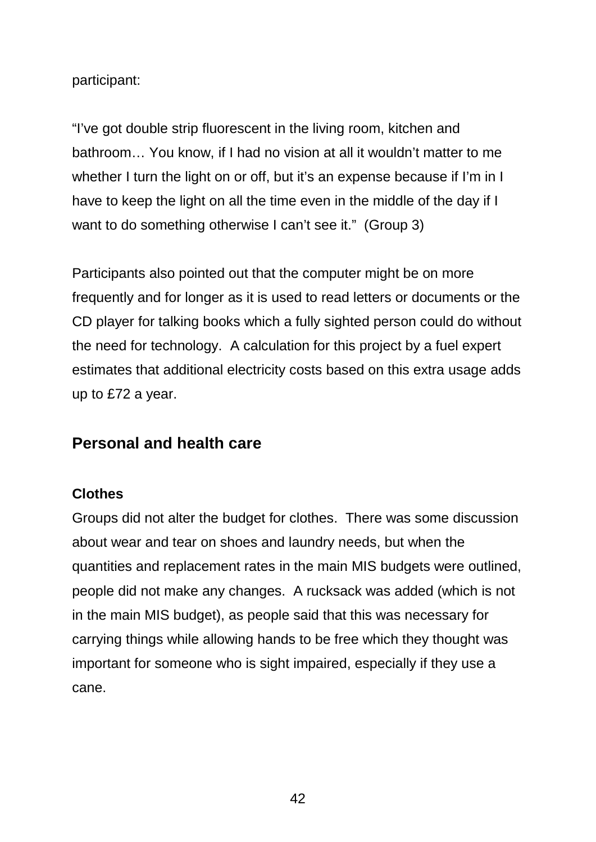participant:

"I've got double strip fluorescent in the living room, kitchen and bathroom… You know, if I had no vision at all it wouldn't matter to me whether I turn the light on or off, but it's an expense because if I'm in I have to keep the light on all the time even in the middle of the day if I want to do something otherwise I can't see it." (Group 3)

Participants also pointed out that the computer might be on more frequently and for longer as it is used to read letters or documents or the CD player for talking books which a fully sighted person could do without the need for technology. A calculation for this project by a fuel expert estimates that additional electricity costs based on this extra usage adds up to £72 a year.

### **Personal and health care**

#### **Clothes**

Groups did not alter the budget for clothes. There was some discussion about wear and tear on shoes and laundry needs, but when the quantities and replacement rates in the main MIS budgets were outlined, people did not make any changes. A rucksack was added (which is not in the main MIS budget), as people said that this was necessary for carrying things while allowing hands to be free which they thought was important for someone who is sight impaired, especially if they use a cane.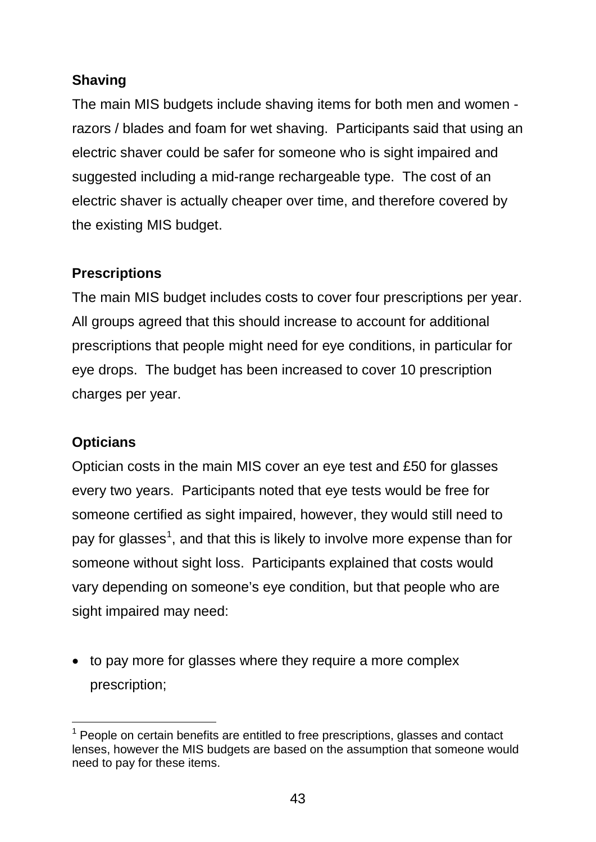### **Shaving**

The main MIS budgets include shaving items for both men and women razors / blades and foam for wet shaving. Participants said that using an electric shaver could be safer for someone who is sight impaired and suggested including a mid-range rechargeable type. The cost of an electric shaver is actually cheaper over time, and therefore covered by the existing MIS budget.

### **Prescriptions**

The main MIS budget includes costs to cover four prescriptions per year. All groups agreed that this should increase to account for additional prescriptions that people might need for eye conditions, in particular for eye drops. The budget has been increased to cover 10 prescription charges per year.

### **Opticians**

Optician costs in the main MIS cover an eye test and £50 for glasses every two years. Participants noted that eye tests would be free for someone certified as sight impaired, however, they would still need to pay for glasses<sup>[1](#page-58-0)</sup>, and that this is likely to involve more expense than for someone without sight loss. Participants explained that costs would vary depending on someone's eye condition, but that people who are sight impaired may need:

• to pay more for glasses where they require a more complex prescription;

<span id="page-58-0"></span> $\overline{\phantom{a}}$  $1$  People on certain benefits are entitled to free prescriptions, glasses and contact lenses, however the MIS budgets are based on the assumption that someone would need to pay for these items.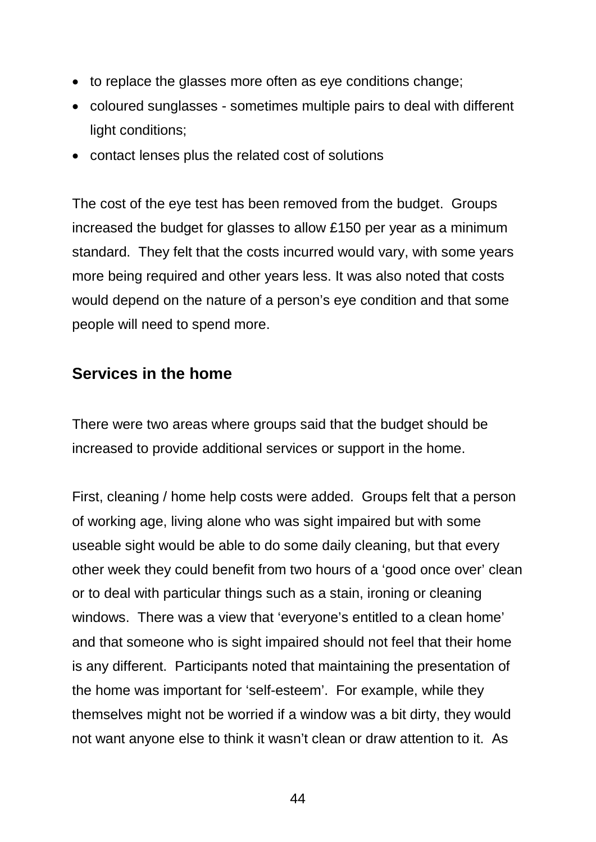- to replace the glasses more often as eye conditions change;
- coloured sunglasses sometimes multiple pairs to deal with different light conditions;
- contact lenses plus the related cost of solutions

The cost of the eye test has been removed from the budget. Groups increased the budget for glasses to allow £150 per year as a minimum standard. They felt that the costs incurred would vary, with some years more being required and other years less. It was also noted that costs would depend on the nature of a person's eye condition and that some people will need to spend more.

### **Services in the home**

There were two areas where groups said that the budget should be increased to provide additional services or support in the home.

First, cleaning / home help costs were added. Groups felt that a person of working age, living alone who was sight impaired but with some useable sight would be able to do some daily cleaning, but that every other week they could benefit from two hours of a 'good once over' clean or to deal with particular things such as a stain, ironing or cleaning windows. There was a view that 'everyone's entitled to a clean home' and that someone who is sight impaired should not feel that their home is any different. Participants noted that maintaining the presentation of the home was important for 'self-esteem'. For example, while they themselves might not be worried if a window was a bit dirty, they would not want anyone else to think it wasn't clean or draw attention to it. As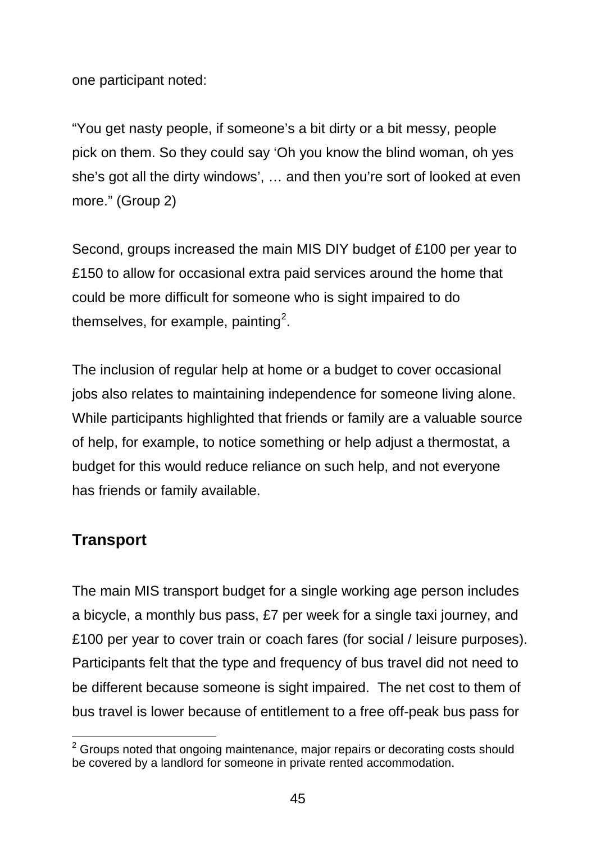one participant noted:

"You get nasty people, if someone's a bit dirty or a bit messy, people pick on them. So they could say 'Oh you know the blind woman, oh yes she's got all the dirty windows', … and then you're sort of looked at even more." (Group 2)

Second, groups increased the main MIS DIY budget of £100 per year to £150 to allow for occasional extra paid services around the home that could be more difficult for someone who is sight impaired to do themselves, for example, painting<sup>[2](#page-60-0)</sup>.

The inclusion of regular help at home or a budget to cover occasional jobs also relates to maintaining independence for someone living alone. While participants highlighted that friends or family are a valuable source of help, for example, to notice something or help adjust a thermostat, a budget for this would reduce reliance on such help, and not everyone has friends or family available.

### **Transport**

The main MIS transport budget for a single working age person includes a bicycle, a monthly bus pass, £7 per week for a single taxi journey, and £100 per year to cover train or coach fares (for social / leisure purposes). Participants felt that the type and frequency of bus travel did not need to be different because someone is sight impaired. The net cost to them of bus travel is lower because of entitlement to a free off-peak bus pass for

<span id="page-60-0"></span> $\overline{a}$  $2$  Groups noted that ongoing maintenance, major repairs or decorating costs should be covered by a landlord for someone in private rented accommodation.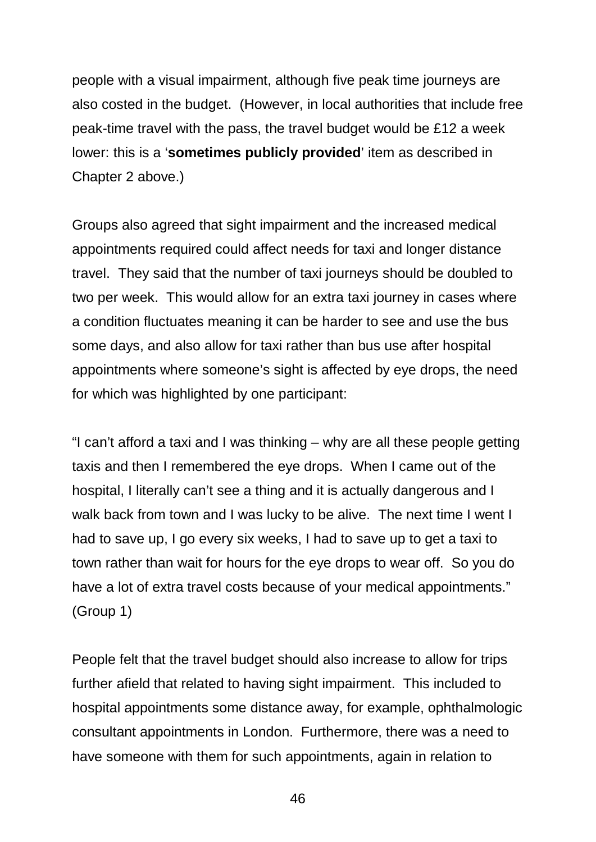people with a visual impairment, although five peak time journeys are also costed in the budget. (However, in local authorities that include free peak-time travel with the pass, the travel budget would be £12 a week lower: this is a '**sometimes publicly provided**' item as described in Chapter 2 above.)

Groups also agreed that sight impairment and the increased medical appointments required could affect needs for taxi and longer distance travel. They said that the number of taxi journeys should be doubled to two per week. This would allow for an extra taxi journey in cases where a condition fluctuates meaning it can be harder to see and use the bus some days, and also allow for taxi rather than bus use after hospital appointments where someone's sight is affected by eye drops, the need for which was highlighted by one participant:

"I can't afford a taxi and I was thinking – why are all these people getting taxis and then I remembered the eye drops. When I came out of the hospital, I literally can't see a thing and it is actually dangerous and I walk back from town and I was lucky to be alive. The next time I went I had to save up, I go every six weeks, I had to save up to get a taxi to town rather than wait for hours for the eye drops to wear off. So you do have a lot of extra travel costs because of your medical appointments." (Group 1)

People felt that the travel budget should also increase to allow for trips further afield that related to having sight impairment. This included to hospital appointments some distance away, for example, ophthalmologic consultant appointments in London. Furthermore, there was a need to have someone with them for such appointments, again in relation to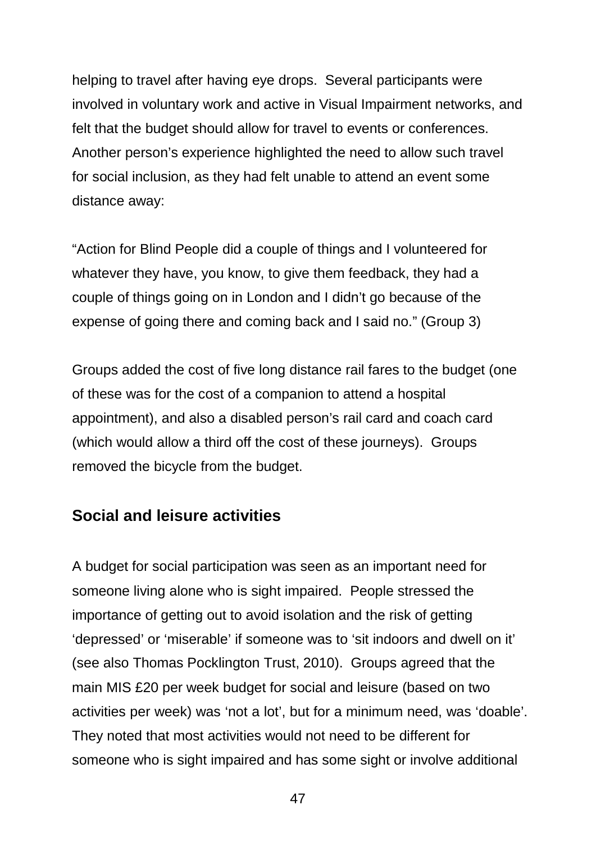helping to travel after having eye drops. Several participants were involved in voluntary work and active in Visual Impairment networks, and felt that the budget should allow for travel to events or conferences. Another person's experience highlighted the need to allow such travel for social inclusion, as they had felt unable to attend an event some distance away:

"Action for Blind People did a couple of things and I volunteered for whatever they have, you know, to give them feedback, they had a couple of things going on in London and I didn't go because of the expense of going there and coming back and I said no." (Group 3)

Groups added the cost of five long distance rail fares to the budget (one of these was for the cost of a companion to attend a hospital appointment), and also a disabled person's rail card and coach card (which would allow a third off the cost of these journeys). Groups removed the bicycle from the budget.

### **Social and leisure activities**

A budget for social participation was seen as an important need for someone living alone who is sight impaired. People stressed the importance of getting out to avoid isolation and the risk of getting 'depressed' or 'miserable' if someone was to 'sit indoors and dwell on it' (see also Thomas Pocklington Trust, 2010). Groups agreed that the main MIS £20 per week budget for social and leisure (based on two activities per week) was 'not a lot', but for a minimum need, was 'doable'. They noted that most activities would not need to be different for someone who is sight impaired and has some sight or involve additional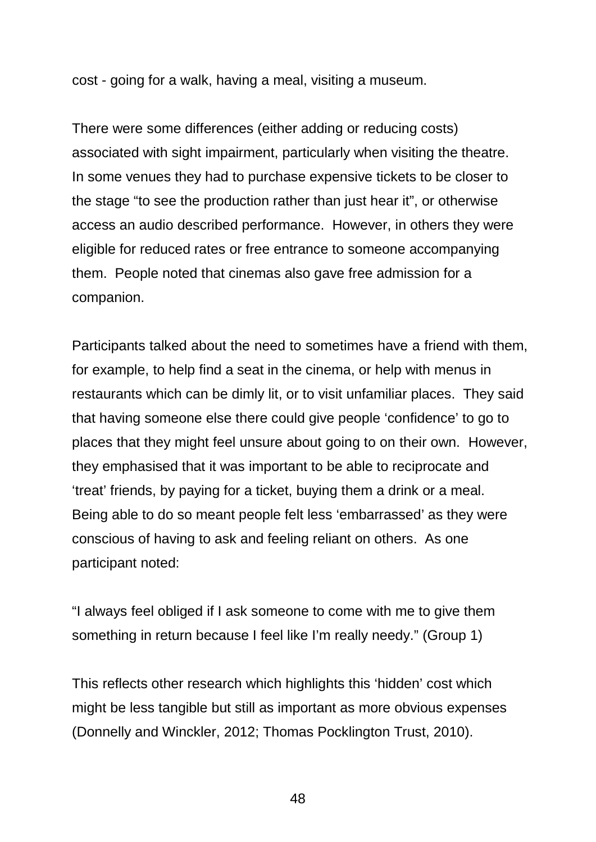cost - going for a walk, having a meal, visiting a museum.

There were some differences (either adding or reducing costs) associated with sight impairment, particularly when visiting the theatre. In some venues they had to purchase expensive tickets to be closer to the stage "to see the production rather than just hear it", or otherwise access an audio described performance. However, in others they were eligible for reduced rates or free entrance to someone accompanying them. People noted that cinemas also gave free admission for a companion.

Participants talked about the need to sometimes have a friend with them, for example, to help find a seat in the cinema, or help with menus in restaurants which can be dimly lit, or to visit unfamiliar places. They said that having someone else there could give people 'confidence' to go to places that they might feel unsure about going to on their own. However, they emphasised that it was important to be able to reciprocate and 'treat' friends, by paying for a ticket, buying them a drink or a meal. Being able to do so meant people felt less 'embarrassed' as they were conscious of having to ask and feeling reliant on others. As one participant noted:

"I always feel obliged if I ask someone to come with me to give them something in return because I feel like I'm really needy." (Group 1)

This reflects other research which highlights this 'hidden' cost which might be less tangible but still as important as more obvious expenses (Donnelly and Winckler, 2012; Thomas Pocklington Trust, 2010).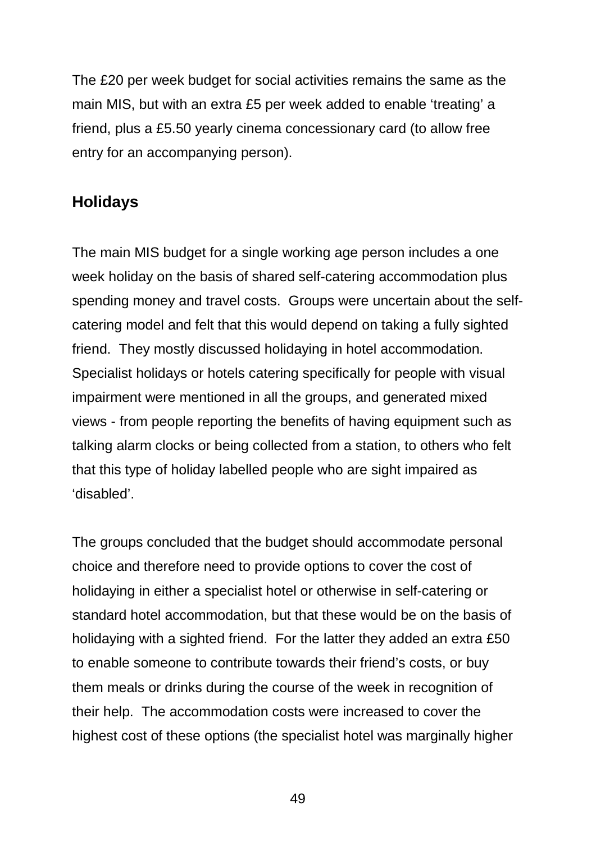The £20 per week budget for social activities remains the same as the main MIS, but with an extra £5 per week added to enable 'treating' a friend, plus a £5.50 yearly cinema concessionary card (to allow free entry for an accompanying person).

### **Holidays**

The main MIS budget for a single working age person includes a one week holiday on the basis of shared self-catering accommodation plus spending money and travel costs. Groups were uncertain about the selfcatering model and felt that this would depend on taking a fully sighted friend. They mostly discussed holidaying in hotel accommodation. Specialist holidays or hotels catering specifically for people with visual impairment were mentioned in all the groups, and generated mixed views - from people reporting the benefits of having equipment such as talking alarm clocks or being collected from a station, to others who felt that this type of holiday labelled people who are sight impaired as 'disabled'.

The groups concluded that the budget should accommodate personal choice and therefore need to provide options to cover the cost of holidaying in either a specialist hotel or otherwise in self-catering or standard hotel accommodation, but that these would be on the basis of holidaying with a sighted friend. For the latter they added an extra £50 to enable someone to contribute towards their friend's costs, or buy them meals or drinks during the course of the week in recognition of their help. The accommodation costs were increased to cover the highest cost of these options (the specialist hotel was marginally higher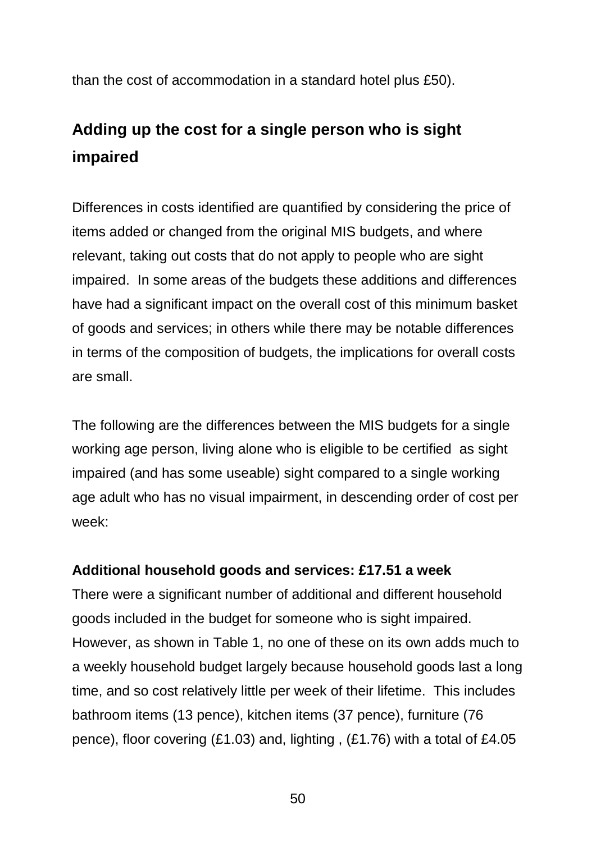than the cost of accommodation in a standard hotel plus £50).

# **Adding up the cost for a single person who is sight impaired**

Differences in costs identified are quantified by considering the price of items added or changed from the original MIS budgets, and where relevant, taking out costs that do not apply to people who are sight impaired. In some areas of the budgets these additions and differences have had a significant impact on the overall cost of this minimum basket of goods and services; in others while there may be notable differences in terms of the composition of budgets, the implications for overall costs are small.

The following are the differences between the MIS budgets for a single working age person, living alone who is eligible to be certified as sight impaired (and has some useable) sight compared to a single working age adult who has no visual impairment, in descending order of cost per week:

### **Additional household goods and services: £17.51 a week**

There were a significant number of additional and different household goods included in the budget for someone who is sight impaired. However, as shown in Table 1, no one of these on its own adds much to a weekly household budget largely because household goods last a long time, and so cost relatively little per week of their lifetime. This includes bathroom items (13 pence), kitchen items (37 pence), furniture (76 pence), floor covering (£1.03) and, lighting , (£1.76) with a total of £4.05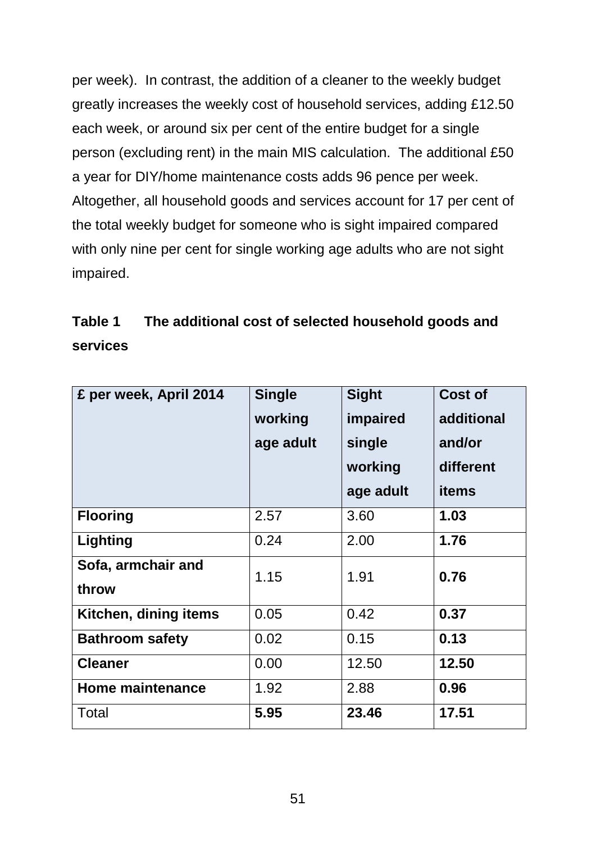per week). In contrast, the addition of a cleaner to the weekly budget greatly increases the weekly cost of household services, adding £12.50 each week, or around six per cent of the entire budget for a single person (excluding rent) in the main MIS calculation. The additional £50 a year for DIY/home maintenance costs adds 96 pence per week. Altogether, all household goods and services account for 17 per cent of the total weekly budget for someone who is sight impaired compared with only nine per cent for single working age adults who are not sight impaired.

| Table 1         | The additional cost of selected household goods and |
|-----------------|-----------------------------------------------------|
| <b>services</b> |                                                     |

| £ per week, April 2014      | <b>Single</b><br>working<br>age adult | <b>Sight</b><br>impaired<br>single<br>working<br>age adult | <b>Cost of</b><br>additional<br>and/or<br>different<br>items |
|-----------------------------|---------------------------------------|------------------------------------------------------------|--------------------------------------------------------------|
| <b>Flooring</b>             | 2.57                                  | 3.60                                                       | 1.03                                                         |
| Lighting                    | 0.24                                  | 2.00                                                       | 1.76                                                         |
| Sofa, armchair and<br>throw | 1.15                                  | 1.91                                                       | 0.76                                                         |
| Kitchen, dining items       | 0.05                                  | 0.42                                                       | 0.37                                                         |
| <b>Bathroom safety</b>      | 0.02                                  | 0.15                                                       | 0.13                                                         |
| <b>Cleaner</b>              | 0.00                                  | 12.50                                                      | 12.50                                                        |
| <b>Home maintenance</b>     | 1.92                                  | 2.88                                                       | 0.96                                                         |
| Total                       | 5.95                                  | 23.46                                                      | 17.51                                                        |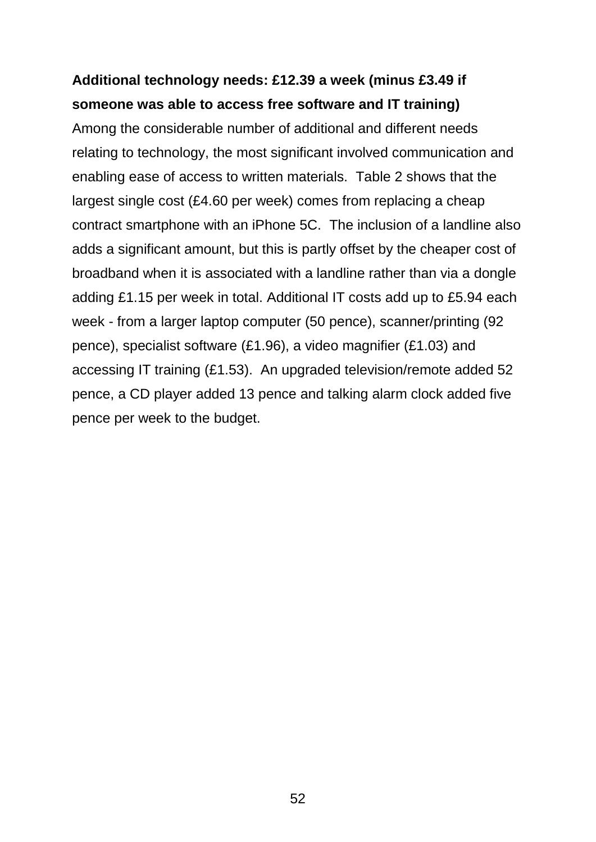## **Additional technology needs: £12.39 a week (minus £3.49 if someone was able to access free software and IT training)**

Among the considerable number of additional and different needs relating to technology, the most significant involved communication and enabling ease of access to written materials. Table 2 shows that the largest single cost (£4.60 per week) comes from replacing a cheap contract smartphone with an iPhone 5C. The inclusion of a landline also adds a significant amount, but this is partly offset by the cheaper cost of broadband when it is associated with a landline rather than via a dongle adding £1.15 per week in total. Additional IT costs add up to £5.94 each week - from a larger laptop computer (50 pence), scanner/printing (92 pence), specialist software (£1.96), a video magnifier (£1.03) and accessing IT training (£1.53). An upgraded television/remote added 52 pence, a CD player added 13 pence and talking alarm clock added five pence per week to the budget.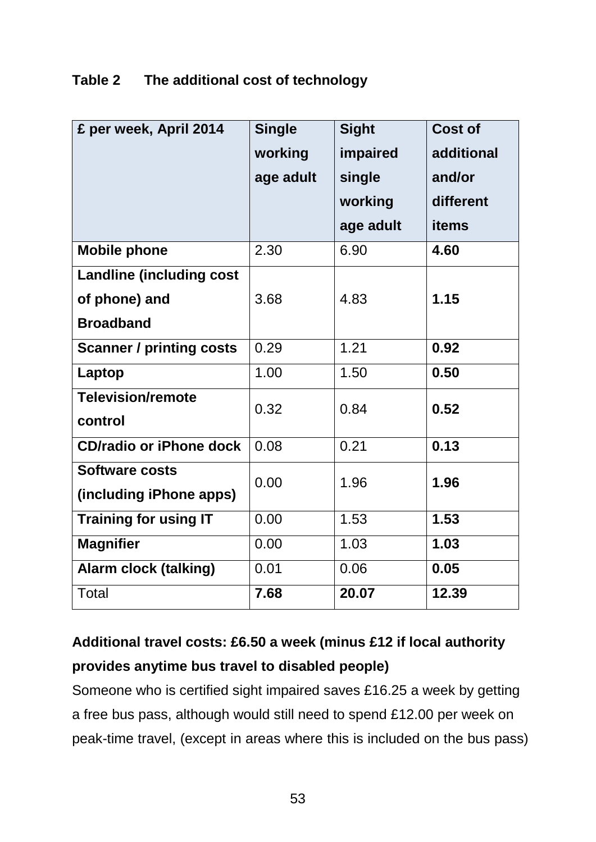### **Table 2 The additional cost of technology**

| £ per week, April 2014          | <b>Single</b> | <b>Sight</b> | Cost of      |
|---------------------------------|---------------|--------------|--------------|
|                                 | working       | impaired     | additional   |
|                                 | age adult     | single       | and/or       |
|                                 |               | working      | different    |
|                                 |               | age adult    | <b>items</b> |
| <b>Mobile phone</b>             | 2.30          | 6.90         | 4.60         |
| <b>Landline (including cost</b> |               |              |              |
| of phone) and                   | 3.68          | 4.83         | 1.15         |
| <b>Broadband</b>                |               |              |              |
| <b>Scanner / printing costs</b> | 0.29          | 1.21         | 0.92         |
| Laptop                          | 1.00          | 1.50         | 0.50         |
| <b>Television/remote</b>        | 0.32          | 0.84         | 0.52         |
| control                         |               |              |              |
| <b>CD/radio or iPhone dock</b>  | 0.08          | 0.21         | 0.13         |
| <b>Software costs</b>           | 0.00          | 1.96         | 1.96         |
| (including iPhone apps)         |               |              |              |
| <b>Training for using IT</b>    | 0.00          | 1.53         | 1.53         |
| <b>Magnifier</b>                | 0.00          | 1.03         | 1.03         |
| <b>Alarm clock (talking)</b>    | 0.01          | 0.06         | 0.05         |
| <b>Total</b>                    | 7.68          | 20.07        | 12.39        |

# **Additional travel costs: £6.50 a week (minus £12 if local authority provides anytime bus travel to disabled people)**

Someone who is certified sight impaired saves £16.25 a week by getting a free bus pass, although would still need to spend £12.00 per week on peak-time travel, (except in areas where this is included on the bus pass)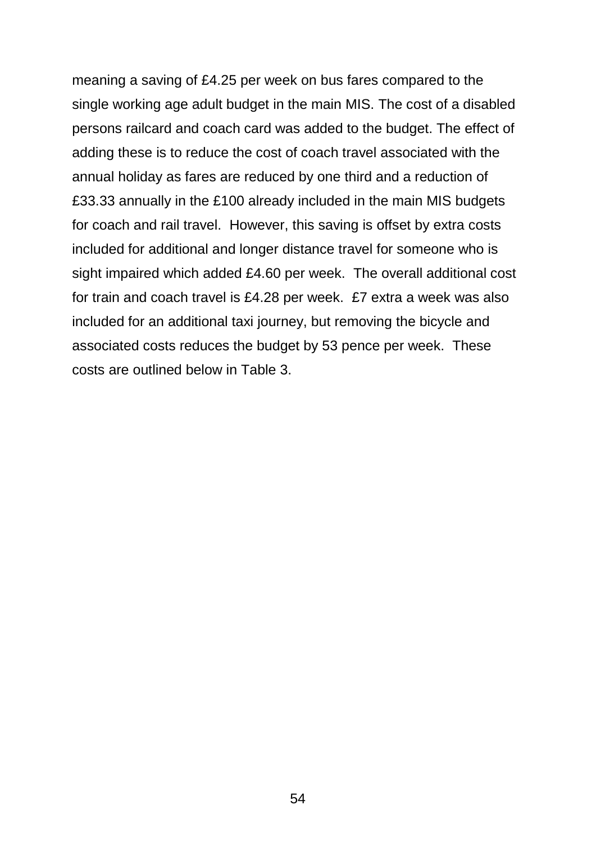meaning a saving of £4.25 per week on bus fares compared to the single working age adult budget in the main MIS. The cost of a disabled persons railcard and coach card was added to the budget. The effect of adding these is to reduce the cost of coach travel associated with the annual holiday as fares are reduced by one third and a reduction of £33.33 annually in the £100 already included in the main MIS budgets for coach and rail travel. However, this saving is offset by extra costs included for additional and longer distance travel for someone who is sight impaired which added £4.60 per week. The overall additional cost for train and coach travel is £4.28 per week. £7 extra a week was also included for an additional taxi journey, but removing the bicycle and associated costs reduces the budget by 53 pence per week. These costs are outlined below in Table 3.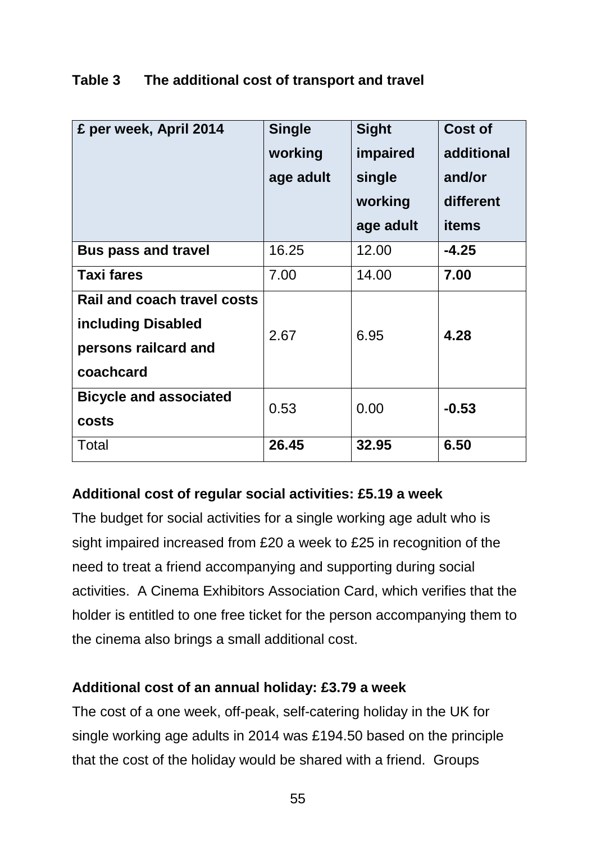| £ per week, April 2014                                                                 | <b>Single</b><br>working<br>age adult | <b>Sight</b><br>impaired<br>single<br>working<br>age adult | Cost of<br>additional<br>and/or<br>different<br>items |
|----------------------------------------------------------------------------------------|---------------------------------------|------------------------------------------------------------|-------------------------------------------------------|
| <b>Bus pass and travel</b>                                                             | 16.25                                 | 12.00                                                      | $-4.25$                                               |
| <b>Taxi fares</b>                                                                      | 7.00                                  | 14.00                                                      | 7.00                                                  |
| Rail and coach travel costs<br>including Disabled<br>persons railcard and<br>coachcard | 2.67                                  | 6.95                                                       | 4.28                                                  |
| <b>Bicycle and associated</b><br>costs                                                 | 0.53                                  | 0.00                                                       | $-0.53$                                               |
| Total                                                                                  | 26.45                                 | 32.95                                                      | 6.50                                                  |

### **Table 3 The additional cost of transport and travel**

#### **Additional cost of regular social activities: £5.19 a week**

The budget for social activities for a single working age adult who is sight impaired increased from £20 a week to £25 in recognition of the need to treat a friend accompanying and supporting during social activities. A Cinema Exhibitors Association Card, which verifies that the holder is entitled to one free ticket for the person accompanying them to the cinema also brings a small additional cost.

#### **Additional cost of an annual holiday: £3.79 a week**

The cost of a one week, off-peak, self-catering holiday in the UK for single working age adults in 2014 was £194.50 based on the principle that the cost of the holiday would be shared with a friend. Groups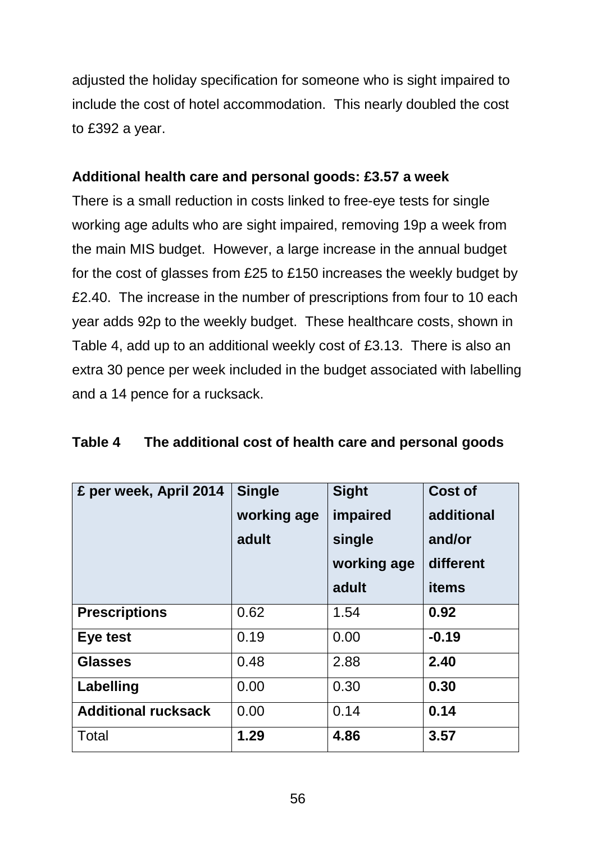adjusted the holiday specification for someone who is sight impaired to include the cost of hotel accommodation. This nearly doubled the cost to £392 a year.

### **Additional health care and personal goods: £3.57 a week**

There is a small reduction in costs linked to free-eye tests for single working age adults who are sight impaired, removing 19p a week from the main MIS budget. However, a large increase in the annual budget for the cost of glasses from £25 to £150 increases the weekly budget by £2.40. The increase in the number of prescriptions from four to 10 each year adds 92p to the weekly budget. These healthcare costs, shown in Table 4, add up to an additional weekly cost of £3.13. There is also an extra 30 pence per week included in the budget associated with labelling and a 14 pence for a rucksack.

| £ per week, April 2014     | <b>Single</b><br>working age<br>adult | <b>Sight</b><br>impaired<br>single<br>working age<br>adult | <b>Cost of</b><br>additional<br>and/or<br>different<br><b>items</b> |
|----------------------------|---------------------------------------|------------------------------------------------------------|---------------------------------------------------------------------|
| <b>Prescriptions</b>       | 0.62                                  | 1.54                                                       | 0.92                                                                |
| Eye test                   | 0.19                                  | 0.00                                                       | $-0.19$                                                             |
| <b>Glasses</b>             | 0.48                                  | 2.88                                                       | 2.40                                                                |
| Labelling                  | 0.00                                  | 0.30                                                       | 0.30                                                                |
| <b>Additional rucksack</b> | 0.00                                  | 0.14                                                       | 0.14                                                                |
| Total                      | 1.29                                  | 4.86                                                       | 3.57                                                                |

#### **Table 4 The additional cost of health care and personal goods**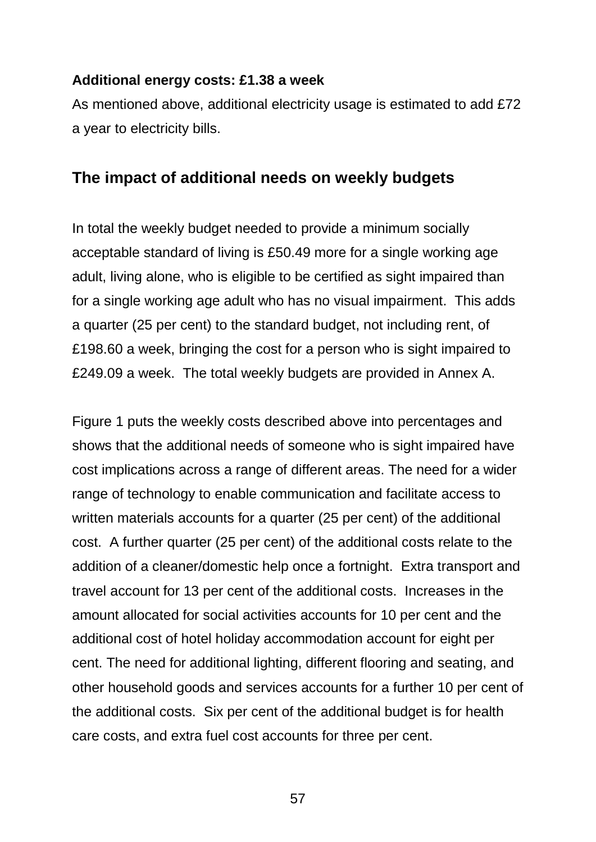#### **Additional energy costs: £1.38 a week**

As mentioned above, additional electricity usage is estimated to add £72 a year to electricity bills.

#### **The impact of additional needs on weekly budgets**

In total the weekly budget needed to provide a minimum socially acceptable standard of living is £50.49 more for a single working age adult, living alone, who is eligible to be certified as sight impaired than for a single working age adult who has no visual impairment. This adds a quarter (25 per cent) to the standard budget, not including rent, of £198.60 a week, bringing the cost for a person who is sight impaired to £249.09 a week. The total weekly budgets are provided in Annex A.

Figure 1 puts the weekly costs described above into percentages and shows that the additional needs of someone who is sight impaired have cost implications across a range of different areas. The need for a wider range of technology to enable communication and facilitate access to written materials accounts for a quarter (25 per cent) of the additional cost. A further quarter (25 per cent) of the additional costs relate to the addition of a cleaner/domestic help once a fortnight. Extra transport and travel account for 13 per cent of the additional costs. Increases in the amount allocated for social activities accounts for 10 per cent and the additional cost of hotel holiday accommodation account for eight per cent. The need for additional lighting, different flooring and seating, and other household goods and services accounts for a further 10 per cent of the additional costs. Six per cent of the additional budget is for health care costs, and extra fuel cost accounts for three per cent.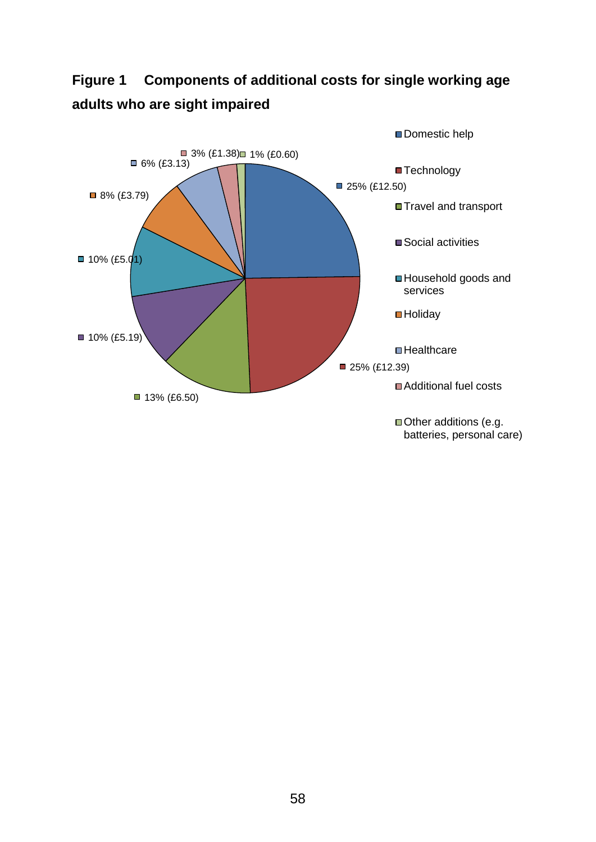## **Figure 1 Components of additional costs for single working age adults who are sight impaired**

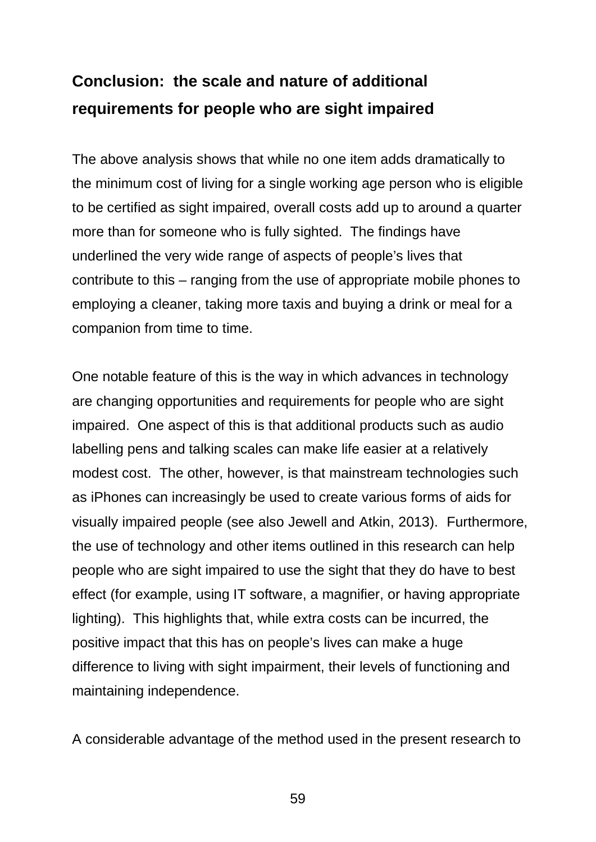# **Conclusion: the scale and nature of additional requirements for people who are sight impaired**

The above analysis shows that while no one item adds dramatically to the minimum cost of living for a single working age person who is eligible to be certified as sight impaired, overall costs add up to around a quarter more than for someone who is fully sighted. The findings have underlined the very wide range of aspects of people's lives that contribute to this – ranging from the use of appropriate mobile phones to employing a cleaner, taking more taxis and buying a drink or meal for a companion from time to time.

One notable feature of this is the way in which advances in technology are changing opportunities and requirements for people who are sight impaired. One aspect of this is that additional products such as audio labelling pens and talking scales can make life easier at a relatively modest cost. The other, however, is that mainstream technologies such as iPhones can increasingly be used to create various forms of aids for visually impaired people (see also Jewell and Atkin, 2013). Furthermore, the use of technology and other items outlined in this research can help people who are sight impaired to use the sight that they do have to best effect (for example, using IT software, a magnifier, or having appropriate lighting). This highlights that, while extra costs can be incurred, the positive impact that this has on people's lives can make a huge difference to living with sight impairment, their levels of functioning and maintaining independence.

A considerable advantage of the method used in the present research to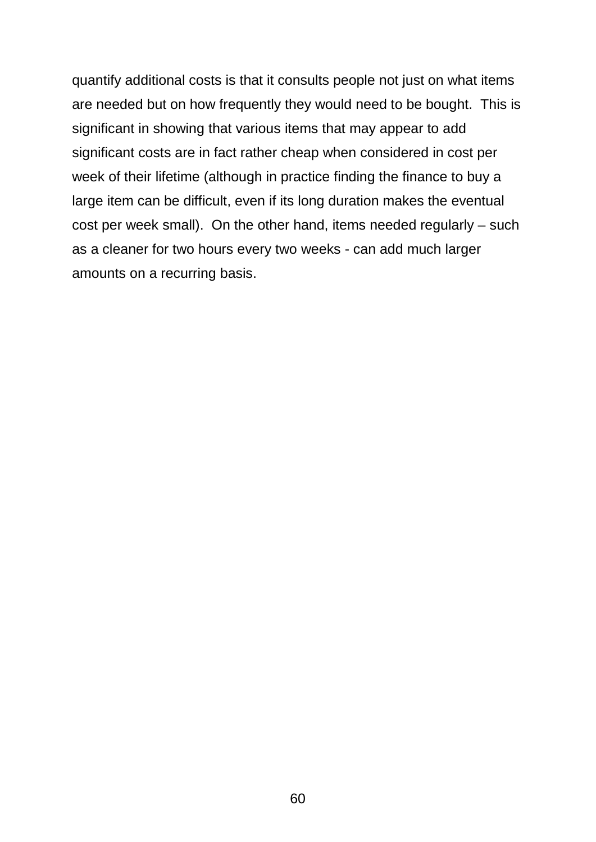quantify additional costs is that it consults people not just on what items are needed but on how frequently they would need to be bought. This is significant in showing that various items that may appear to add significant costs are in fact rather cheap when considered in cost per week of their lifetime (although in practice finding the finance to buy a large item can be difficult, even if its long duration makes the eventual cost per week small). On the other hand, items needed regularly – such as a cleaner for two hours every two weeks - can add much larger amounts on a recurring basis.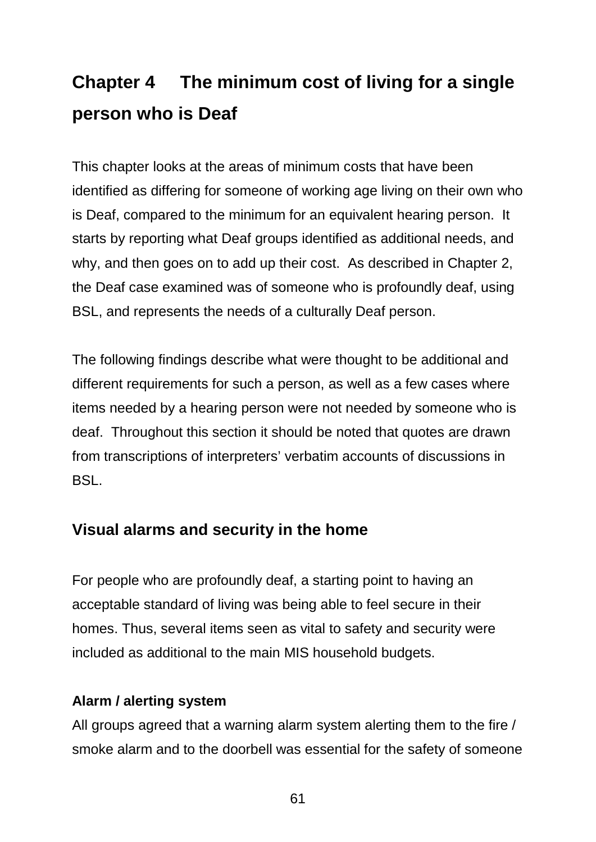# **Chapter 4 The minimum cost of living for a single person who is Deaf**

This chapter looks at the areas of minimum costs that have been identified as differing for someone of working age living on their own who is Deaf, compared to the minimum for an equivalent hearing person. It starts by reporting what Deaf groups identified as additional needs, and why, and then goes on to add up their cost. As described in Chapter 2, the Deaf case examined was of someone who is profoundly deaf, using BSL, and represents the needs of a culturally Deaf person.

The following findings describe what were thought to be additional and different requirements for such a person, as well as a few cases where items needed by a hearing person were not needed by someone who is deaf. Throughout this section it should be noted that quotes are drawn from transcriptions of interpreters' verbatim accounts of discussions in BSL.

## **Visual alarms and security in the home**

For people who are profoundly deaf, a starting point to having an acceptable standard of living was being able to feel secure in their homes. Thus, several items seen as vital to safety and security were included as additional to the main MIS household budgets.

#### **Alarm / alerting system**

All groups agreed that a warning alarm system alerting them to the fire / smoke alarm and to the doorbell was essential for the safety of someone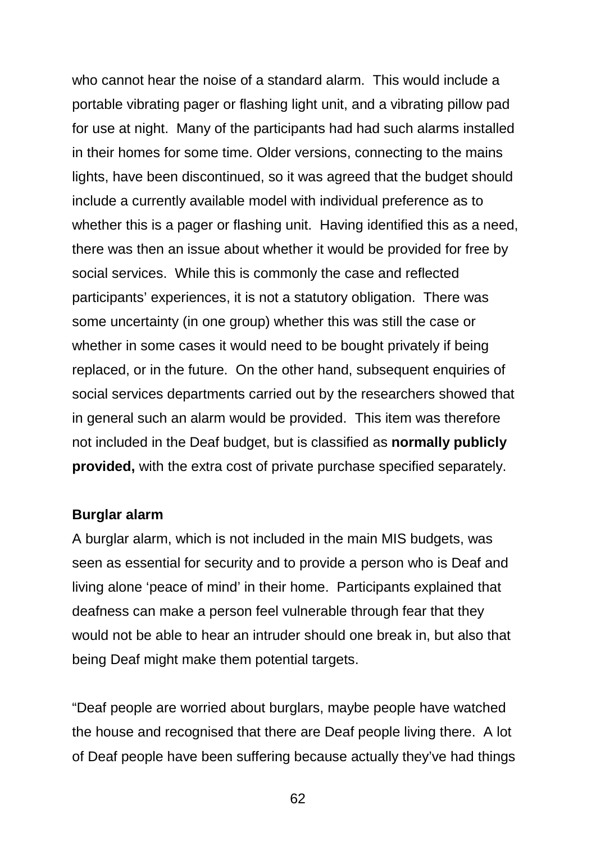who cannot hear the noise of a standard alarm. This would include a portable vibrating pager or flashing light unit, and a vibrating pillow pad for use at night. Many of the participants had had such alarms installed in their homes for some time. Older versions, connecting to the mains lights, have been discontinued, so it was agreed that the budget should include a currently available model with individual preference as to whether this is a pager or flashing unit. Having identified this as a need, there was then an issue about whether it would be provided for free by social services. While this is commonly the case and reflected participants' experiences, it is not a statutory obligation. There was some uncertainty (in one group) whether this was still the case or whether in some cases it would need to be bought privately if being replaced, or in the future. On the other hand, subsequent enquiries of social services departments carried out by the researchers showed that in general such an alarm would be provided. This item was therefore not included in the Deaf budget, but is classified as **normally publicly provided,** with the extra cost of private purchase specified separately.

#### **Burglar alarm**

A burglar alarm, which is not included in the main MIS budgets, was seen as essential for security and to provide a person who is Deaf and living alone 'peace of mind' in their home. Participants explained that deafness can make a person feel vulnerable through fear that they would not be able to hear an intruder should one break in, but also that being Deaf might make them potential targets.

"Deaf people are worried about burglars, maybe people have watched the house and recognised that there are Deaf people living there. A lot of Deaf people have been suffering because actually they've had things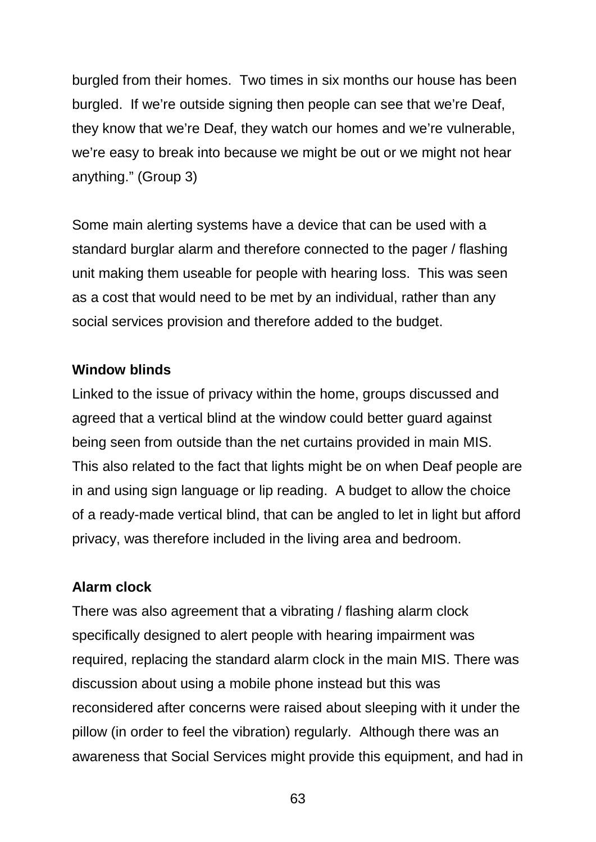burgled from their homes. Two times in six months our house has been burgled. If we're outside signing then people can see that we're Deaf, they know that we're Deaf, they watch our homes and we're vulnerable, we're easy to break into because we might be out or we might not hear anything." (Group 3)

Some main alerting systems have a device that can be used with a standard burglar alarm and therefore connected to the pager / flashing unit making them useable for people with hearing loss. This was seen as a cost that would need to be met by an individual, rather than any social services provision and therefore added to the budget.

#### **Window blinds**

Linked to the issue of privacy within the home, groups discussed and agreed that a vertical blind at the window could better guard against being seen from outside than the net curtains provided in main MIS. This also related to the fact that lights might be on when Deaf people are in and using sign language or lip reading. A budget to allow the choice of a ready-made vertical blind, that can be angled to let in light but afford privacy, was therefore included in the living area and bedroom.

#### **Alarm clock**

There was also agreement that a vibrating / flashing alarm clock specifically designed to alert people with hearing impairment was required, replacing the standard alarm clock in the main MIS. There was discussion about using a mobile phone instead but this was reconsidered after concerns were raised about sleeping with it under the pillow (in order to feel the vibration) regularly. Although there was an awareness that Social Services might provide this equipment, and had in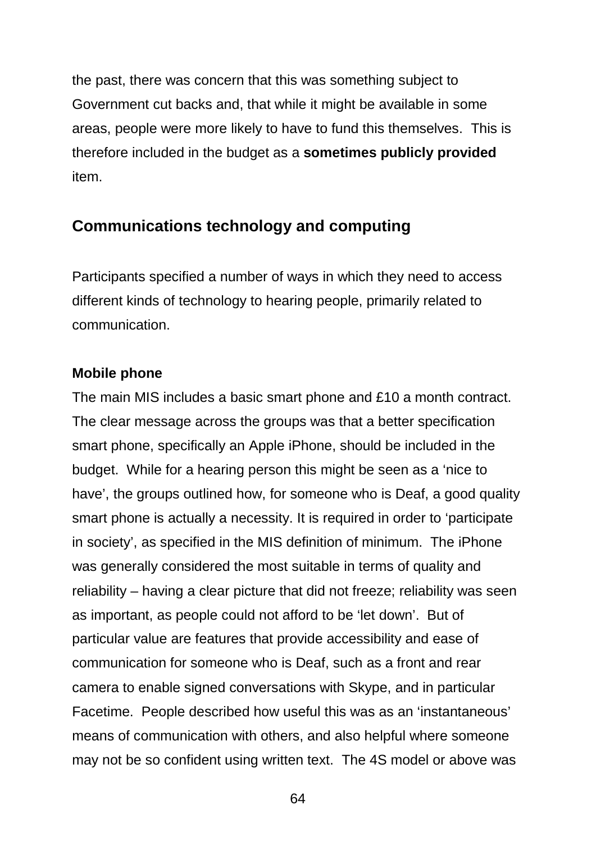the past, there was concern that this was something subject to Government cut backs and, that while it might be available in some areas, people were more likely to have to fund this themselves. This is therefore included in the budget as a **sometimes publicly provided** item.

## **Communications technology and computing**

Participants specified a number of ways in which they need to access different kinds of technology to hearing people, primarily related to communication.

#### **Mobile phone**

The main MIS includes a basic smart phone and £10 a month contract. The clear message across the groups was that a better specification smart phone, specifically an Apple iPhone, should be included in the budget. While for a hearing person this might be seen as a 'nice to have', the groups outlined how, for someone who is Deaf, a good quality smart phone is actually a necessity. It is required in order to 'participate in society', as specified in the MIS definition of minimum. The iPhone was generally considered the most suitable in terms of quality and reliability – having a clear picture that did not freeze; reliability was seen as important, as people could not afford to be 'let down'. But of particular value are features that provide accessibility and ease of communication for someone who is Deaf, such as a front and rear camera to enable signed conversations with Skype, and in particular Facetime. People described how useful this was as an 'instantaneous' means of communication with others, and also helpful where someone may not be so confident using written text. The 4S model or above was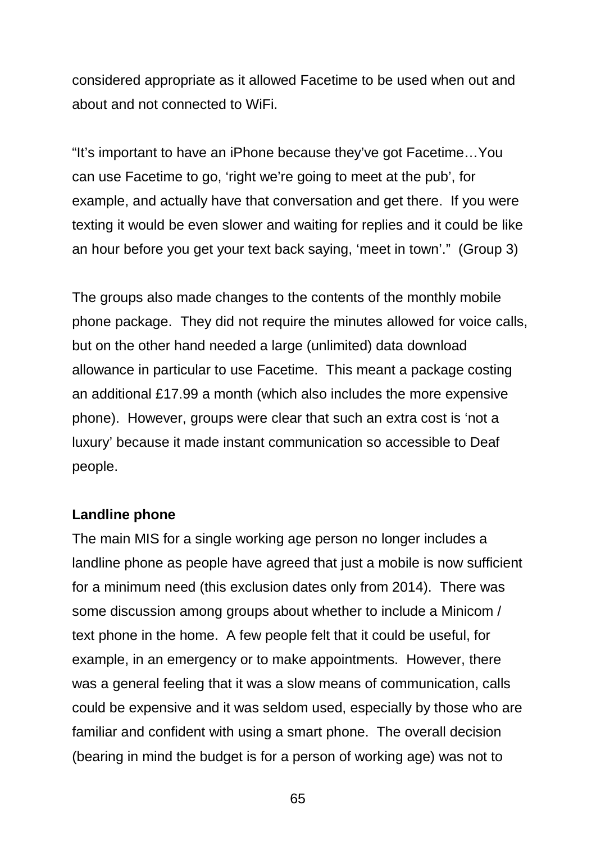considered appropriate as it allowed Facetime to be used when out and about and not connected to WiFi.

"It's important to have an iPhone because they've got Facetime…You can use Facetime to go, 'right we're going to meet at the pub', for example, and actually have that conversation and get there. If you were texting it would be even slower and waiting for replies and it could be like an hour before you get your text back saying, 'meet in town'." (Group 3)

The groups also made changes to the contents of the monthly mobile phone package. They did not require the minutes allowed for voice calls, but on the other hand needed a large (unlimited) data download allowance in particular to use Facetime. This meant a package costing an additional £17.99 a month (which also includes the more expensive phone). However, groups were clear that such an extra cost is 'not a luxury' because it made instant communication so accessible to Deaf people.

#### **Landline phone**

The main MIS for a single working age person no longer includes a landline phone as people have agreed that just a mobile is now sufficient for a minimum need (this exclusion dates only from 2014). There was some discussion among groups about whether to include a Minicom / text phone in the home. A few people felt that it could be useful, for example, in an emergency or to make appointments. However, there was a general feeling that it was a slow means of communication, calls could be expensive and it was seldom used, especially by those who are familiar and confident with using a smart phone. The overall decision (bearing in mind the budget is for a person of working age) was not to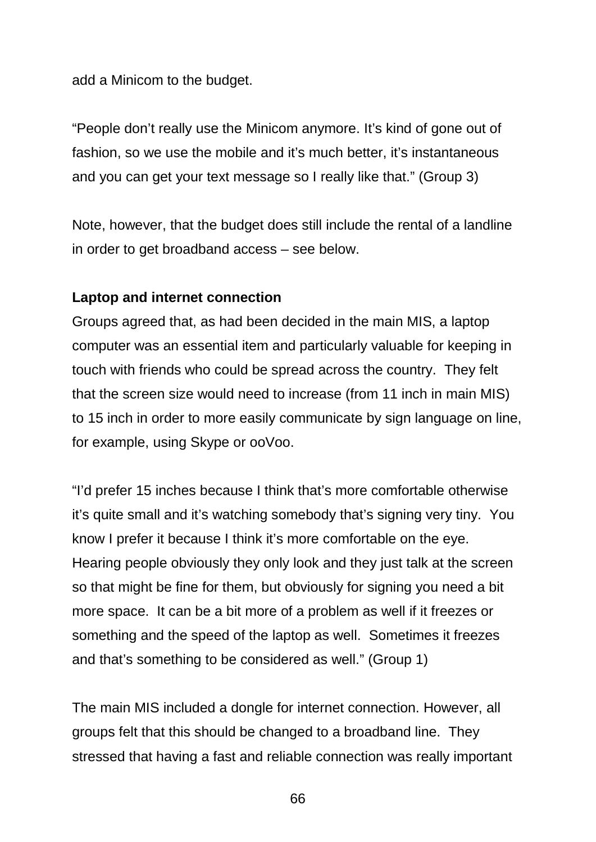add a Minicom to the budget.

"People don't really use the Minicom anymore. It's kind of gone out of fashion, so we use the mobile and it's much better, it's instantaneous and you can get your text message so I really like that." (Group 3)

Note, however, that the budget does still include the rental of a landline in order to get broadband access – see below.

#### **Laptop and internet connection**

Groups agreed that, as had been decided in the main MIS, a laptop computer was an essential item and particularly valuable for keeping in touch with friends who could be spread across the country. They felt that the screen size would need to increase (from 11 inch in main MIS) to 15 inch in order to more easily communicate by sign language on line, for example, using Skype or ooVoo.

"I'd prefer 15 inches because I think that's more comfortable otherwise it's quite small and it's watching somebody that's signing very tiny. You know I prefer it because I think it's more comfortable on the eye. Hearing people obviously they only look and they just talk at the screen so that might be fine for them, but obviously for signing you need a bit more space. It can be a bit more of a problem as well if it freezes or something and the speed of the laptop as well. Sometimes it freezes and that's something to be considered as well." (Group 1)

The main MIS included a dongle for internet connection. However, all groups felt that this should be changed to a broadband line. They stressed that having a fast and reliable connection was really important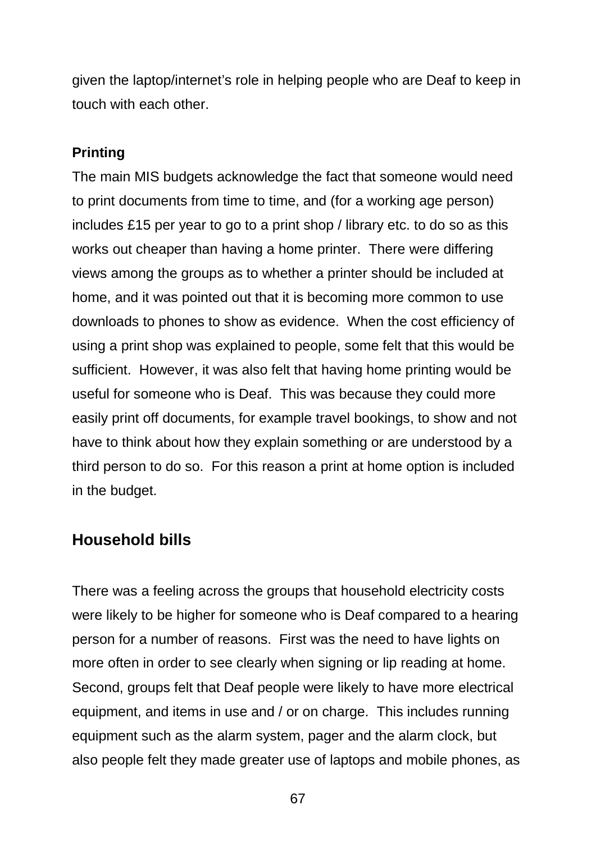given the laptop/internet's role in helping people who are Deaf to keep in touch with each other.

#### **Printing**

The main MIS budgets acknowledge the fact that someone would need to print documents from time to time, and (for a working age person) includes £15 per year to go to a print shop / library etc. to do so as this works out cheaper than having a home printer. There were differing views among the groups as to whether a printer should be included at home, and it was pointed out that it is becoming more common to use downloads to phones to show as evidence. When the cost efficiency of using a print shop was explained to people, some felt that this would be sufficient. However, it was also felt that having home printing would be useful for someone who is Deaf. This was because they could more easily print off documents, for example travel bookings, to show and not have to think about how they explain something or are understood by a third person to do so. For this reason a print at home option is included in the budget.

## **Household bills**

There was a feeling across the groups that household electricity costs were likely to be higher for someone who is Deaf compared to a hearing person for a number of reasons. First was the need to have lights on more often in order to see clearly when signing or lip reading at home. Second, groups felt that Deaf people were likely to have more electrical equipment, and items in use and / or on charge. This includes running equipment such as the alarm system, pager and the alarm clock, but also people felt they made greater use of laptops and mobile phones, as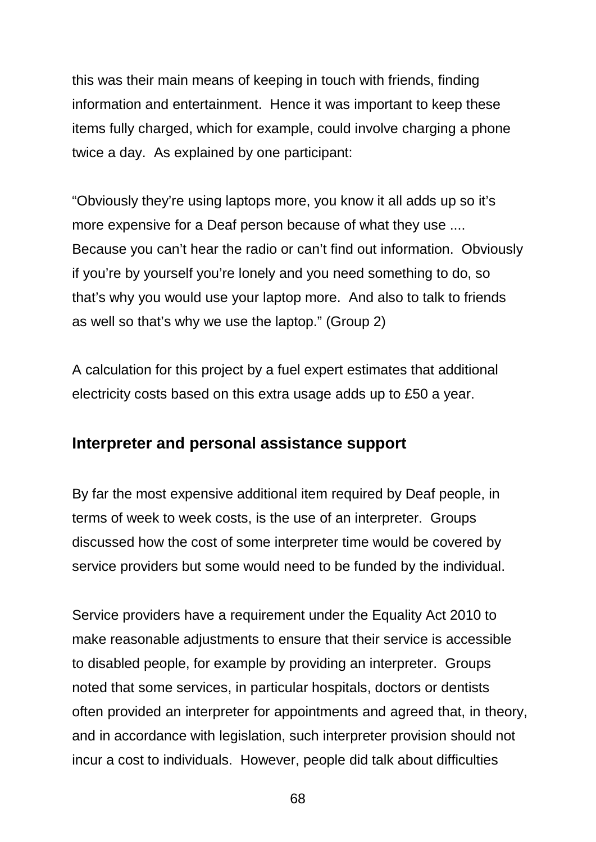this was their main means of keeping in touch with friends, finding information and entertainment. Hence it was important to keep these items fully charged, which for example, could involve charging a phone twice a day. As explained by one participant:

"Obviously they're using laptops more, you know it all adds up so it's more expensive for a Deaf person because of what they use .... Because you can't hear the radio or can't find out information. Obviously if you're by yourself you're lonely and you need something to do, so that's why you would use your laptop more. And also to talk to friends as well so that's why we use the laptop." (Group 2)

A calculation for this project by a fuel expert estimates that additional electricity costs based on this extra usage adds up to £50 a year.

## **Interpreter and personal assistance support**

By far the most expensive additional item required by Deaf people, in terms of week to week costs, is the use of an interpreter. Groups discussed how the cost of some interpreter time would be covered by service providers but some would need to be funded by the individual.

Service providers have a requirement under the Equality Act 2010 to make reasonable adjustments to ensure that their service is accessible to disabled people, for example by providing an interpreter. Groups noted that some services, in particular hospitals, doctors or dentists often provided an interpreter for appointments and agreed that, in theory, and in accordance with legislation, such interpreter provision should not incur a cost to individuals. However, people did talk about difficulties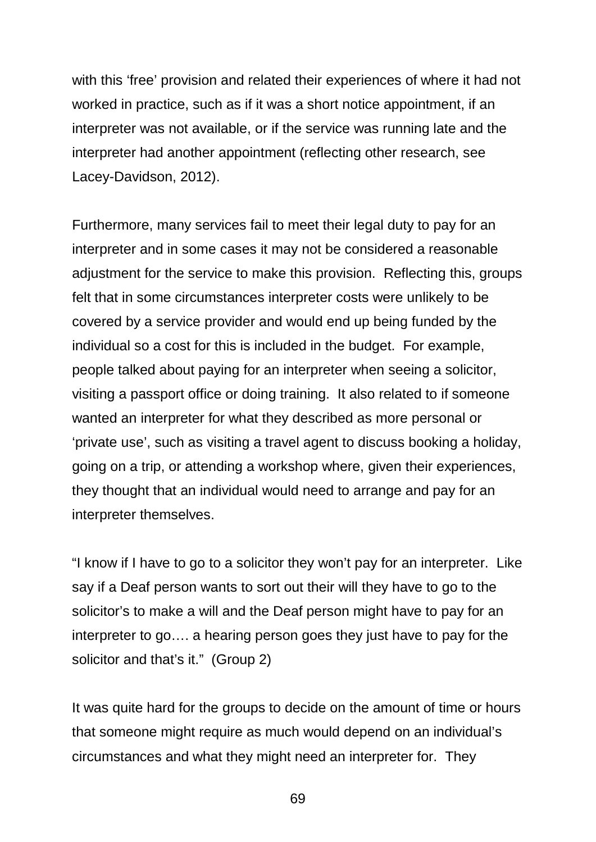with this 'free' provision and related their experiences of where it had not worked in practice, such as if it was a short notice appointment, if an interpreter was not available, or if the service was running late and the interpreter had another appointment (reflecting other research, see Lacey-Davidson, 2012).

Furthermore, many services fail to meet their legal duty to pay for an interpreter and in some cases it may not be considered a reasonable adjustment for the service to make this provision. Reflecting this, groups felt that in some circumstances interpreter costs were unlikely to be covered by a service provider and would end up being funded by the individual so a cost for this is included in the budget. For example, people talked about paying for an interpreter when seeing a solicitor, visiting a passport office or doing training. It also related to if someone wanted an interpreter for what they described as more personal or 'private use', such as visiting a travel agent to discuss booking a holiday, going on a trip, or attending a workshop where, given their experiences, they thought that an individual would need to arrange and pay for an interpreter themselves.

"I know if I have to go to a solicitor they won't pay for an interpreter. Like say if a Deaf person wants to sort out their will they have to go to the solicitor's to make a will and the Deaf person might have to pay for an interpreter to go…. a hearing person goes they just have to pay for the solicitor and that's it." (Group 2)

It was quite hard for the groups to decide on the amount of time or hours that someone might require as much would depend on an individual's circumstances and what they might need an interpreter for. They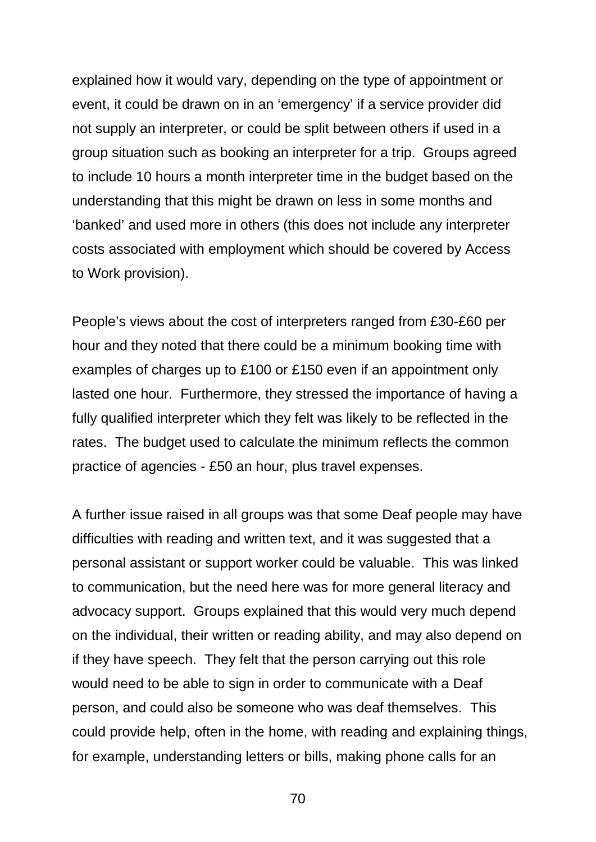explained how it would vary, depending on the type of appointment or event, it could be drawn on in an 'emergency' if a service provider did not supply an interpreter, or could be split between others if used in a group situation such as booking an interpreter for a trip. Groups agreed to include 10 hours a month interpreter time in the budget based on the understanding that this might be drawn on less in some months and 'banked' and used more in others (this does not include any interpreter costs associated with employment which should be covered by Access to Work provision).

People's views about the cost of interpreters ranged from £30-£60 per hour and they noted that there could be a minimum booking time with examples of charges up to £100 or £150 even if an appointment only lasted one hour. Furthermore, they stressed the importance of having a fully qualified interpreter which they felt was likely to be reflected in the rates. The budget used to calculate the minimum reflects the common practice of agencies - £50 an hour, plus travel expenses.

A further issue raised in all groups was that some Deaf people may have difficulties with reading and written text, and it was suggested that a personal assistant or support worker could be valuable. This was linked to communication, but the need here was for more general literacy and advocacy support. Groups explained that this would very much depend on the individual, their written or reading ability, and may also depend on if they have speech. They felt that the person carrying out this role would need to be able to sign in order to communicate with a Deaf person, and could also be someone who was deaf themselves. This could provide help, often in the home, with reading and explaining things, for example, understanding letters or bills, making phone calls for an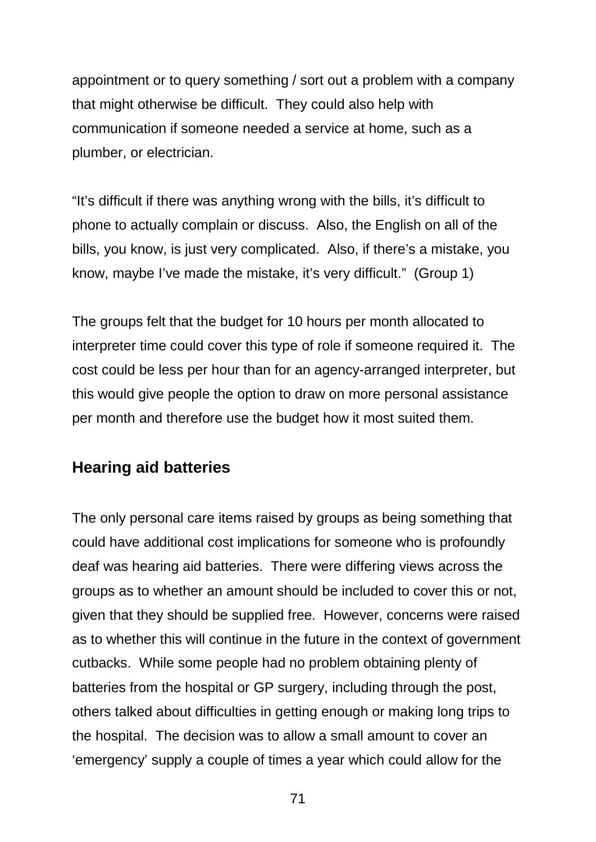appointment or to query something / sort out a problem with a company that might otherwise be difficult. They could also help with communication if someone needed a service at home, such as a plumber, or electrician.

"It's difficult if there was anything wrong with the bills, it's difficult to phone to actually complain or discuss. Also, the English on all of the bills, you know, is just very complicated. Also, if there's a mistake, you know, maybe I've made the mistake, it's very difficult." (Group 1)

The groups felt that the budget for 10 hours per month allocated to interpreter time could cover this type of role if someone required it. The cost could be less per hour than for an agency-arranged interpreter, but this would give people the option to draw on more personal assistance per month and therefore use the budget how it most suited them.

### **Hearing aid batteries**

The only personal care items raised by groups as being something that could have additional cost implications for someone who is profoundly deaf was hearing aid batteries. There were differing views across the groups as to whether an amount should be included to cover this or not, given that they should be supplied free. However, concerns were raised as to whether this will continue in the future in the context of government cutbacks. While some people had no problem obtaining plenty of batteries from the hospital or GP surgery, including through the post, others talked about difficulties in getting enough or making long trips to the hospital. The decision was to allow a small amount to cover an 'emergency' supply a couple of times a year which could allow for the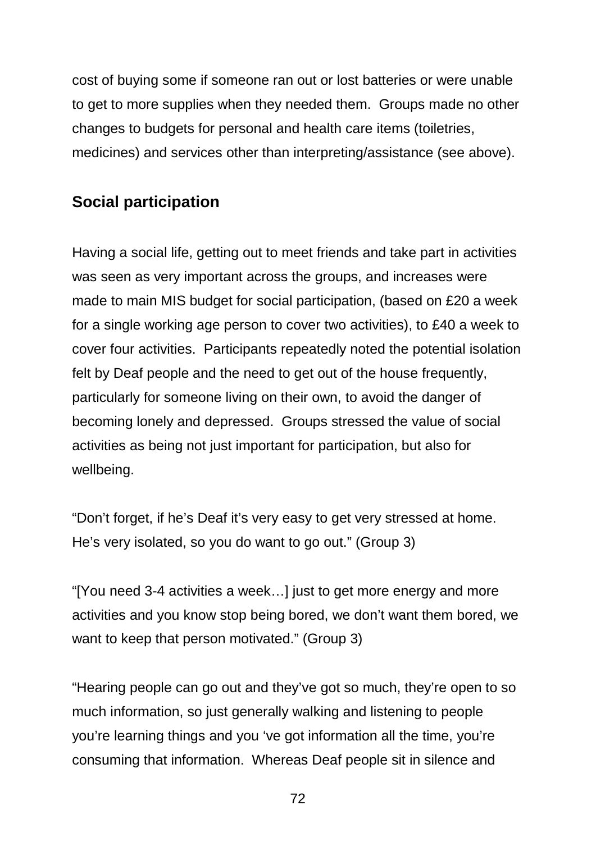cost of buying some if someone ran out or lost batteries or were unable to get to more supplies when they needed them. Groups made no other changes to budgets for personal and health care items (toiletries, medicines) and services other than interpreting/assistance (see above).

## **Social participation**

Having a social life, getting out to meet friends and take part in activities was seen as very important across the groups, and increases were made to main MIS budget for social participation, (based on £20 a week for a single working age person to cover two activities), to £40 a week to cover four activities. Participants repeatedly noted the potential isolation felt by Deaf people and the need to get out of the house frequently, particularly for someone living on their own, to avoid the danger of becoming lonely and depressed. Groups stressed the value of social activities as being not just important for participation, but also for wellbeing.

"Don't forget, if he's Deaf it's very easy to get very stressed at home. He's very isolated, so you do want to go out." (Group 3)

"[You need 3-4 activities a week…] just to get more energy and more activities and you know stop being bored, we don't want them bored, we want to keep that person motivated." (Group 3)

"Hearing people can go out and they've got so much, they're open to so much information, so just generally walking and listening to people you're learning things and you 've got information all the time, you're consuming that information. Whereas Deaf people sit in silence and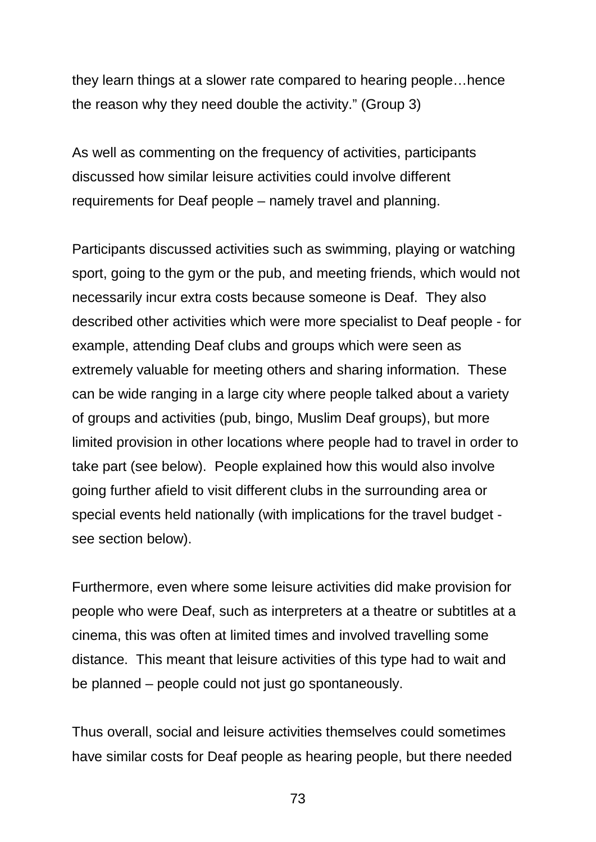they learn things at a slower rate compared to hearing people…hence the reason why they need double the activity." (Group 3)

As well as commenting on the frequency of activities, participants discussed how similar leisure activities could involve different requirements for Deaf people – namely travel and planning.

Participants discussed activities such as swimming, playing or watching sport, going to the gym or the pub, and meeting friends, which would not necessarily incur extra costs because someone is Deaf. They also described other activities which were more specialist to Deaf people - for example, attending Deaf clubs and groups which were seen as extremely valuable for meeting others and sharing information. These can be wide ranging in a large city where people talked about a variety of groups and activities (pub, bingo, Muslim Deaf groups), but more limited provision in other locations where people had to travel in order to take part (see below). People explained how this would also involve going further afield to visit different clubs in the surrounding area or special events held nationally (with implications for the travel budget see section below).

Furthermore, even where some leisure activities did make provision for people who were Deaf, such as interpreters at a theatre or subtitles at a cinema, this was often at limited times and involved travelling some distance. This meant that leisure activities of this type had to wait and be planned – people could not just go spontaneously.

Thus overall, social and leisure activities themselves could sometimes have similar costs for Deaf people as hearing people, but there needed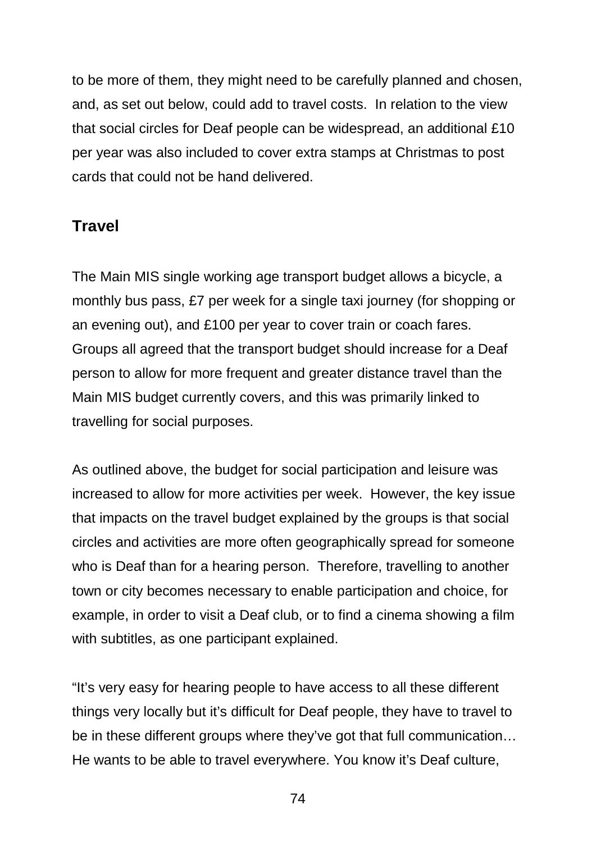to be more of them, they might need to be carefully planned and chosen, and, as set out below, could add to travel costs. In relation to the view that social circles for Deaf people can be widespread, an additional £10 per year was also included to cover extra stamps at Christmas to post cards that could not be hand delivered.

## **Travel**

The Main MIS single working age transport budget allows a bicycle, a monthly bus pass, £7 per week for a single taxi journey (for shopping or an evening out), and £100 per year to cover train or coach fares. Groups all agreed that the transport budget should increase for a Deaf person to allow for more frequent and greater distance travel than the Main MIS budget currently covers, and this was primarily linked to travelling for social purposes.

As outlined above, the budget for social participation and leisure was increased to allow for more activities per week. However, the key issue that impacts on the travel budget explained by the groups is that social circles and activities are more often geographically spread for someone who is Deaf than for a hearing person. Therefore, travelling to another town or city becomes necessary to enable participation and choice, for example, in order to visit a Deaf club, or to find a cinema showing a film with subtitles, as one participant explained.

"It's very easy for hearing people to have access to all these different things very locally but it's difficult for Deaf people, they have to travel to be in these different groups where they've got that full communication… He wants to be able to travel everywhere. You know it's Deaf culture,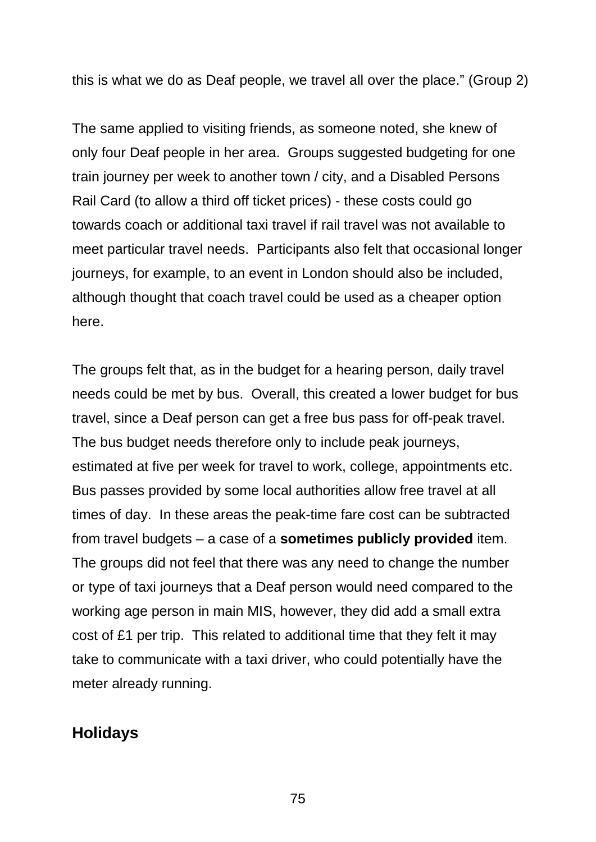this is what we do as Deaf people, we travel all over the place." (Group 2)

The same applied to visiting friends, as someone noted, she knew of only four Deaf people in her area. Groups suggested budgeting for one train journey per week to another town / city, and a Disabled Persons Rail Card (to allow a third off ticket prices) - these costs could go towards coach or additional taxi travel if rail travel was not available to meet particular travel needs. Participants also felt that occasional longer journeys, for example, to an event in London should also be included, although thought that coach travel could be used as a cheaper option here.

The groups felt that, as in the budget for a hearing person, daily travel needs could be met by bus. Overall, this created a lower budget for bus travel, since a Deaf person can get a free bus pass for off-peak travel. The bus budget needs therefore only to include peak journeys, estimated at five per week for travel to work, college, appointments etc. Bus passes provided by some local authorities allow free travel at all times of day. In these areas the peak-time fare cost can be subtracted from travel budgets – a case of a **sometimes publicly provided** item. The groups did not feel that there was any need to change the number or type of taxi journeys that a Deaf person would need compared to the working age person in main MIS, however, they did add a small extra cost of £1 per trip. This related to additional time that they felt it may take to communicate with a taxi driver, who could potentially have the meter already running.

## **Holidays**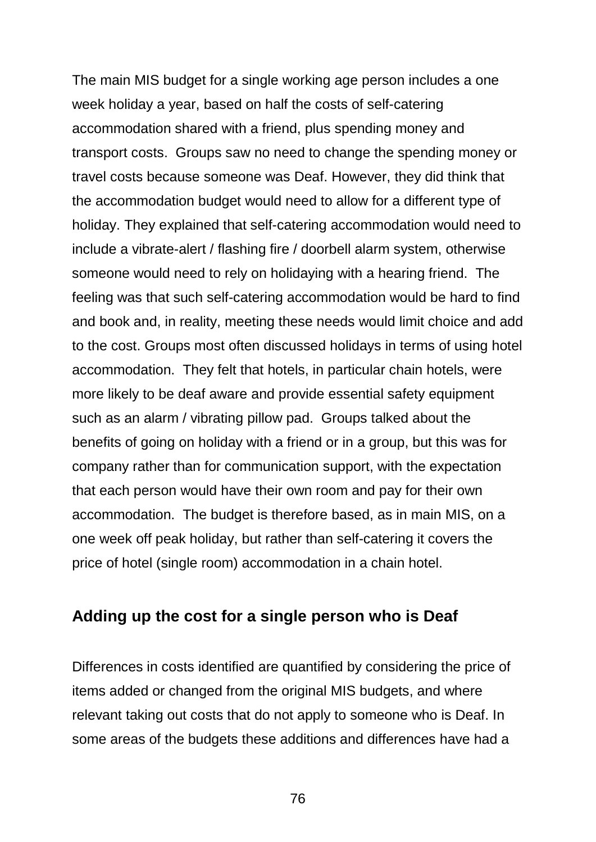The main MIS budget for a single working age person includes a one week holiday a year, based on half the costs of self-catering accommodation shared with a friend, plus spending money and transport costs. Groups saw no need to change the spending money or travel costs because someone was Deaf. However, they did think that the accommodation budget would need to allow for a different type of holiday. They explained that self-catering accommodation would need to include a vibrate-alert / flashing fire / doorbell alarm system, otherwise someone would need to rely on holidaying with a hearing friend. The feeling was that such self-catering accommodation would be hard to find and book and, in reality, meeting these needs would limit choice and add to the cost. Groups most often discussed holidays in terms of using hotel accommodation. They felt that hotels, in particular chain hotels, were more likely to be deaf aware and provide essential safety equipment such as an alarm / vibrating pillow pad. Groups talked about the benefits of going on holiday with a friend or in a group, but this was for company rather than for communication support, with the expectation that each person would have their own room and pay for their own accommodation. The budget is therefore based, as in main MIS, on a one week off peak holiday, but rather than self-catering it covers the price of hotel (single room) accommodation in a chain hotel.

### **Adding up the cost for a single person who is Deaf**

Differences in costs identified are quantified by considering the price of items added or changed from the original MIS budgets, and where relevant taking out costs that do not apply to someone who is Deaf. In some areas of the budgets these additions and differences have had a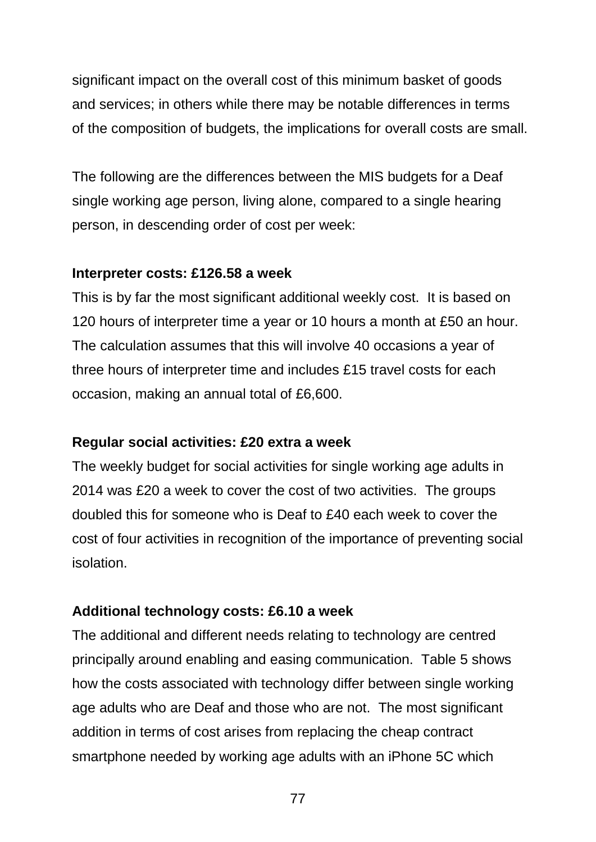significant impact on the overall cost of this minimum basket of goods and services; in others while there may be notable differences in terms of the composition of budgets, the implications for overall costs are small.

The following are the differences between the MIS budgets for a Deaf single working age person, living alone, compared to a single hearing person, in descending order of cost per week:

#### **Interpreter costs: £126.58 a week**

This is by far the most significant additional weekly cost. It is based on 120 hours of interpreter time a year or 10 hours a month at £50 an hour. The calculation assumes that this will involve 40 occasions a year of three hours of interpreter time and includes £15 travel costs for each occasion, making an annual total of £6,600.

#### **Regular social activities: £20 extra a week**

The weekly budget for social activities for single working age adults in 2014 was £20 a week to cover the cost of two activities. The groups doubled this for someone who is Deaf to £40 each week to cover the cost of four activities in recognition of the importance of preventing social isolation.

#### **Additional technology costs: £6.10 a week**

The additional and different needs relating to technology are centred principally around enabling and easing communication. Table 5 shows how the costs associated with technology differ between single working age adults who are Deaf and those who are not. The most significant addition in terms of cost arises from replacing the cheap contract smartphone needed by working age adults with an iPhone 5C which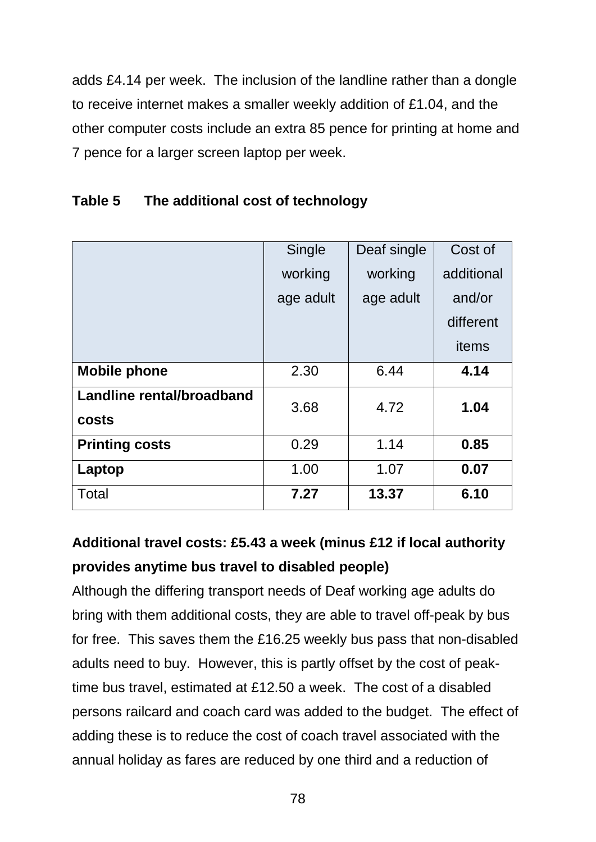adds £4.14 per week. The inclusion of the landline rather than a dongle to receive internet makes a smaller weekly addition of £1.04, and the other computer costs include an extra 85 pence for printing at home and 7 pence for a larger screen laptop per week.

|                                           | Single    | Deaf single | Cost of    |
|-------------------------------------------|-----------|-------------|------------|
|                                           | working   | working     | additional |
|                                           | age adult | age adult   | and/or     |
|                                           |           |             | different  |
|                                           |           |             | items      |
| <b>Mobile phone</b>                       | 2.30      | 6.44        | 4.14       |
| Landline rental/broadband<br><b>costs</b> | 3.68      | 4.72        | 1.04       |
| <b>Printing costs</b>                     | 0.29      | 1.14        | 0.85       |
| Laptop                                    | 1.00      | 1.07        | 0.07       |
| Total                                     | 7.27      | 13.37       | 6.10       |

### **Table 5 The additional cost of technology**

## **Additional travel costs: £5.43 a week (minus £12 if local authority provides anytime bus travel to disabled people)**

Although the differing transport needs of Deaf working age adults do bring with them additional costs, they are able to travel off-peak by bus for free. This saves them the £16.25 weekly bus pass that non-disabled adults need to buy. However, this is partly offset by the cost of peaktime bus travel, estimated at £12.50 a week. The cost of a disabled persons railcard and coach card was added to the budget. The effect of adding these is to reduce the cost of coach travel associated with the annual holiday as fares are reduced by one third and a reduction of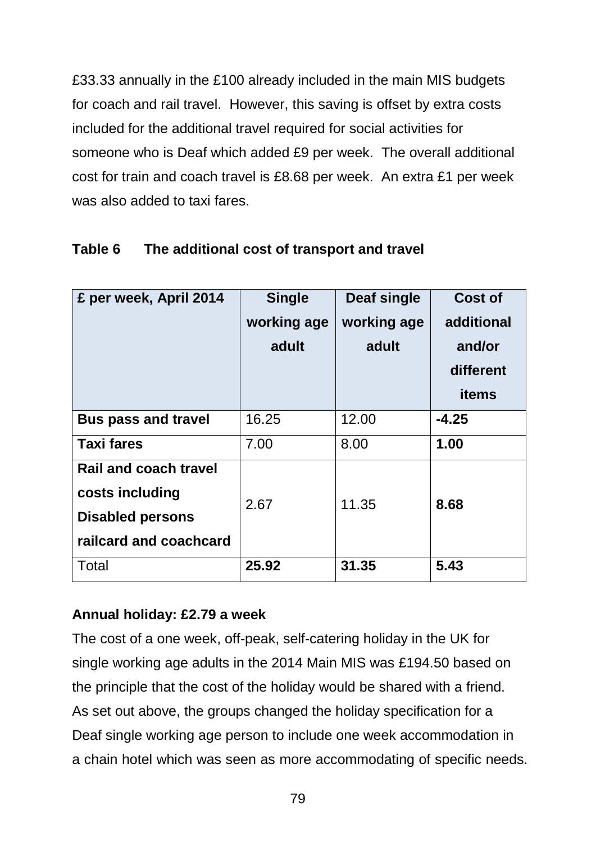£33.33 annually in the £100 already included in the main MIS budgets for coach and rail travel. However, this saving is offset by extra costs included for the additional travel required for social activities for someone who is Deaf which added £9 per week. The overall additional cost for train and coach travel is £8.68 per week. An extra £1 per week was also added to taxi fares.

| £ per week, April 2014                                                                               | <b>Single</b><br>working age<br>adult | Deaf single<br>working age<br>adult | Cost of<br>additional<br>and/or<br>different<br><b>items</b> |
|------------------------------------------------------------------------------------------------------|---------------------------------------|-------------------------------------|--------------------------------------------------------------|
| <b>Bus pass and travel</b>                                                                           | 16.25                                 | 12.00                               | $-4.25$                                                      |
| <b>Taxi fares</b>                                                                                    | 7.00                                  | 8.00                                | 1.00                                                         |
| <b>Rail and coach travel</b><br>costs including<br><b>Disabled persons</b><br>railcard and coachcard | 2.67                                  | 11.35                               | 8.68                                                         |
| Total                                                                                                | 25.92                                 | 31.35                               | 5.43                                                         |

### **Table 6 The additional cost of transport and travel**

### **Annual holiday: £2.79 a week**

The cost of a one week, off-peak, self-catering holiday in the UK for single working age adults in the 2014 Main MIS was £194.50 based on the principle that the cost of the holiday would be shared with a friend. As set out above, the groups changed the holiday specification for a Deaf single working age person to include one week accommodation in a chain hotel which was seen as more accommodating of specific needs.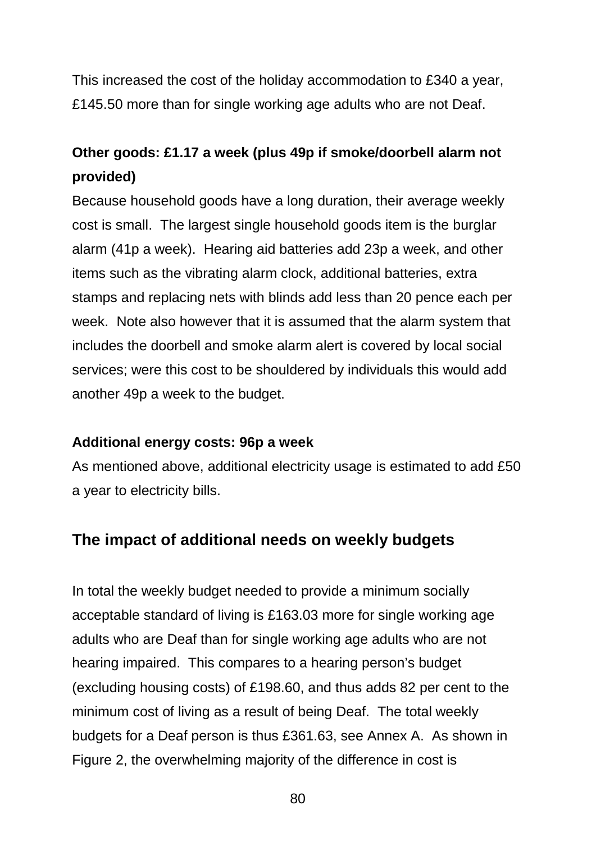This increased the cost of the holiday accommodation to £340 a year, £145.50 more than for single working age adults who are not Deaf.

## **Other goods: £1.17 a week (plus 49p if smoke/doorbell alarm not provided)**

Because household goods have a long duration, their average weekly cost is small. The largest single household goods item is the burglar alarm (41p a week). Hearing aid batteries add 23p a week, and other items such as the vibrating alarm clock, additional batteries, extra stamps and replacing nets with blinds add less than 20 pence each per week. Note also however that it is assumed that the alarm system that includes the doorbell and smoke alarm alert is covered by local social services; were this cost to be shouldered by individuals this would add another 49p a week to the budget.

#### **Additional energy costs: 96p a week**

As mentioned above, additional electricity usage is estimated to add £50 a year to electricity bills.

## **The impact of additional needs on weekly budgets**

In total the weekly budget needed to provide a minimum socially acceptable standard of living is £163.03 more for single working age adults who are Deaf than for single working age adults who are not hearing impaired. This compares to a hearing person's budget (excluding housing costs) of £198.60, and thus adds 82 per cent to the minimum cost of living as a result of being Deaf. The total weekly budgets for a Deaf person is thus £361.63, see Annex A. As shown in Figure 2, the overwhelming majority of the difference in cost is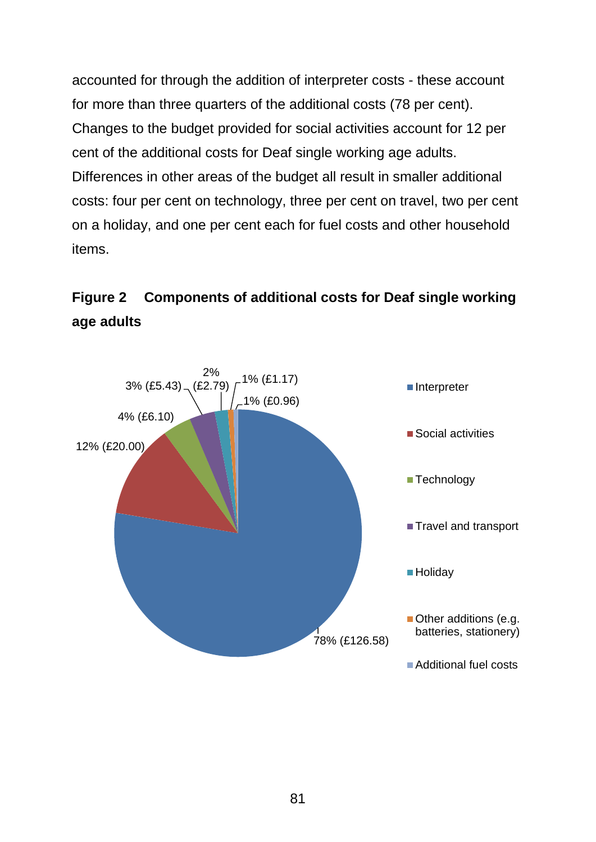accounted for through the addition of interpreter costs - these account for more than three quarters of the additional costs (78 per cent). Changes to the budget provided for social activities account for 12 per cent of the additional costs for Deaf single working age adults. Differences in other areas of the budget all result in smaller additional costs: four per cent on technology, three per cent on travel, two per cent on a holiday, and one per cent each for fuel costs and other household items.



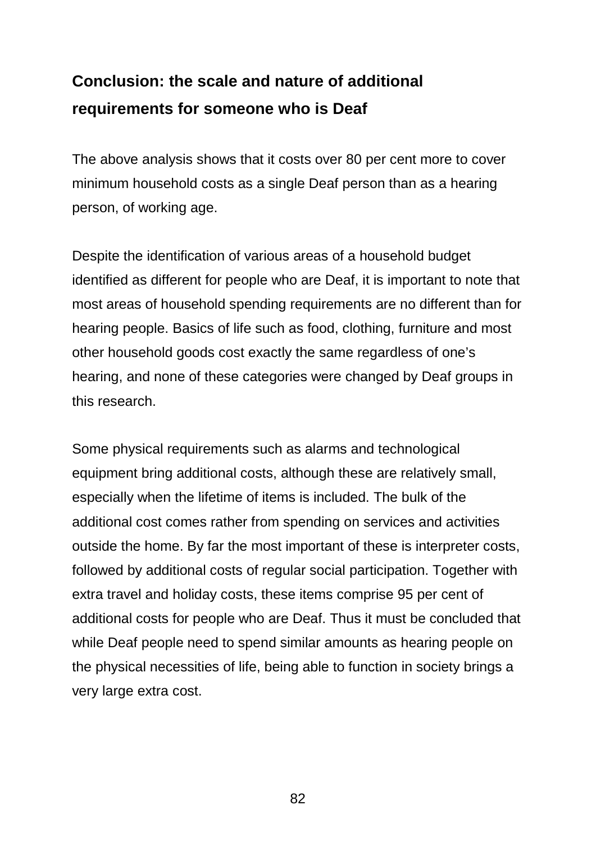# **Conclusion: the scale and nature of additional requirements for someone who is Deaf**

The above analysis shows that it costs over 80 per cent more to cover minimum household costs as a single Deaf person than as a hearing person, of working age.

Despite the identification of various areas of a household budget identified as different for people who are Deaf, it is important to note that most areas of household spending requirements are no different than for hearing people. Basics of life such as food, clothing, furniture and most other household goods cost exactly the same regardless of one's hearing, and none of these categories were changed by Deaf groups in this research.

Some physical requirements such as alarms and technological equipment bring additional costs, although these are relatively small, especially when the lifetime of items is included. The bulk of the additional cost comes rather from spending on services and activities outside the home. By far the most important of these is interpreter costs, followed by additional costs of regular social participation. Together with extra travel and holiday costs, these items comprise 95 per cent of additional costs for people who are Deaf. Thus it must be concluded that while Deaf people need to spend similar amounts as hearing people on the physical necessities of life, being able to function in society brings a very large extra cost.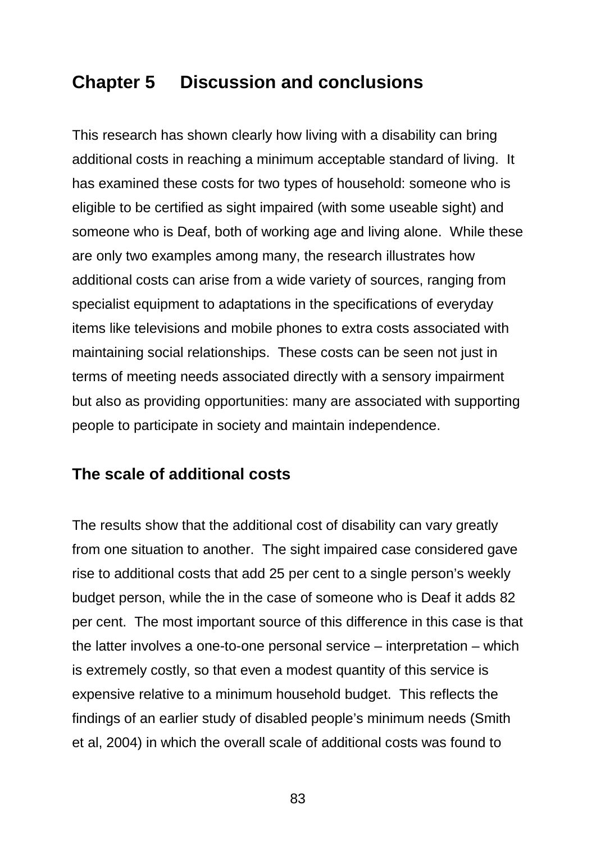## **Chapter 5 Discussion and conclusions**

This research has shown clearly how living with a disability can bring additional costs in reaching a minimum acceptable standard of living. It has examined these costs for two types of household: someone who is eligible to be certified as sight impaired (with some useable sight) and someone who is Deaf, both of working age and living alone. While these are only two examples among many, the research illustrates how additional costs can arise from a wide variety of sources, ranging from specialist equipment to adaptations in the specifications of everyday items like televisions and mobile phones to extra costs associated with maintaining social relationships. These costs can be seen not just in terms of meeting needs associated directly with a sensory impairment but also as providing opportunities: many are associated with supporting people to participate in society and maintain independence.

## **The scale of additional costs**

The results show that the additional cost of disability can vary greatly from one situation to another. The sight impaired case considered gave rise to additional costs that add 25 per cent to a single person's weekly budget person, while the in the case of someone who is Deaf it adds 82 per cent. The most important source of this difference in this case is that the latter involves a one-to-one personal service – interpretation – which is extremely costly, so that even a modest quantity of this service is expensive relative to a minimum household budget. This reflects the findings of an earlier study of disabled people's minimum needs (Smith et al, 2004) in which the overall scale of additional costs was found to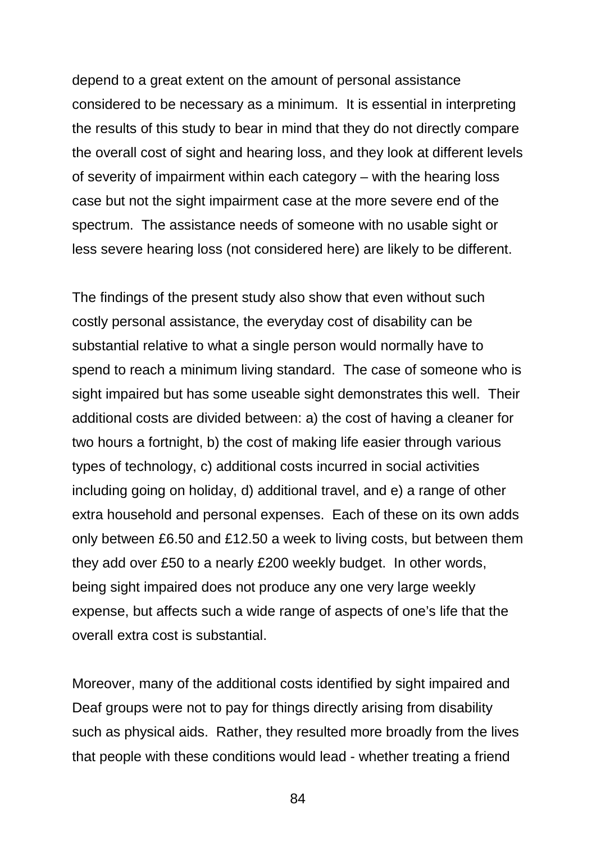depend to a great extent on the amount of personal assistance considered to be necessary as a minimum. It is essential in interpreting the results of this study to bear in mind that they do not directly compare the overall cost of sight and hearing loss, and they look at different levels of severity of impairment within each category – with the hearing loss case but not the sight impairment case at the more severe end of the spectrum. The assistance needs of someone with no usable sight or less severe hearing loss (not considered here) are likely to be different.

The findings of the present study also show that even without such costly personal assistance, the everyday cost of disability can be substantial relative to what a single person would normally have to spend to reach a minimum living standard. The case of someone who is sight impaired but has some useable sight demonstrates this well. Their additional costs are divided between: a) the cost of having a cleaner for two hours a fortnight, b) the cost of making life easier through various types of technology, c) additional costs incurred in social activities including going on holiday, d) additional travel, and e) a range of other extra household and personal expenses. Each of these on its own adds only between £6.50 and £12.50 a week to living costs, but between them they add over £50 to a nearly £200 weekly budget. In other words, being sight impaired does not produce any one very large weekly expense, but affects such a wide range of aspects of one's life that the overall extra cost is substantial.

Moreover, many of the additional costs identified by sight impaired and Deaf groups were not to pay for things directly arising from disability such as physical aids. Rather, they resulted more broadly from the lives that people with these conditions would lead - whether treating a friend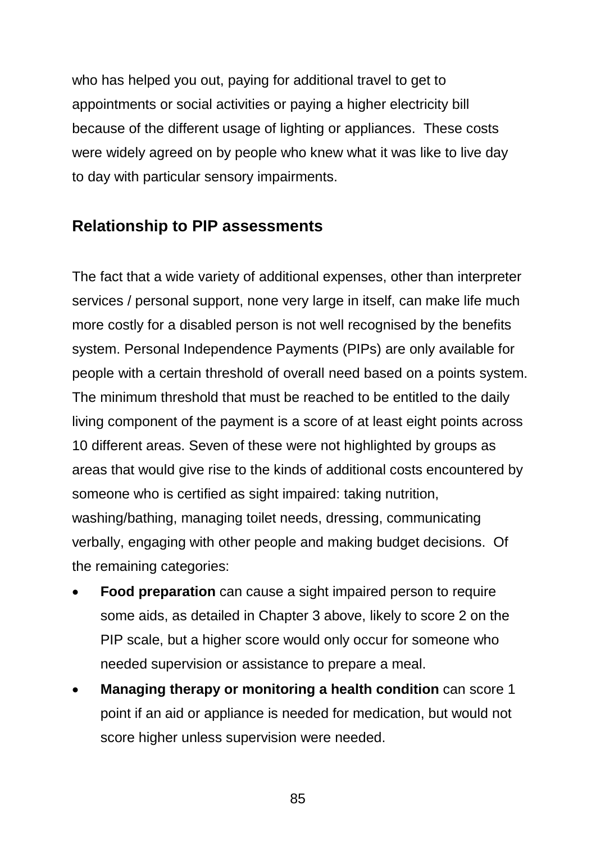who has helped you out, paying for additional travel to get to appointments or social activities or paying a higher electricity bill because of the different usage of lighting or appliances. These costs were widely agreed on by people who knew what it was like to live day to day with particular sensory impairments.

## **Relationship to PIP assessments**

The fact that a wide variety of additional expenses, other than interpreter services / personal support, none very large in itself, can make life much more costly for a disabled person is not well recognised by the benefits system. Personal Independence Payments (PIPs) are only available for people with a certain threshold of overall need based on a points system. The minimum threshold that must be reached to be entitled to the daily living component of the payment is a score of at least eight points across 10 different areas. Seven of these were not highlighted by groups as areas that would give rise to the kinds of additional costs encountered by someone who is certified as sight impaired: taking nutrition, washing/bathing, managing toilet needs, dressing, communicating verbally, engaging with other people and making budget decisions. Of the remaining categories:

- **Food preparation** can cause a sight impaired person to require some aids, as detailed in Chapter 3 above, likely to score 2 on the PIP scale, but a higher score would only occur for someone who needed supervision or assistance to prepare a meal.
- **Managing therapy or monitoring a health condition** can score 1 point if an aid or appliance is needed for medication, but would not score higher unless supervision were needed.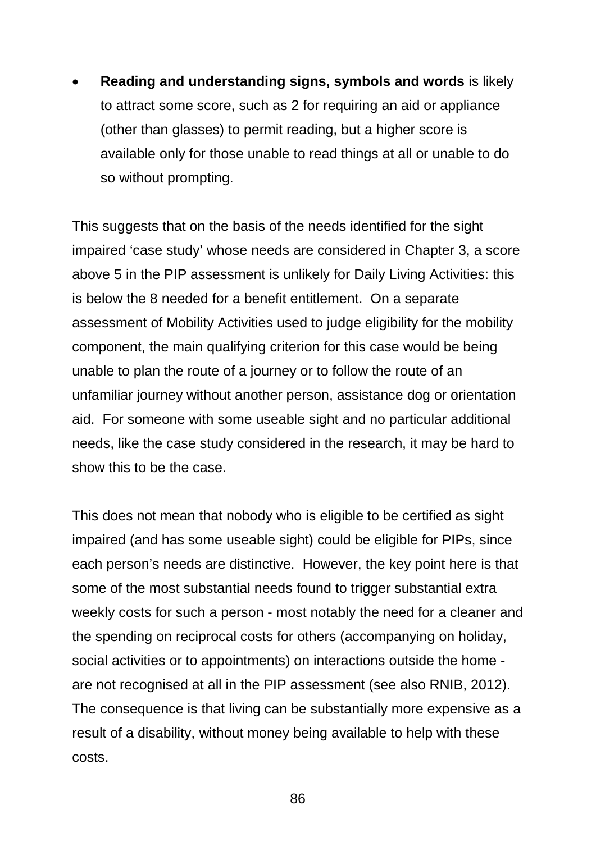• **Reading and understanding signs, symbols and words** is likely to attract some score, such as 2 for requiring an aid or appliance (other than glasses) to permit reading, but a higher score is available only for those unable to read things at all or unable to do so without prompting.

This suggests that on the basis of the needs identified for the sight impaired 'case study' whose needs are considered in Chapter 3, a score above 5 in the PIP assessment is unlikely for Daily Living Activities: this is below the 8 needed for a benefit entitlement. On a separate assessment of Mobility Activities used to judge eligibility for the mobility component, the main qualifying criterion for this case would be being unable to plan the route of a journey or to follow the route of an unfamiliar journey without another person, assistance dog or orientation aid. For someone with some useable sight and no particular additional needs, like the case study considered in the research, it may be hard to show this to be the case.

This does not mean that nobody who is eligible to be certified as sight impaired (and has some useable sight) could be eligible for PIPs, since each person's needs are distinctive. However, the key point here is that some of the most substantial needs found to trigger substantial extra weekly costs for such a person - most notably the need for a cleaner and the spending on reciprocal costs for others (accompanying on holiday, social activities or to appointments) on interactions outside the home are not recognised at all in the PIP assessment (see also RNIB, 2012). The consequence is that living can be substantially more expensive as a result of a disability, without money being available to help with these costs.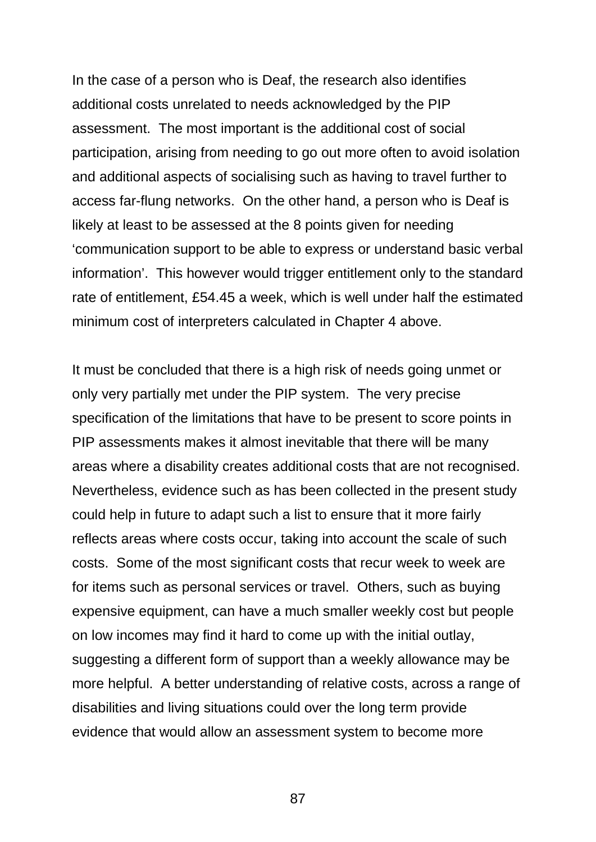In the case of a person who is Deaf, the research also identifies additional costs unrelated to needs acknowledged by the PIP assessment. The most important is the additional cost of social participation, arising from needing to go out more often to avoid isolation and additional aspects of socialising such as having to travel further to access far-flung networks. On the other hand, a person who is Deaf is likely at least to be assessed at the 8 points given for needing 'communication support to be able to express or understand basic verbal information'. This however would trigger entitlement only to the standard rate of entitlement, £54.45 a week, which is well under half the estimated minimum cost of interpreters calculated in Chapter 4 above.

It must be concluded that there is a high risk of needs going unmet or only very partially met under the PIP system. The very precise specification of the limitations that have to be present to score points in PIP assessments makes it almost inevitable that there will be many areas where a disability creates additional costs that are not recognised. Nevertheless, evidence such as has been collected in the present study could help in future to adapt such a list to ensure that it more fairly reflects areas where costs occur, taking into account the scale of such costs. Some of the most significant costs that recur week to week are for items such as personal services or travel. Others, such as buying expensive equipment, can have a much smaller weekly cost but people on low incomes may find it hard to come up with the initial outlay, suggesting a different form of support than a weekly allowance may be more helpful. A better understanding of relative costs, across a range of disabilities and living situations could over the long term provide evidence that would allow an assessment system to become more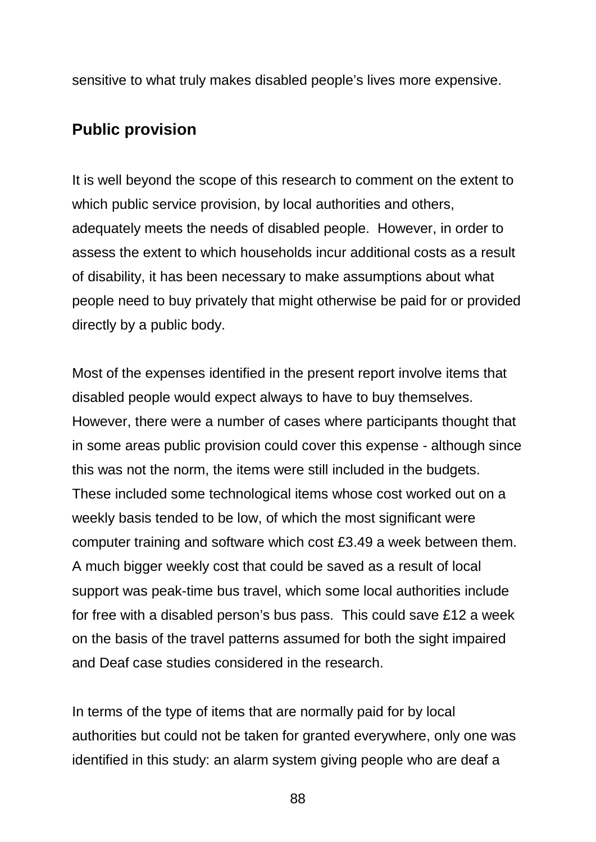sensitive to what truly makes disabled people's lives more expensive.

## **Public provision**

It is well beyond the scope of this research to comment on the extent to which public service provision, by local authorities and others, adequately meets the needs of disabled people. However, in order to assess the extent to which households incur additional costs as a result of disability, it has been necessary to make assumptions about what people need to buy privately that might otherwise be paid for or provided directly by a public body.

Most of the expenses identified in the present report involve items that disabled people would expect always to have to buy themselves. However, there were a number of cases where participants thought that in some areas public provision could cover this expense - although since this was not the norm, the items were still included in the budgets. These included some technological items whose cost worked out on a weekly basis tended to be low, of which the most significant were computer training and software which cost £3.49 a week between them. A much bigger weekly cost that could be saved as a result of local support was peak-time bus travel, which some local authorities include for free with a disabled person's bus pass. This could save £12 a week on the basis of the travel patterns assumed for both the sight impaired and Deaf case studies considered in the research.

In terms of the type of items that are normally paid for by local authorities but could not be taken for granted everywhere, only one was identified in this study: an alarm system giving people who are deaf a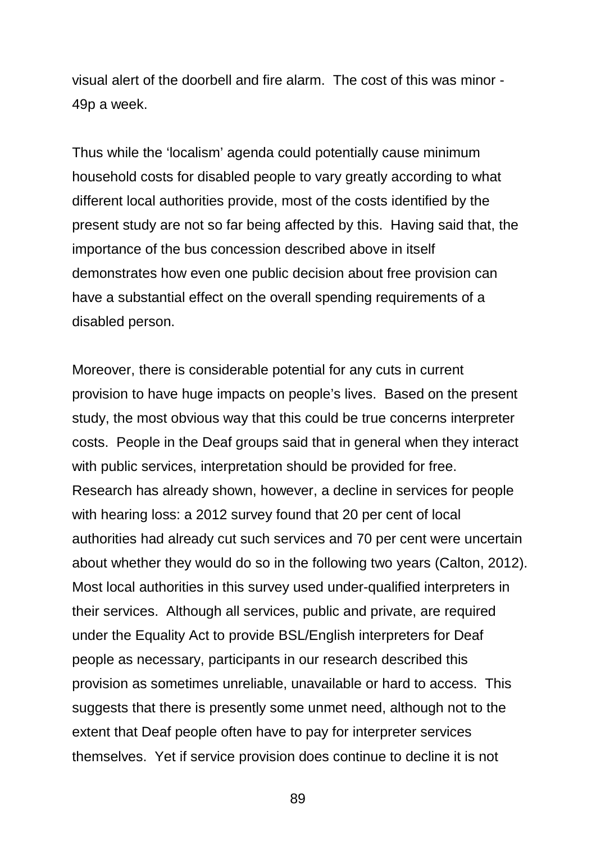visual alert of the doorbell and fire alarm. The cost of this was minor - 49p a week.

Thus while the 'localism' agenda could potentially cause minimum household costs for disabled people to vary greatly according to what different local authorities provide, most of the costs identified by the present study are not so far being affected by this. Having said that, the importance of the bus concession described above in itself demonstrates how even one public decision about free provision can have a substantial effect on the overall spending requirements of a disabled person.

Moreover, there is considerable potential for any cuts in current provision to have huge impacts on people's lives. Based on the present study, the most obvious way that this could be true concerns interpreter costs. People in the Deaf groups said that in general when they interact with public services, interpretation should be provided for free. Research has already shown, however, a decline in services for people with hearing loss: a 2012 survey found that 20 per cent of local authorities had already cut such services and 70 per cent were uncertain about whether they would do so in the following two years (Calton, 2012). Most local authorities in this survey used under-qualified interpreters in their services. Although all services, public and private, are required under the Equality Act to provide BSL/English interpreters for Deaf people as necessary, participants in our research described this provision as sometimes unreliable, unavailable or hard to access. This suggests that there is presently some unmet need, although not to the extent that Deaf people often have to pay for interpreter services themselves. Yet if service provision does continue to decline it is not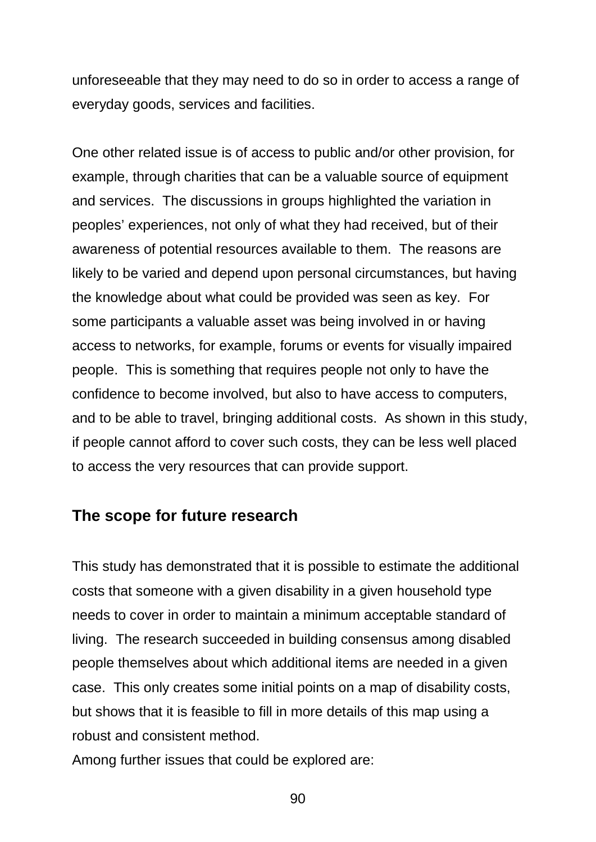unforeseeable that they may need to do so in order to access a range of everyday goods, services and facilities.

One other related issue is of access to public and/or other provision, for example, through charities that can be a valuable source of equipment and services. The discussions in groups highlighted the variation in peoples' experiences, not only of what they had received, but of their awareness of potential resources available to them. The reasons are likely to be varied and depend upon personal circumstances, but having the knowledge about what could be provided was seen as key. For some participants a valuable asset was being involved in or having access to networks, for example, forums or events for visually impaired people. This is something that requires people not only to have the confidence to become involved, but also to have access to computers, and to be able to travel, bringing additional costs. As shown in this study, if people cannot afford to cover such costs, they can be less well placed to access the very resources that can provide support.

#### **The scope for future research**

This study has demonstrated that it is possible to estimate the additional costs that someone with a given disability in a given household type needs to cover in order to maintain a minimum acceptable standard of living. The research succeeded in building consensus among disabled people themselves about which additional items are needed in a given case. This only creates some initial points on a map of disability costs, but shows that it is feasible to fill in more details of this map using a robust and consistent method.

Among further issues that could be explored are: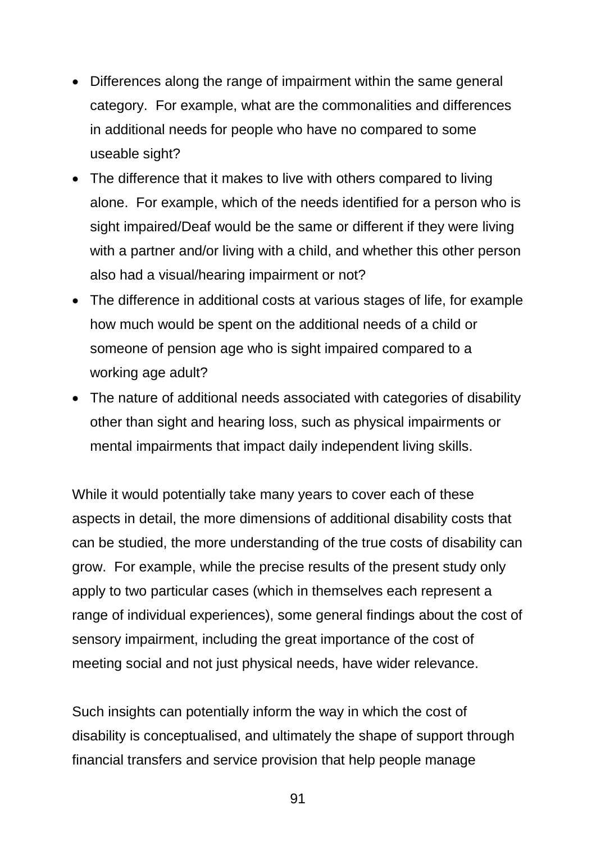- Differences along the range of impairment within the same general category. For example, what are the commonalities and differences in additional needs for people who have no compared to some useable sight?
- The difference that it makes to live with others compared to living alone. For example, which of the needs identified for a person who is sight impaired/Deaf would be the same or different if they were living with a partner and/or living with a child, and whether this other person also had a visual/hearing impairment or not?
- The difference in additional costs at various stages of life, for example how much would be spent on the additional needs of a child or someone of pension age who is sight impaired compared to a working age adult?
- The nature of additional needs associated with categories of disability other than sight and hearing loss, such as physical impairments or mental impairments that impact daily independent living skills.

While it would potentially take many years to cover each of these aspects in detail, the more dimensions of additional disability costs that can be studied, the more understanding of the true costs of disability can grow. For example, while the precise results of the present study only apply to two particular cases (which in themselves each represent a range of individual experiences), some general findings about the cost of sensory impairment, including the great importance of the cost of meeting social and not just physical needs, have wider relevance.

Such insights can potentially inform the way in which the cost of disability is conceptualised, and ultimately the shape of support through financial transfers and service provision that help people manage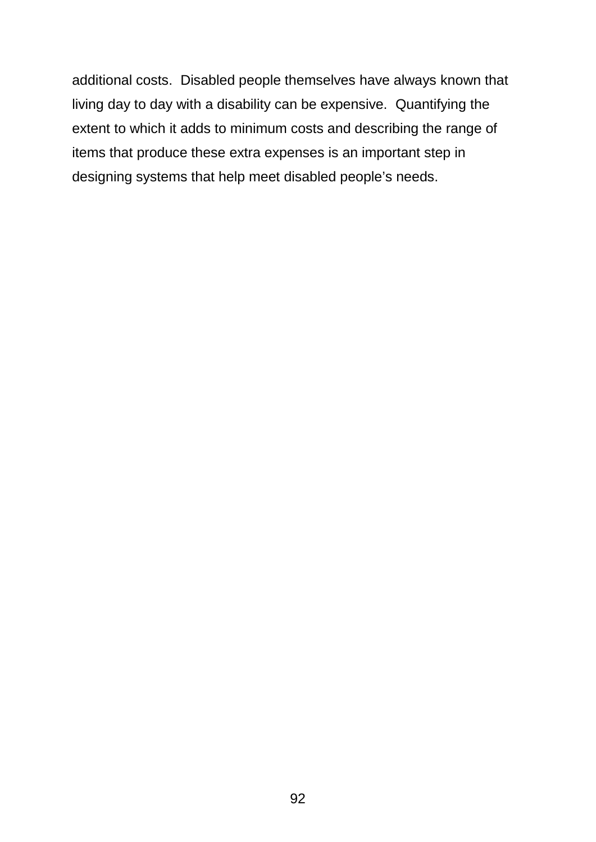additional costs. Disabled people themselves have always known that living day to day with a disability can be expensive. Quantifying the extent to which it adds to minimum costs and describing the range of items that produce these extra expenses is an important step in designing systems that help meet disabled people's needs.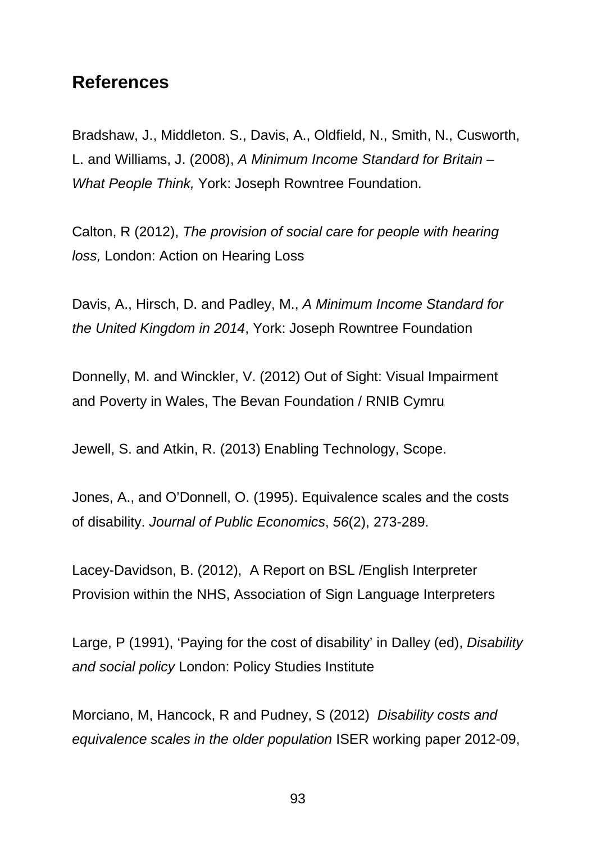## **References**

Bradshaw, J., Middleton. S., Davis, A., Oldfield, N., Smith, N., Cusworth, L. and Williams, J. (2008), *A Minimum Income Standard for Britain – What People Think,* York: Joseph Rowntree Foundation.

Calton, R (2012), *The provision of social care for people with hearing loss,* London: Action on Hearing Loss

Davis, A., Hirsch, D. and Padley, M., *A Minimum Income Standard for the United Kingdom in 2014*, York: Joseph Rowntree Foundation

Donnelly, M. and Winckler, V. (2012) Out of Sight: Visual Impairment and Poverty in Wales, The Bevan Foundation / RNIB Cymru

Jewell, S. and Atkin, R. (2013) Enabling Technology, Scope.

Jones, A., and O'Donnell, O. (1995). Equivalence scales and the costs of disability. *Journal of Public Economics*, *56*(2), 273-289.

Lacey-Davidson, B. (2012), A Report on BSL /English Interpreter Provision within the NHS, Association of Sign Language Interpreters

Large, P (1991), 'Paying for the cost of disability' in Dalley (ed), *Disability and social policy* London: Policy Studies Institute

Morciano, M, Hancock, R and Pudney, S (2012) *Disability costs and equivalence scales in the older population* ISER working paper 2012-09,

93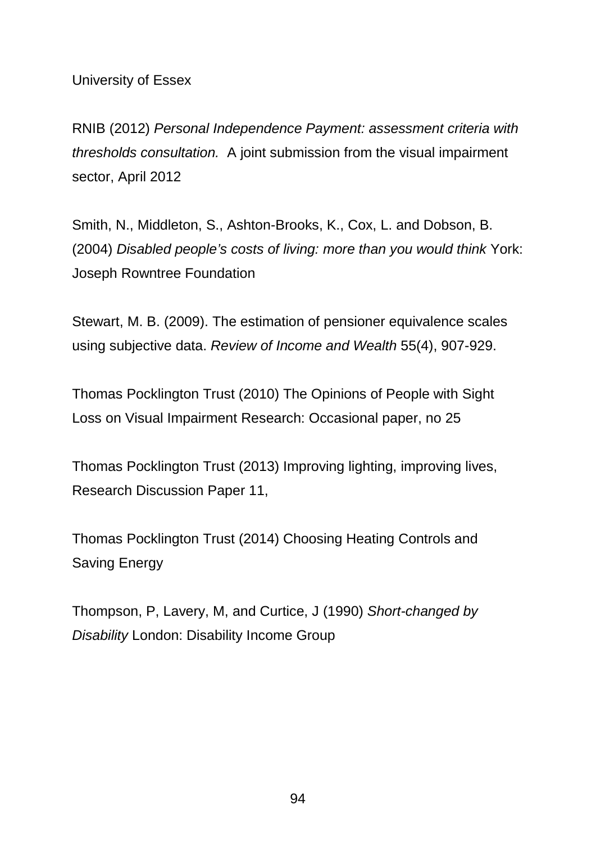University of Essex

RNIB (2012) *Personal Independence Payment: assessment criteria with thresholds consultation.* A joint submission from the visual impairment sector, April 2012

Smith, N., Middleton, S., Ashton-Brooks, K., Cox, L. and Dobson, B. (2004) *Disabled people's costs of living: more than you would think* York: Joseph Rowntree Foundation

Stewart, M. B. (2009). The estimation of pensioner equivalence scales using subjective data. *Review of Income and Wealth* 55(4), 907-929.

Thomas Pocklington Trust (2010) The Opinions of People with Sight Loss on Visual Impairment Research: Occasional paper, no 25

Thomas Pocklington Trust (2013) Improving lighting, improving lives, Research Discussion Paper 11,

Thomas Pocklington Trust (2014) Choosing Heating Controls and Saving Energy

Thompson, P, Lavery, M, and Curtice, J (1990) *Short-changed by Disability* London: Disability Income Group

94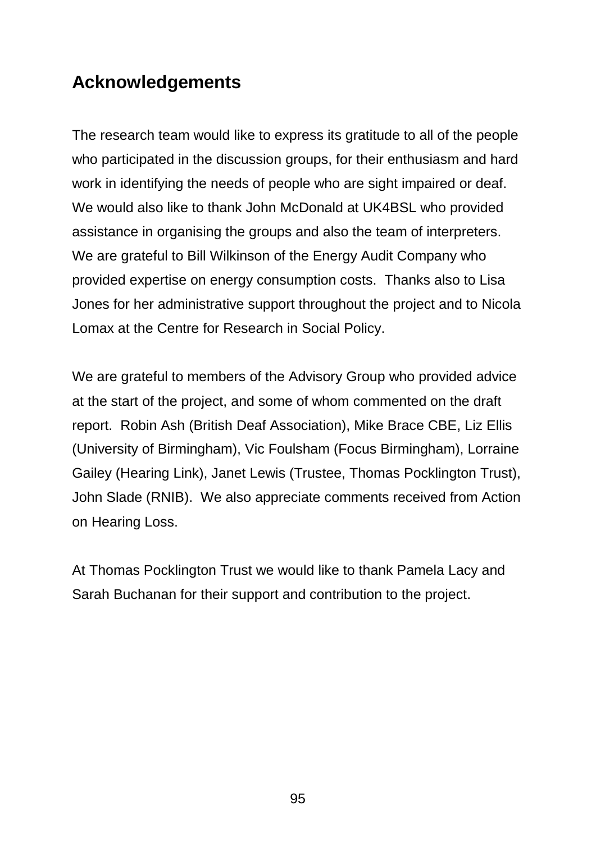## **Acknowledgements**

The research team would like to express its gratitude to all of the people who participated in the discussion groups, for their enthusiasm and hard work in identifying the needs of people who are sight impaired or deaf. We would also like to thank John McDonald at UK4BSL who provided assistance in organising the groups and also the team of interpreters. We are grateful to Bill Wilkinson of the Energy Audit Company who provided expertise on energy consumption costs. Thanks also to Lisa Jones for her administrative support throughout the project and to Nicola Lomax at the Centre for Research in Social Policy.

We are grateful to members of the Advisory Group who provided advice at the start of the project, and some of whom commented on the draft report. Robin Ash (British Deaf Association), Mike Brace CBE, Liz Ellis (University of Birmingham), Vic Foulsham (Focus Birmingham), Lorraine Gailey (Hearing Link), Janet Lewis (Trustee, Thomas Pocklington Trust), John Slade (RNIB). We also appreciate comments received from Action on Hearing Loss.

At Thomas Pocklington Trust we would like to thank Pamela Lacy and Sarah Buchanan for their support and contribution to the project.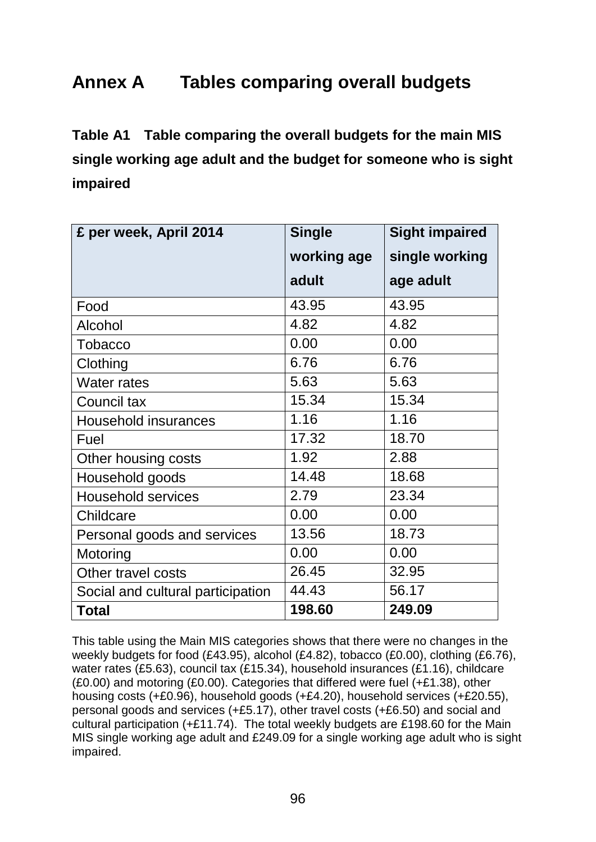## **Annex A Tables comparing overall budgets**

**Table A1 Table comparing the overall budgets for the main MIS single working age adult and the budget for someone who is sight impaired**

| £ per week, April 2014            | <b>Single</b> | <b>Sight impaired</b> |
|-----------------------------------|---------------|-----------------------|
|                                   | working age   | single working        |
|                                   | adult         | age adult             |
| Food                              | 43.95         | 43.95                 |
| Alcohol                           | 4.82          | 4.82                  |
| Tobacco                           | 0.00          | 0.00                  |
| Clothing                          | 6.76          | 6.76                  |
| <b>Water rates</b>                | 5.63          | 5.63                  |
| Council tax                       | 15.34         | 15.34                 |
| <b>Household insurances</b>       | 1.16          | 1.16                  |
| Fuel                              | 17.32         | 18.70                 |
| Other housing costs               | 1.92          | 2.88                  |
| Household goods                   | 14.48         | 18.68                 |
| <b>Household services</b>         | 2.79          | 23.34                 |
| Childcare                         | 0.00          | 0.00                  |
| Personal goods and services       | 13.56         | 18.73                 |
| Motoring                          | 0.00          | 0.00                  |
| Other travel costs                | 26.45         | 32.95                 |
| Social and cultural participation | 44.43         | 56.17                 |
| <b>Total</b>                      | 198.60        | 249.09                |

This table using the Main MIS categories shows that there were no changes in the weekly budgets for food (£43.95), alcohol (£4.82), tobacco (£0.00), clothing (£6.76), water rates (£5.63), council tax (£15.34), household insurances (£1.16), childcare (£0.00) and motoring (£0.00). Categories that differed were fuel (+£1.38), other housing costs (+£0.96), household goods (+£4.20), household services (+£20.55), personal goods and services (+£5.17), other travel costs (+£6.50) and social and cultural participation (+£11.74). The total weekly budgets are £198.60 for the Main MIS single working age adult and £249.09 for a single working age adult who is sight impaired.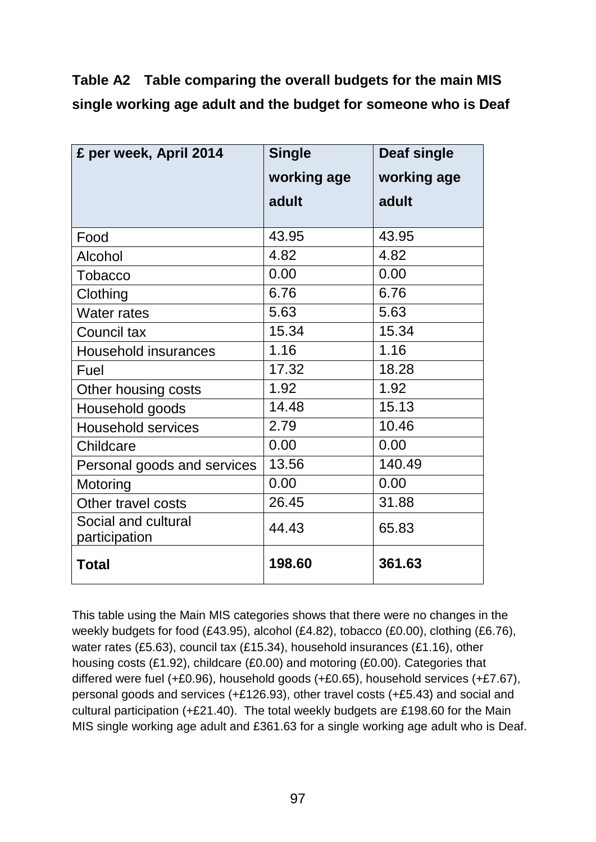**Table A2 Table comparing the overall budgets for the main MIS single working age adult and the budget for someone who is Deaf**

| £ per week, April 2014               | <b>Single</b> | <b>Deaf single</b> |
|--------------------------------------|---------------|--------------------|
|                                      | working age   | working age        |
|                                      | adult         | adult              |
| Food                                 | 43.95         | 43.95              |
| Alcohol                              | 4.82          | 4.82               |
| <b>Tobacco</b>                       | 0.00          | 0.00               |
| Clothing                             | 6.76          | 6.76               |
| <b>Water rates</b>                   | 5.63          | 5.63               |
| Council tax                          | 15.34         | 15.34              |
| Household insurances                 | 1.16          | 1.16               |
| Fuel                                 | 17.32         | 18.28              |
| Other housing costs                  | 1.92          | 1.92               |
| Household goods                      | 14.48         | 15.13              |
| <b>Household services</b>            | 2.79          | 10.46              |
| Childcare                            | 0.00          | 0.00               |
| Personal goods and services          | 13.56         | 140.49             |
| Motoring                             | 0.00          | 0.00               |
| Other travel costs                   | 26.45         | 31.88              |
| Social and cultural<br>participation | 44.43         | 65.83              |
| <b>Total</b>                         | 198.60        | 361.63             |

This table using the Main MIS categories shows that there were no changes in the weekly budgets for food (£43.95), alcohol (£4.82), tobacco (£0.00), clothing (£6.76), water rates (£5.63), council tax (£15.34), household insurances (£1.16), other housing costs (£1.92), childcare (£0.00) and motoring (£0.00). Categories that differed were fuel (+£0.96), household goods (+£0.65), household services (+£7.67), personal goods and services (+£126.93), other travel costs (+£5.43) and social and cultural participation (+£21.40). The total weekly budgets are £198.60 for the Main MIS single working age adult and £361.63 for a single working age adult who is Deaf.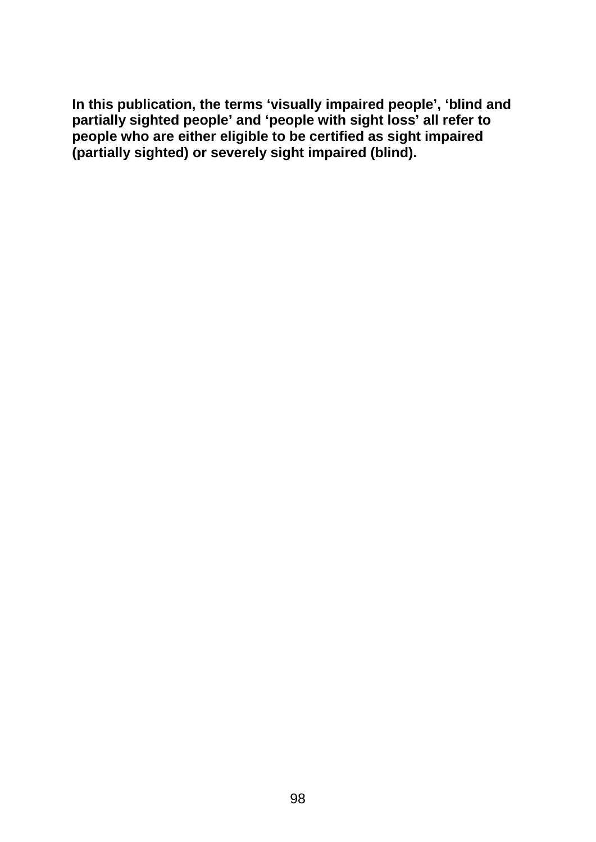**In this publication, the terms 'visually impaired people', 'blind and partially sighted people' and 'people with sight loss' all refer to people who are either eligible to be certified as sight impaired (partially sighted) or severely sight impaired (blind).**